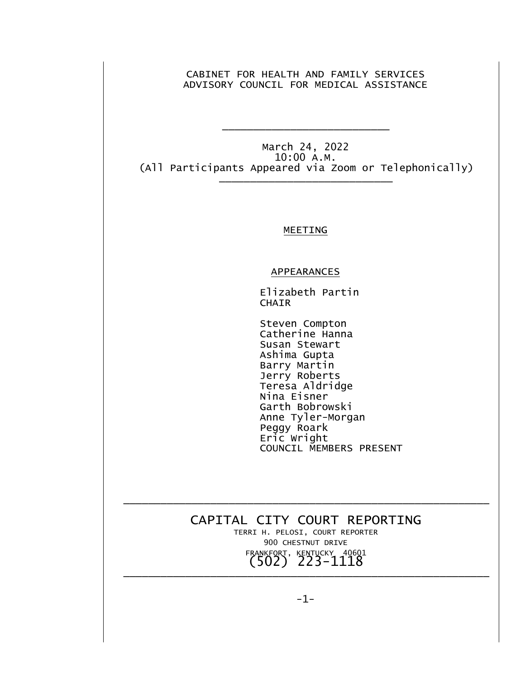CABINET FOR HEALTH AND FAMILY SERVICES ADVISORY COUNCIL FOR MEDICAL ASSISTANCE

March 24, 2022 10:00 A.M. (All Participants Appeared via Zoom or Telephonically) \_\_\_\_\_\_\_\_\_\_\_\_\_\_\_\_\_\_\_\_\_\_\_\_\_\_\_\_

\_\_\_\_\_\_\_\_\_\_\_\_\_\_\_\_\_\_\_\_\_\_\_\_\_\_\_

## MEETING

## **APPEARANCES**

 Elizabeth Partin **CHAIR** 

 Steven Compton Catherine Hanna Susan Stewart Ashima Gupta Barry Martin Jerry Roberts Teresa Aldridge Nina Eisner Garth Bobrowski Anne Tyler-Morgan Peggy Roark Eric Wright COUNCIL MEMBERS PRESENT

CAPITAL CITY COURT REPORTING TERRI H. PELOSI, COURT REPORTER 900 CHESTNUT DRIVE FRANKFORT, KENTUCKY 40601 (502) 223-1118

\_\_\_\_\_\_\_\_\_\_\_\_\_\_\_\_\_\_\_\_\_\_\_\_\_\_\_\_\_\_\_\_\_\_\_\_\_\_\_\_\_\_\_\_\_\_\_\_\_\_\_\_\_\_\_\_\_\_\_

\_\_\_\_\_\_\_\_\_\_\_\_\_\_\_\_\_\_\_\_\_\_\_\_\_\_\_\_\_\_\_\_\_\_\_\_\_\_\_\_\_\_\_\_\_\_\_\_\_\_\_\_\_\_\_\_\_\_\_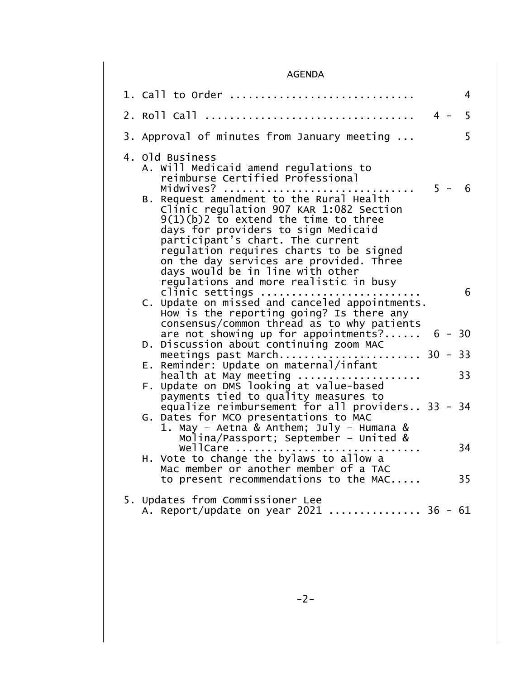## AGENDA

| 1. Call to Order                                                                                                                                                                                                                                                                                                     |       | 4        |
|----------------------------------------------------------------------------------------------------------------------------------------------------------------------------------------------------------------------------------------------------------------------------------------------------------------------|-------|----------|
| 2. Roll Call                                                                                                                                                                                                                                                                                                         | $4 -$ | 5        |
| 3. Approval of minutes from January meeting                                                                                                                                                                                                                                                                          |       | 5        |
| 4. Old Business<br>A. Will Medicaid amend regulations to<br>reimburse Certified Professional<br>Midwives?<br>B. Request amendment to the Rural Health<br>Clinic regulation 907 KAR 1:082 Section<br>$9(1)(b)$ to extend the time to three<br>days for providers to sign Medicaid<br>participant's chart. The current |       | $5 - 6$  |
| regulation requires charts to be signed<br>on the day services are provided. Three<br>days would be in line with other<br>regulations and more realistic in busy<br>clinic settings<br>C. Update on missed and canceled appointments.<br>How is the reporting going? Is there any                                    |       | 6        |
| consensus/common thread as to why patients<br>are not showing up for appointments?                                                                                                                                                                                                                                   |       | $6 - 30$ |
| D. Discussion about continuing zoom MAC<br>meetings past March 30 - 33                                                                                                                                                                                                                                               |       |          |
| Reminder: Update on maternal/infant<br>Е.<br>$health$ at May meeting $\ldots\ldots\ldots\ldots\ldots\ldots$                                                                                                                                                                                                          |       | 33       |
| F. Update on DMS looking at value-based<br>payments tied to quality measures to<br>equalize reimbursement for all providers 33 - 34<br>G. Dates for MCO presentations to MAC<br>1. May - Aetna & Anthem; July - Humana &                                                                                             |       |          |
| Molina/Passport; September - United &<br>wellCare<br>H. Vote to change the bylaws to allow a                                                                                                                                                                                                                         |       | 34       |
| Mac member or another member of a TAC<br>to present recommendations to the MAC                                                                                                                                                                                                                                       |       | 35       |
| 5. Updates from Commissioner Lee<br>A. Report/update on year 2021  36 - 61                                                                                                                                                                                                                                           |       |          |
|                                                                                                                                                                                                                                                                                                                      |       |          |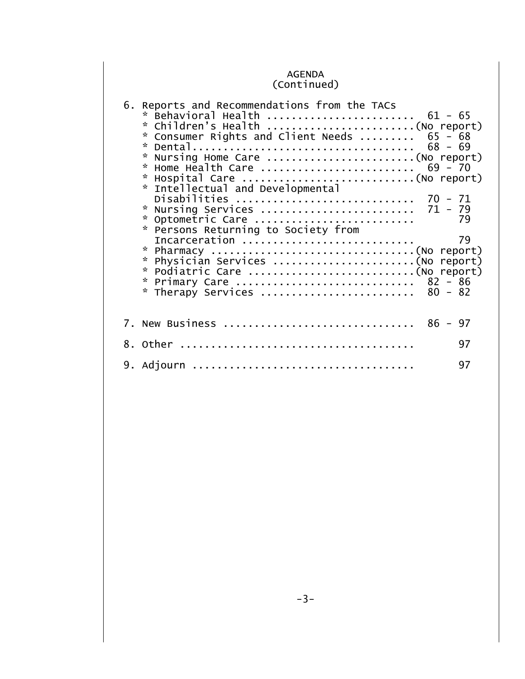## AGENDA (Continued)

| 6. Reports and Recommendations from the TACs<br>* Behavioral Health $61 - 65$<br>* Children's Health (No report)<br>* Consumer Rights and Client Needs  65 - 68<br>* Home Health Care  69 - 70<br>$\mathbf{x}$<br>* Intellectual and Developmental<br>Disabilities  70 - 71<br>* Nursing Services  71 - 79<br>* Optometric Care<br>79<br>* Persons Returning to Society from<br>Incarceration<br>79<br>* Physician Services (No report)<br>* Primary Care  82 - 86<br>* Therapy Services  80 - 82 |  |
|---------------------------------------------------------------------------------------------------------------------------------------------------------------------------------------------------------------------------------------------------------------------------------------------------------------------------------------------------------------------------------------------------------------------------------------------------------------------------------------------------|--|
| 7. New Business  86 - 97                                                                                                                                                                                                                                                                                                                                                                                                                                                                          |  |
| 97                                                                                                                                                                                                                                                                                                                                                                                                                                                                                                |  |
| 97                                                                                                                                                                                                                                                                                                                                                                                                                                                                                                |  |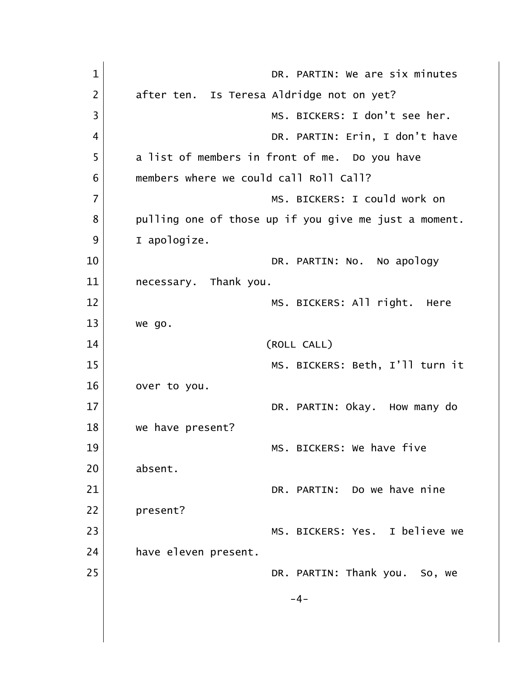| $\mathbf 1$    | DR. PARTIN: We are six minutes                        |
|----------------|-------------------------------------------------------|
| $\overline{2}$ | after ten. Is Teresa Aldridge not on yet?             |
| 3              | MS. BICKERS: I don't see her.                         |
| 4              | DR. PARTIN: Erin, I don't have                        |
| 5              | a list of members in front of me. Do you have         |
| 6              | members where we could call Roll Call?                |
| $\overline{7}$ | MS. BICKERS: I could work on                          |
| 8              | pulling one of those up if you give me just a moment. |
| 9              | I apologize.                                          |
| 10             | DR. PARTIN: No. No apology                            |
| 11             | necessary. Thank you.                                 |
| 12             | MS. BICKERS: All right. Here                          |
| 13             | we go.                                                |
| 14             | (ROLL CALL)                                           |
| 15             | MS. BICKERS: Beth, I'll turn it                       |
| 16             | over to you.                                          |
| 17             | DR. PARTIN: Okay. How many do                         |
| 18             | we have present?                                      |
| 19             | MS. BICKERS: We have five                             |
| 20             | absent.                                               |
| 21             | DR. PARTIN: Do we have nine                           |
| 22             | present?                                              |
| 23             | MS. BICKERS: Yes. I believe we                        |
| 24             | have eleven present.                                  |
| 25             | DR. PARTIN: Thank you. So, we                         |
|                | $-4-$                                                 |
|                |                                                       |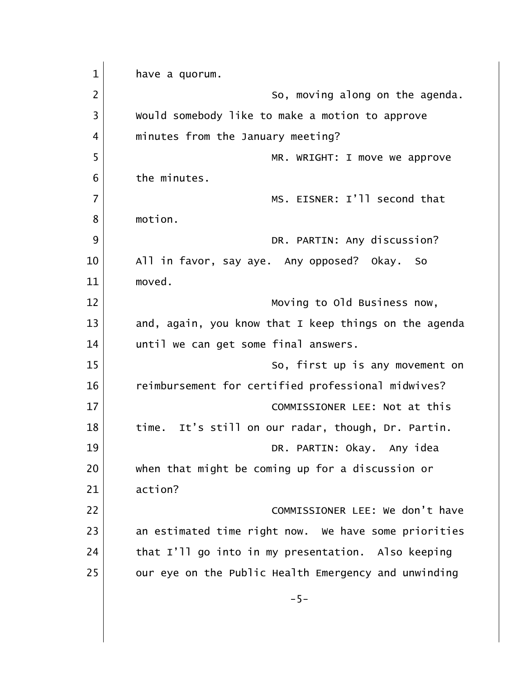1 have a quorum. 2 So, moving along on the agenda. 3 | Would somebody like to make a motion to approve 4 | minutes from the January meeting? 5 MR. WRIGHT: I move we approve 6 the minutes. 7 MS. EISNER: I'll second that 8 motion. 9 DR. PARTIN: Any discussion? 10 All in favor, say aye. Any opposed? Okay. So 11 moved. 12 Moving to Old Business now, 13 and, again, you know that I keep things on the agenda 14 until we can get some final answers. 15 So, first up is any movement on 16 reimbursement for certified professional midwives? 17 COMMISSIONER LEE: Not at this 18 time. It's still on our radar, though, Dr. Partin. 19 DR. PARTIN: Okay. Any idea 20 when that might be coming up for a discussion or 21 action? 22 | COMMISSIONER LEE: We don't have 23 an estimated time right now. We have some priorities 24 that I'll go into in my presentation. Also keeping 25 our eye on the Public Health Emergency and unwinding -5-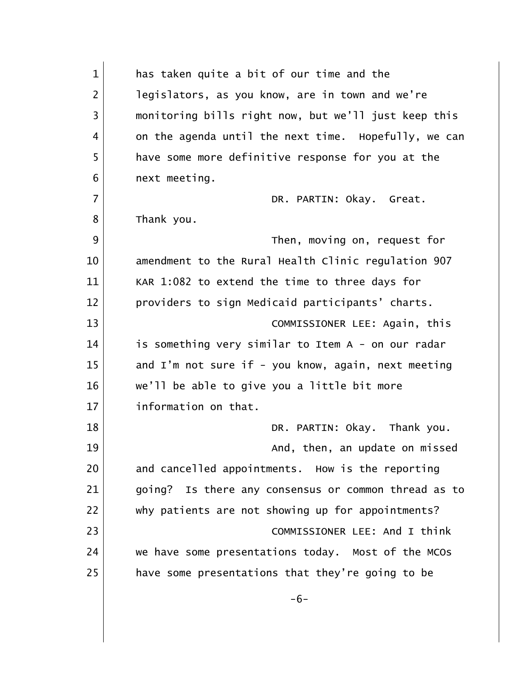1 has taken quite a bit of our time and the 2 legislators, as you know, are in town and we're 3 monitoring bills right now, but we'll just keep this 4 on the agenda until the next time. Hopefully, we can 5 have some more definitive response for you at the 6 **next meeting.** 7 DR. PARTIN: Okay. Great. 8 Thank you. 9 Then, moving on, request for 10 amendment to the Rural Health Clinic regulation 907 11 KAR 1:082 to extend the time to three days for 12 providers to sign Medicaid participants' charts. 13 COMMISSIONER LEE: Again, this 14 is something very similar to Item A - on our radar 15 and I'm not sure if - you know, again, next meeting 16 we'll be able to give you a little bit more 17 information on that. 18 DR. PARTIN: Okay. Thank you. 19 and, then, an update on missed 20 and cancelled appointments. How is the reporting 21 going? Is there any consensus or common thread as to 22 why patients are not showing up for appointments? 23 COMMISSIONER LEE: And I think 24 we have some presentations today. Most of the MCOs 25 have some presentations that they're going to be -6-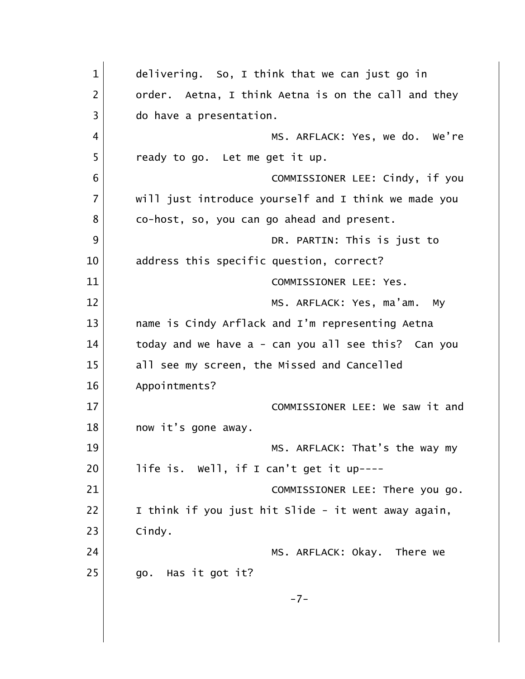| $\mathbf{1}$   | delivering. So, I think that we can just go in       |
|----------------|------------------------------------------------------|
| $\overline{2}$ | order. Aetna, I think Aetna is on the call and they  |
| 3              | do have a presentation.                              |
| 4              | MS. ARFLACK: Yes, we do. We're                       |
| 5              | ready to go. Let me get it up.                       |
| 6              | COMMISSIONER LEE: Cindy, if you                      |
| $\overline{7}$ | will just introduce yourself and I think we made you |
| 8              | co-host, so, you can go ahead and present.           |
| 9              | DR. PARTIN: This is just to                          |
| 10             | address this specific question, correct?             |
| 11             | COMMISSIONER LEE: Yes.                               |
| 12             | MS. ARFLACK: Yes, ma'am. My                          |
| 13             | name is Cindy Arflack and I'm representing Aetna     |
| 14             | today and we have a - can you all see this? Can you  |
| 15             | all see my screen, the Missed and Cancelled          |
| 16             | Appointments?                                        |
| 17             | COMMISSIONER LEE: We saw it and                      |
| 18             | now it's gone away.                                  |
| 19             | MS. ARFLACK: That's the way my                       |
| 20             | life is. Well, if I can't get it up----              |
| 21             | COMMISSIONER LEE: There you go.                      |
| 22             | I think if you just hit Slide - it went away again,  |
| 23             | Cindy.                                               |
| 24             | MS. ARFLACK: Okay. There we                          |
| 25             | Has it got it?<br>go.                                |
|                | $-7-$                                                |
|                |                                                      |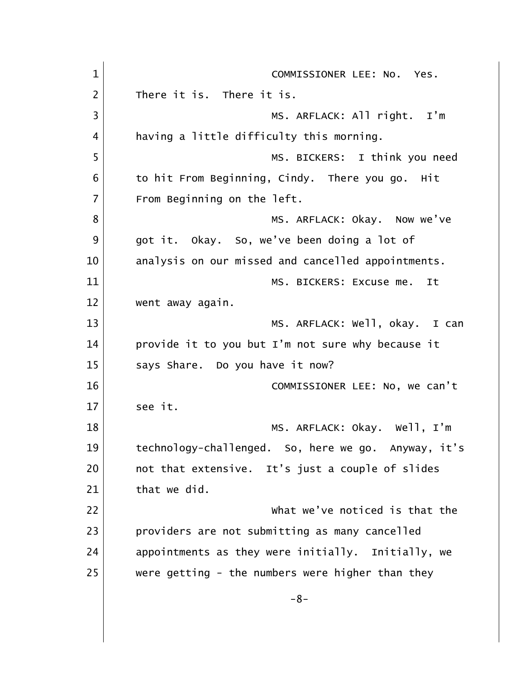| $\mathbf{1}$   | COMMISSIONER LEE: No. Yes.                          |
|----------------|-----------------------------------------------------|
| $\overline{2}$ | There it is. There it is.                           |
| 3              | MS. ARFLACK: All right. I'm                         |
| 4              | having a little difficulty this morning.            |
| 5              | MS. BICKERS: I think you need                       |
| 6              | to hit From Beginning, Cindy. There you go. Hit     |
| $\overline{7}$ | From Beginning on the left.                         |
| 8              | MS. ARFLACK: Okay. Now we've                        |
| 9              | got it. Okay. So, we've been doing a lot of         |
| 10             | analysis on our missed and cancelled appointments.  |
| 11             | MS. BICKERS: Excuse me. It                          |
| 12             | went away again.                                    |
| 13             | MS. ARFLACK: Well, okay. I can                      |
| 14             | provide it to you but I'm not sure why because it   |
| 15             | says Share. Do you have it now?                     |
| 16             | COMMISSIONER LEE: No, we can't                      |
| 17             | see it.                                             |
| 18             | MS. ARFLACK: Okay. Well, I'm                        |
| 19             | technology-challenged. So, here we go. Anyway, it's |
| 20             | not that extensive. It's just a couple of slides    |
| 21             | that we did.                                        |
| 22             | what we've noticed is that the                      |
| 23             | providers are not submitting as many cancelled      |
| 24             | appointments as they were initially. Initially, we  |
| 25             | were getting - the numbers were higher than they    |
|                | $-8-$                                               |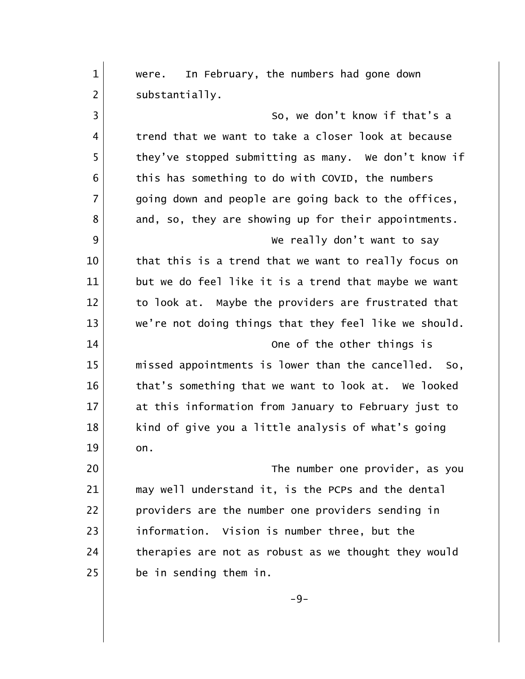| $\mathbf{1}$   |                                                       |
|----------------|-------------------------------------------------------|
|                | were. In February, the numbers had gone down          |
| $\overline{2}$ | substantially.                                        |
| 3              | So, we don't know if that's a                         |
| 4              | trend that we want to take a closer look at because   |
| 5              | they've stopped submitting as many. We don't know if  |
| 6              | this has something to do with COVID, the numbers      |
| 7              | going down and people are going back to the offices,  |
| 8              | and, so, they are showing up for their appointments.  |
| 9              | We really don't want to say                           |
| 10             | that this is a trend that we want to really focus on  |
| 11             | but we do feel like it is a trend that maybe we want  |
| 12             | to look at. Maybe the providers are frustrated that   |
| 13             | we're not doing things that they feel like we should. |
| 14             | One of the other things is                            |
| 15             | missed appointments is lower than the cancelled. So,  |
| 16             | that's something that we want to look at. We looked   |
| 17             | at this information from January to February just to  |
| 18             | kind of give you a little analysis of what's going    |
| 19             | on.                                                   |
| 20             | The number one provider, as you                       |
| 21             | may well understand it, is the PCPs and the dental    |
| 22             | providers are the number one providers sending in     |
| 23             | information. Vision is number three, but the          |
| 24             | therapies are not as robust as we thought they would  |
| 25             | be in sending them in.                                |
|                | $-9-$                                                 |
|                |                                                       |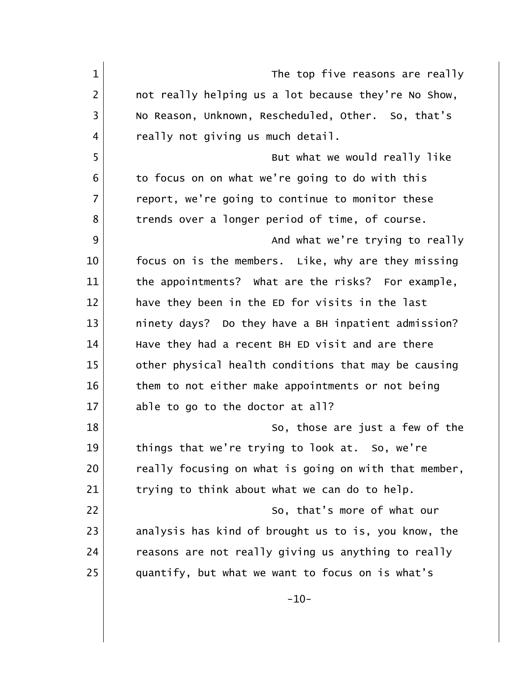| $\mathbf{1}$   | The top five reasons are really                       |
|----------------|-------------------------------------------------------|
| $\overline{2}$ | not really helping us a lot because they're No Show,  |
| 3              | No Reason, Unknown, Rescheduled, Other. So, that's    |
| 4              | really not giving us much detail.                     |
| 5              | But what we would really like                         |
| 6              | to focus on on what we're going to do with this       |
| $\overline{7}$ | report, we're going to continue to monitor these      |
| 8              | trends over a longer period of time, of course.       |
| 9              | And what we're trying to really                       |
| 10             | focus on is the members. Like, why are they missing   |
| 11             | the appointments? What are the risks? For example,    |
| 12             | have they been in the ED for visits in the last       |
| 13             | ninety days? Do they have a BH inpatient admission?   |
| 14             | Have they had a recent BH ED visit and are there      |
| 15             | other physical health conditions that may be causing  |
| 16             | them to not either make appointments or not being     |
| 17             | able to go to the doctor at all?                      |
| 18             | So, those are just a few of the                       |
| 19             | things that we're trying to look at. So, we're        |
| 20             | really focusing on what is going on with that member, |
| 21             | trying to think about what we can do to help.         |
| 22             | So, that's more of what our                           |
| 23             | analysis has kind of brought us to is, you know, the  |
| 24             | reasons are not really giving us anything to really   |
| 25             | quantify, but what we want to focus on is what's      |
|                | $-10-$                                                |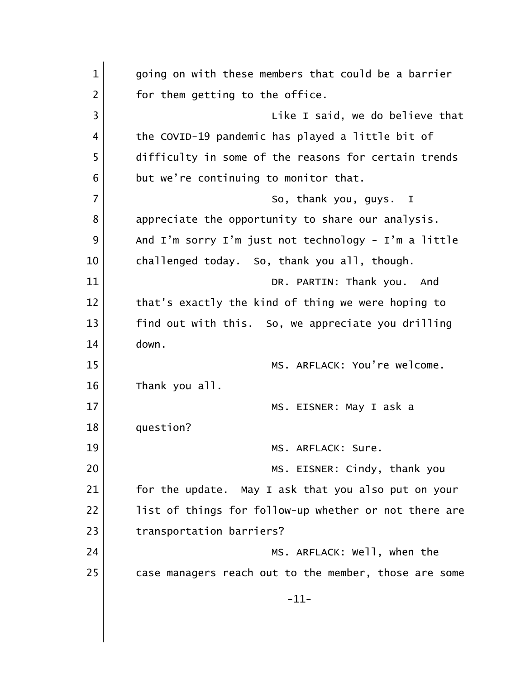1 qoing on with these members that could be a barrier  $2$  for them getting to the office. 3 and  $\vert$  2 and  $\vert$  Like I said, we do believe that 4 the COVID-19 pandemic has played a little bit of 5 difficulty in some of the reasons for certain trends  $6$  but we're continuing to monitor that. 7 So, thank you, guys. I 8 appreciate the opportunity to share our analysis. 9 And I'm sorry I'm just not technology - I'm a little 10 challenged today. So, thank you all, though. 11 DR. PARTIN: Thank you. And 12 that's exactly the kind of thing we were hoping to 13 find out with this. So, we appreciate you drilling  $14$  down. 15 MS. ARFLACK: You're welcome. 16 Thank you all. 17 MS. EISNER: May I ask a 18 question? 19 MS. ARFLACK: Sure. 20 | NS. EISNER: Cindy, thank you 21 for the update. May I ask that you also put on your 22 list of things for follow-up whether or not there are 23 transportation barriers? 24 MS. ARFLACK: Well, when the 25 case managers reach out to the member, those are some -11-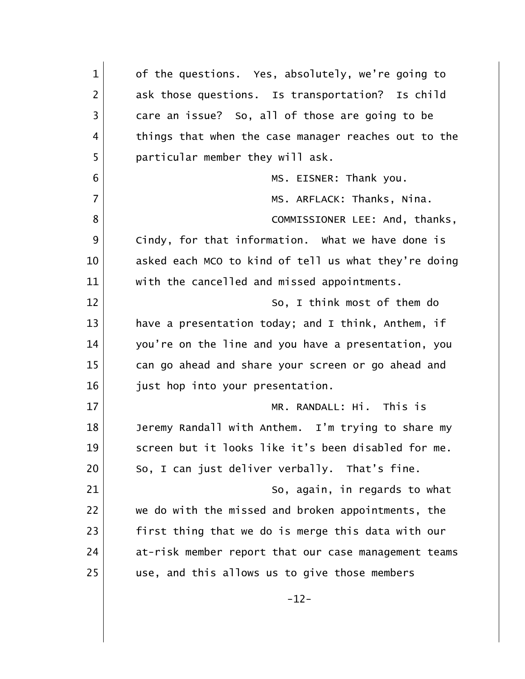| $\mathbf{1}$   | of the questions. Yes, absolutely, we're going to    |
|----------------|------------------------------------------------------|
| $\overline{2}$ | ask those questions. Is transportation? Is child     |
| 3              | care an issue? So, all of those are going to be      |
| 4              | things that when the case manager reaches out to the |
| 5              | particular member they will ask.                     |
| 6              | MS. EISNER: Thank you.                               |
| $\overline{7}$ | MS. ARFLACK: Thanks, Nina.                           |
| 8              | COMMISSIONER LEE: And, thanks,                       |
| 9              | Cindy, for that information. What we have done is    |
| 10             | asked each MCO to kind of tell us what they're doing |
| 11             | with the cancelled and missed appointments.          |
| 12             | So, I think most of them do                          |
| 13             | have a presentation today; and I think, Anthem, if   |
| 14             | you're on the line and you have a presentation, you  |
| 15             | can go ahead and share your screen or go ahead and   |
| 16             | just hop into your presentation.                     |
| 17             | MR. RANDALL: Hi. This is                             |
| 18             | Jeremy Randall with Anthem. I'm trying to share my   |
| 19             | screen but it looks like it's been disabled for me.  |
| 20             | So, I can just deliver verbally. That's fine.        |
| 21             | So, again, in regards to what                        |
| 22             | we do with the missed and broken appointments, the   |
| 23             | first thing that we do is merge this data with our   |
| 24             | at-risk member report that our case management teams |
| 25             | use, and this allows us to give those members        |
|                | $-12-$                                               |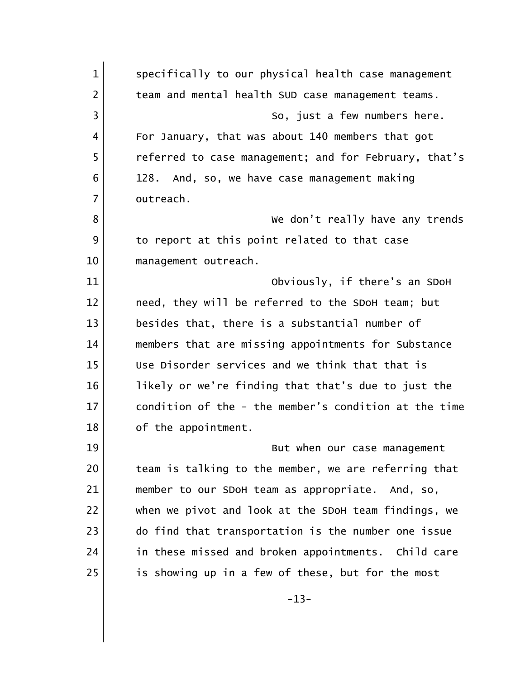1 Specifically to our physical health case management 2 | team and mental health SUD case management teams. 3 | So, just a few numbers here. 4 For January, that was about 140 members that got 5 referred to case management; and for February, that's 6 128. And, so, we have case management making 7 outreach. 8 | Southeast Contract Contract Contract We don't really have any trends 9 to report at this point related to that case 10 management outreach. 11 Obviously, if there's an SDoH 12 need, they will be referred to the SDoH team; but 13 besides that, there is a substantial number of 14 members that are missing appointments for Substance 15 Use Disorder services and we think that that is 16 likely or we're finding that that's due to just the 17 condition of the - the member's condition at the time 18 of the appointment. 19 | North Wat when our case management 20 team is talking to the member, we are referring that 21 member to our SDoH team as appropriate. And, so, 22 when we pivot and look at the SDoH team findings, we 23 do find that transportation is the number one issue 24 in these missed and broken appointments. Child care 25 is showing up in a few of these, but for the most -13-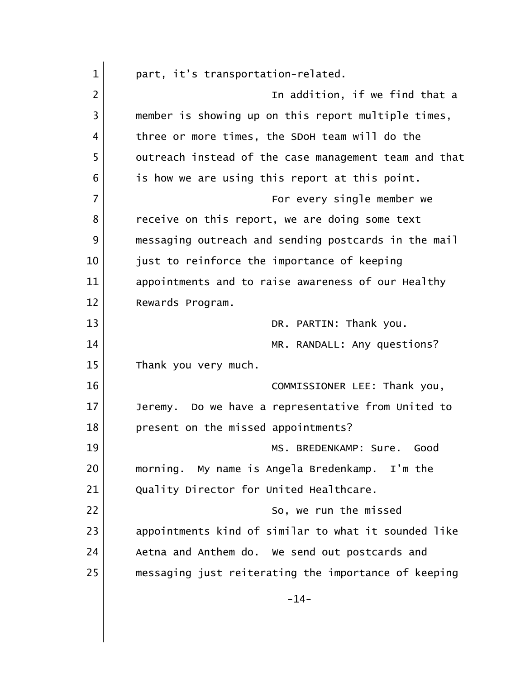| $\mathbf{1}$   | part, it's transportation-related.                    |
|----------------|-------------------------------------------------------|
| $\overline{2}$ | In addition, if we find that a                        |
| 3              | member is showing up on this report multiple times,   |
| 4              | three or more times, the SDoH team will do the        |
| 5              | outreach instead of the case management team and that |
| 6              | is how we are using this report at this point.        |
| 7              | For every single member we                            |
| 8              | receive on this report, we are doing some text        |
| 9              | messaging outreach and sending postcards in the mail  |
| 10             | just to reinforce the importance of keeping           |
| 11             | appointments and to raise awareness of our Healthy    |
| 12             | Rewards Program.                                      |
| 13             | DR. PARTIN: Thank you.                                |
| 14             | MR. RANDALL: Any questions?                           |
| 15             | Thank you very much.                                  |
| 16             | COMMISSIONER LEE: Thank you,                          |
| 17             | Do we have a representative from United to<br>Jeremy. |
| 18             | present on the missed appointments?                   |
| 19             | MS. BREDENKAMP: Sure.<br>Good                         |
| 20             | morning. My name is Angela Bredenkamp. I'm the        |
| 21             | Quality Director for United Healthcare.               |
| 22             | So, we run the missed                                 |
| 23             | appointments kind of similar to what it sounded like  |
| 24             | Aetna and Anthem do. We send out postcards and        |
| 25             | messaging just reiterating the importance of keeping  |
|                | $-14-$                                                |
|                |                                                       |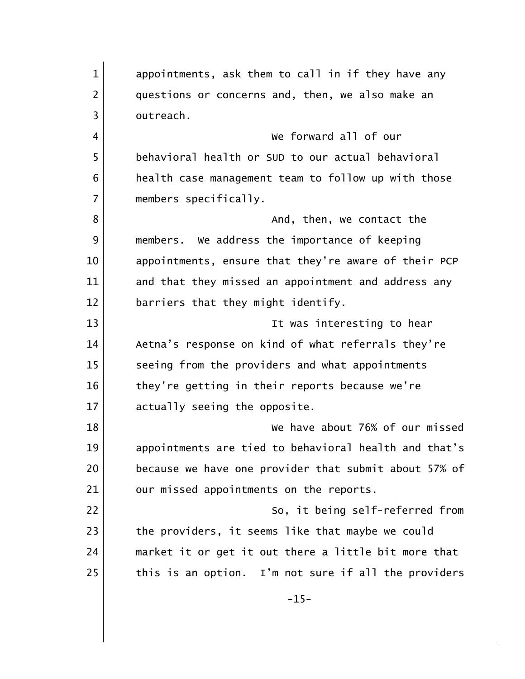1 appointments, ask them to call in if they have any 2 questions or concerns and, then, we also make an 3 outreach. 4 We forward all of our 5 behavioral health or SUD to our actual behavioral 6 **health case management team to follow up with those** 7 members specifically. 8 and, then, we contact the 9 | members. We address the importance of keeping 10 appointments, ensure that they're aware of their PCP 11 and that they missed an appointment and address any 12 barriers that they might identify. 13 It was interesting to hear 14 Aetna's response on kind of what referrals they're 15 seeing from the providers and what appointments 16 they're getting in their reports because we're 17 actually seeing the opposite. 18 We have about 76% of our missed 19 appointments are tied to behavioral health and that's 20 because we have one provider that submit about 57% of 21 our missed appointments on the reports. 22 So, it being self-referred from 23 the providers, it seems like that maybe we could 24 market it or get it out there a little bit more that  $25$  this is an option. I'm not sure if all the providers  $-15-$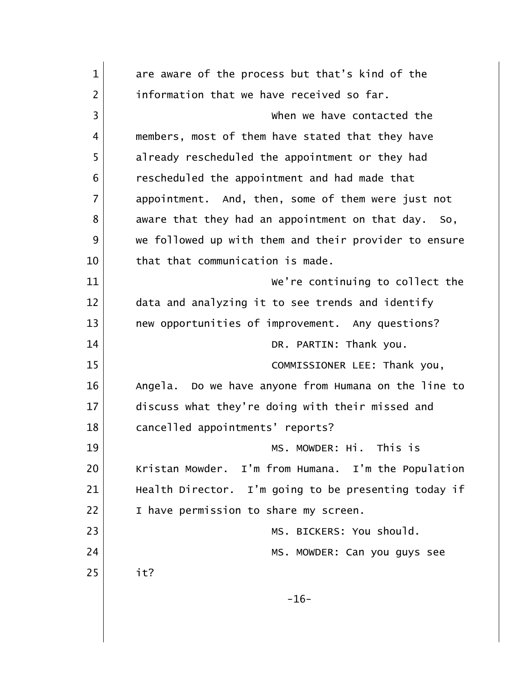| $\mathbf{1}$   | are aware of the process but that's kind of the         |
|----------------|---------------------------------------------------------|
| $\overline{2}$ | information that we have received so far.               |
| 3              | when we have contacted the                              |
| 4              | members, most of them have stated that they have        |
| 5              | already rescheduled the appointment or they had         |
| 6              | rescheduled the appointment and had made that           |
| 7              | appointment. And, then, some of them were just not      |
| 8              | aware that they had an appointment on that day. So,     |
| 9              | we followed up with them and their provider to ensure   |
| 10             | that that communication is made.                        |
| 11             | We're continuing to collect the                         |
| 12             | data and analyzing it to see trends and identify        |
| 13             | new opportunities of improvement. Any questions?        |
| 14             | DR. PARTIN: Thank you.                                  |
| 15             | COMMISSIONER LEE: Thank you,                            |
| 16             | Do we have anyone from Humana on the line to<br>Angela. |
| 17             | discuss what they're doing with their missed and        |
| 18             | cancelled appointments' reports?                        |
| 19             | MS. MOWDER: Hi. This is                                 |
| 20             | Kristan Mowder. I'm from Humana. I'm the Population     |
| 21             | Health Director. I'm going to be presenting today if    |
| 22             | I have permission to share my screen.                   |
| 23             | MS. BICKERS: You should.                                |
| 24             | MS. MOWDER: Can you guys see                            |
| 25             | it?                                                     |
|                | $-16-$                                                  |
|                |                                                         |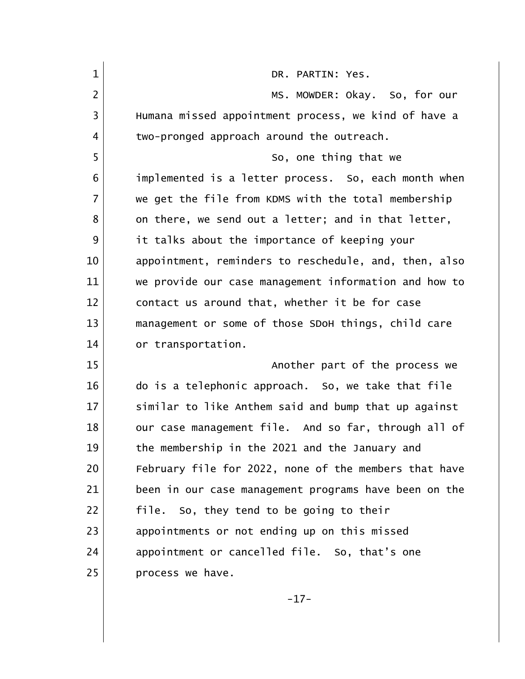| $\mathbf{1}$   | DR. PARTIN: Yes.                                      |
|----------------|-------------------------------------------------------|
| $\overline{2}$ | MS. MOWDER: Okay. So, for our                         |
| 3              | Humana missed appointment process, we kind of have a  |
| 4              | two-pronged approach around the outreach.             |
| 5              | So, one thing that we                                 |
| 6              | implemented is a letter process. So, each month when  |
| $\overline{7}$ | we get the file from KDMS with the total membership   |
| 8              | on there, we send out a letter; and in that letter,   |
| 9              | it talks about the importance of keeping your         |
| 10             | appointment, reminders to reschedule, and, then, also |
| 11             | we provide our case management information and how to |
| 12             | contact us around that, whether it be for case        |
| 13             | management or some of those SDoH things, child care   |
| 14             | or transportation.                                    |
| 15             | Another part of the process we                        |
| 16             | do is a telephonic approach. So, we take that file    |
| 17             | similar to like Anthem said and bump that up against  |
| 18             | our case management file. And so far, through all of  |
| 19             | the membership in the 2021 and the January and        |
| 20             | February file for 2022, none of the members that have |
| 21             | been in our case management programs have been on the |
| 22             | file. So, they tend to be going to their              |
| 23             | appointments or not ending up on this missed          |
| 24             | appointment or cancelled file. So, that's one         |
| 25             | process we have.                                      |

-17-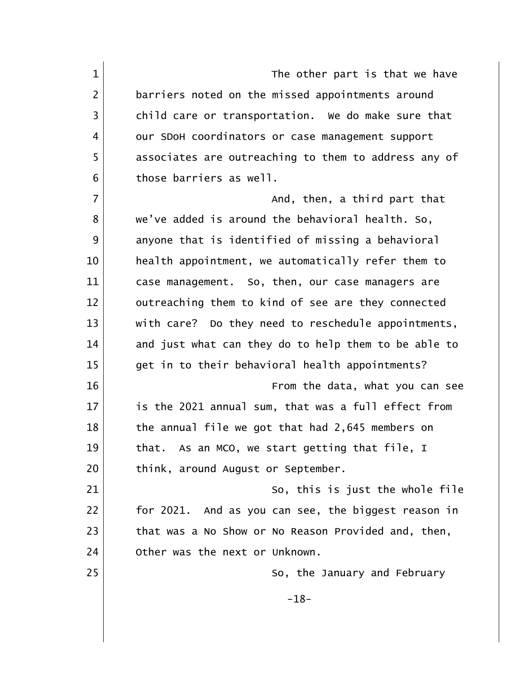1 and 1 The other part is that we have 2 barriers noted on the missed appointments around 3 child care or transportation. We do make sure that 4 our SDoH coordinators or case management support 5 associates are outreaching to them to address any of 6 those barriers as well. 7 and, then, a third part that 8 we've added is around the behavioral health. So, 9 anyone that is identified of missing a behavioral 10 health appointment, we automatically refer them to 11 case management. So, then, our case managers are 12 outreaching them to kind of see are they connected 13 with care? Do they need to reschedule appointments, 14 and just what can they do to help them to be able to 15 qet in to their behavioral health appointments? 16 From the data, what you can see 17 is the 2021 annual sum, that was a full effect from 18 the annual file we got that had 2,645 members on 19 10 that. As an MCO, we start getting that file, I 20 | think, around August or September. 21 So, this is just the whole file 22 for 2021. And as you can see, the biggest reason in 23 that was a No Show or No Reason Provided and, then, 24 Other was the next or Unknown. 25 So, the January and February -18-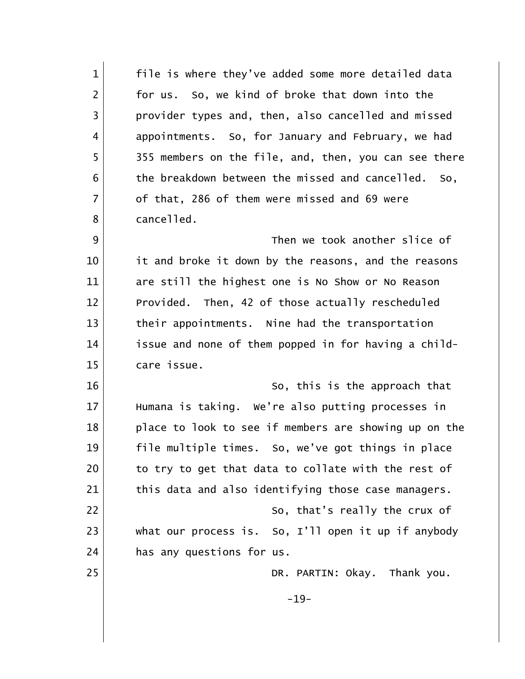| $\mathbf{1}$   | file is where they've added some more detailed data    |
|----------------|--------------------------------------------------------|
| $\overline{2}$ | for us. So, we kind of broke that down into the        |
| 3              | provider types and, then, also cancelled and missed    |
| 4              | appointments. So, for January and February, we had     |
| 5              | 355 members on the file, and, then, you can see there  |
| 6              | the breakdown between the missed and cancelled. So,    |
| $\overline{7}$ | of that, 286 of them were missed and 69 were           |
| 8              | cancelled.                                             |
| 9              | Then we took another slice of                          |
| 10             | it and broke it down by the reasons, and the reasons   |
| 11             | are still the highest one is No Show or No Reason      |
| 12             | Provided. Then, 42 of those actually rescheduled       |
| 13             | their appointments. Nine had the transportation        |
| 14             | issue and none of them popped in for having a child-   |
| 15             | care issue.                                            |
| 16             | So, this is the approach that                          |
| 17             | Humana is taking. We're also putting processes in      |
| 18             | place to look to see if members are showing up on the  |
| 19             | file multiple times. So, we've got things in place     |
| 20             | to try to get that data to collate with the rest of    |
| 21             | this data and also identifying those case managers.    |
| 22             | So, that's really the crux of                          |
| 23             | what our process is. So, $I'$ ll open it up if anybody |
| 24             | has any questions for us.                              |
| 25             | DR. PARTIN: Okay. Thank you.                           |
|                | $-19-$                                                 |
|                |                                                        |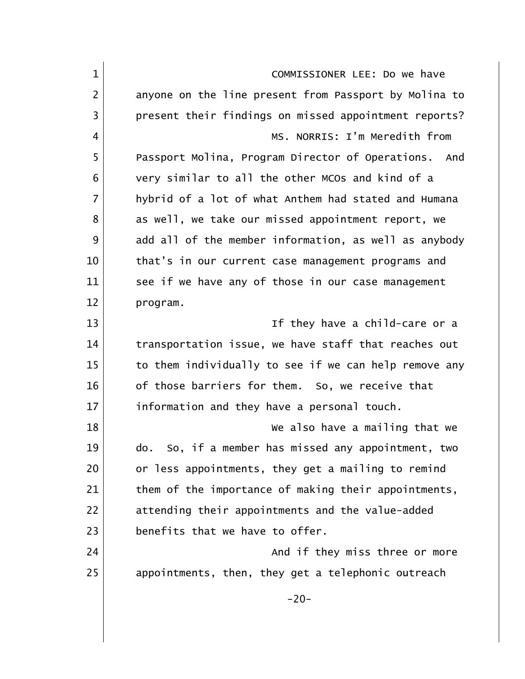| $\mathbf{1}$   | COMMISSIONER LEE: Do we have                          |
|----------------|-------------------------------------------------------|
| $\overline{2}$ | anyone on the line present from Passport by Molina to |
| 3              | present their findings on missed appointment reports? |
| 4              | MS. NORRIS: I'm Meredith from                         |
| 5              | Passport Molina, Program Director of Operations. And  |
| 6              | very similar to all the other MCOs and kind of a      |
| $\overline{7}$ | hybrid of a lot of what Anthem had stated and Humana  |
| 8              | as well, we take our missed appointment report, we    |
| 9              | add all of the member information, as well as anybody |
| 10             | that's in our current case management programs and    |
| 11             | see if we have any of those in our case management    |
| 12             | program.                                              |
| 13             | If they have a child-care or a                        |
| 14             | transportation issue, we have staff that reaches out  |
| 15             | to them individually to see if we can help remove any |
| 16             | of those barriers for them. So, we receive that       |
| 17             | information and they have a personal touch.           |
| 18             | We also have a mailing that we                        |
| 19             | do. So, if a member has missed any appointment, two   |
| 20             | or less appointments, they get a mailing to remind    |
| 21             | them of the importance of making their appointments,  |
| 22             | attending their appointments and the value-added      |
| 23             | benefits that we have to offer.                       |
| 24             | And if they miss three or more                        |
| 25             | appointments, then, they get a telephonic outreach    |
|                | $-20-$                                                |
|                |                                                       |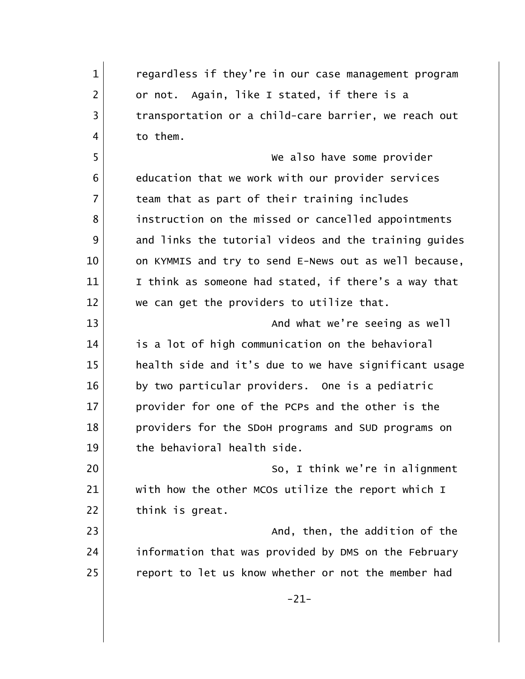1 regardless if they're in our case management program 2 or not. Again, like I stated, if there is a 3 transportation or a child-care barrier, we reach out 4 to them. 5 We also have some provider 6 6 6 education that we work with our provider services 7 team that as part of their training includes 8 instruction on the missed or cancelled appointments 9 and links the tutorial videos and the training quides 10 on KYMMIS and try to send E-News out as well because, 11 I think as someone had stated, if there's a way that 12 we can get the providers to utilize that. 13 and what we're seeing as well what we're seeing as well 14 is a lot of high communication on the behavioral 15 health side and it's due to we have significant usage 16 by two particular providers. One is a pediatric 17 provider for one of the PCPs and the other is the 18 providers for the SDoH programs and SUD programs on 19 the behavioral health side. 20 | Constant County So, I think we're in alignment 21 with how the other MCOs utilize the report which I 22 think is great. 23 and, then, the addition of the 123 24 information that was provided by DMS on the February 25 report to let us know whether or not the member had -21-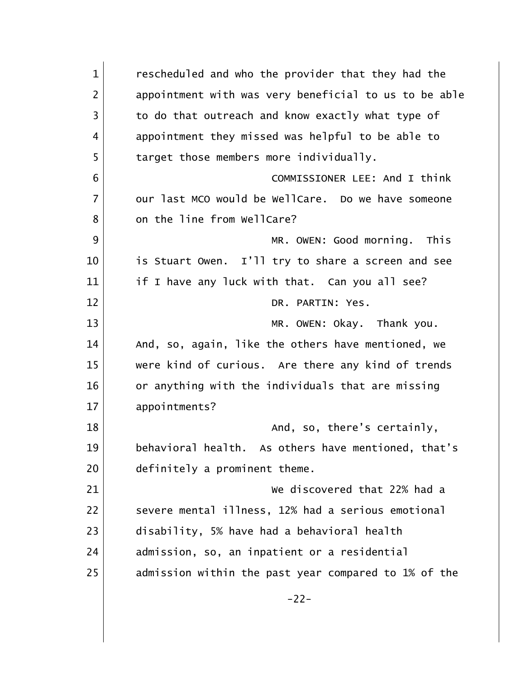| $\mathbf{1}$   | rescheduled and who the provider that they had the    |
|----------------|-------------------------------------------------------|
| $\overline{2}$ | appointment with was very beneficial to us to be able |
| $\overline{3}$ | to do that outreach and know exactly what type of     |
| 4              | appointment they missed was helpful to be able to     |
| 5              | target those members more individually.               |
| 6              | COMMISSIONER LEE: And I think                         |
| $\overline{7}$ | our last MCO would be WellCare. Do we have someone    |
| 8              | on the line from WellCare?                            |
| 9              | MR. OWEN: Good morning. This                          |
| 10             | is Stuart Owen. I'll try to share a screen and see    |
| 11             | if I have any luck with that. Can you all see?        |
| 12             | DR. PARTIN: Yes.                                      |
| 13             | MR. OWEN: Okay. Thank you.                            |
| 14             | And, so, again, like the others have mentioned, we    |
| 15             | were kind of curious. Are there any kind of trends    |
| 16             | or anything with the individuals that are missing     |
| 17             | appointments?                                         |
| 18             | And, so, there's certainly,                           |
| 19             | behavioral health. As others have mentioned, that's   |
| 20             | definitely a prominent theme.                         |
| 21             | We discovered that 22% had a                          |
| 22             | severe mental illness, 12% had a serious emotional    |
| 23             | disability, 5% have had a behavioral health           |
| 24             | admission, so, an inpatient or a residential          |
| 25             | admission within the past year compared to 1% of the  |
|                | $-22-$                                                |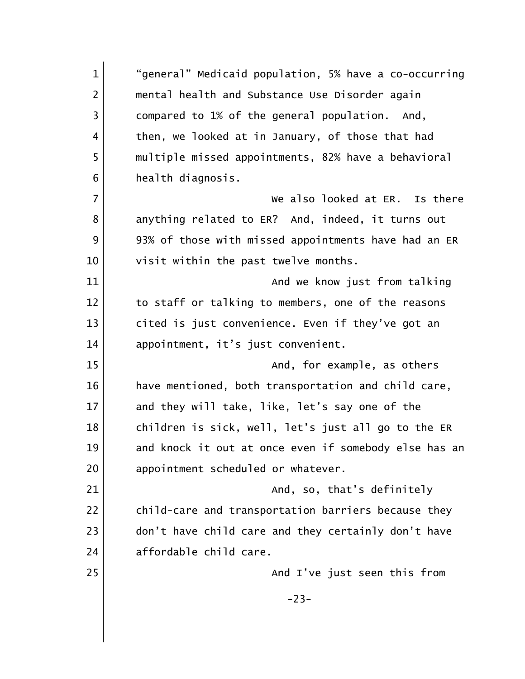1 "general" Medicaid population, 5% have a co-occurring 2 | mental health and Substance Use Disorder again 3 | compared to 1% of the general population. And, 4 | then, we looked at in January, of those that had 5 multiple missed appointments, 82% have a behavioral 6 **health** diagnosis. 7 We also looked at ER. Is there 8 anything related to ER? And, indeed, it turns out 9 93% of those with missed appointments have had an ER 10 visit within the past twelve months. 11 and we know just from talking 12 to staff or talking to members, one of the reasons 13 cited is just convenience. Even if they've got an 14 appointment, it's just convenient. 15 and, for example, as others and, the sample of  $\sim$  And, for example, as others 16 have mentioned, both transportation and child care, 17 and they will take, like, let's say one of the 18 children is sick, well, let's just all go to the ER 19 and knock it out at once even if somebody else has an 20 appointment scheduled or whatever. 21 and, so, that's definitely 22 child-care and transportation barriers because they 23 don't have child care and they certainly don't have 24 affordable child care. 25 and I've just seen this from -23-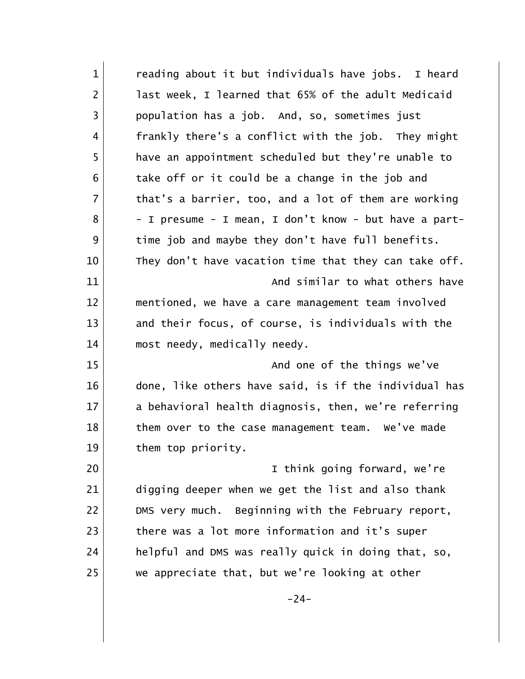| $\mathbf{1}$   | reading about it but individuals have jobs. I heard   |
|----------------|-------------------------------------------------------|
| $\overline{2}$ | last week, I learned that 65% of the adult Medicaid   |
| 3              | population has a job. And, so, sometimes just         |
| 4              | frankly there's a conflict with the job. They might   |
| 5              | have an appointment scheduled but they're unable to   |
| 6              | take off or it could be a change in the job and       |
| $\overline{7}$ | that's a barrier, too, and a lot of them are working  |
| 8              | - I presume - I mean, I don't know - but have a part- |
| 9              | time job and maybe they don't have full benefits.     |
| 10             | They don't have vacation time that they can take off. |
| 11             | And similar to what others have                       |
| 12             | mentioned, we have a care management team involved    |
| 13             | and their focus, of course, is individuals with the   |
| 14             | most needy, medically needy.                          |
| 15             | And one of the things we've                           |
| 16             | done, like others have said, is if the individual has |
| 17             | a behavioral health diagnosis, then, we're referring  |
| 18             | them over to the case management team. We've made     |
| 19             | them top priority.                                    |
| 20             | I think going forward, we're                          |
| 21             | digging deeper when we get the list and also thank    |
| 22             | DMS very much. Beginning with the February report,    |
| 23             | there was a lot more information and it's super       |
| 24             | helpful and DMS was really quick in doing that, so,   |
| 25             | we appreciate that, but we're looking at other        |
|                | $-24-$                                                |
|                |                                                       |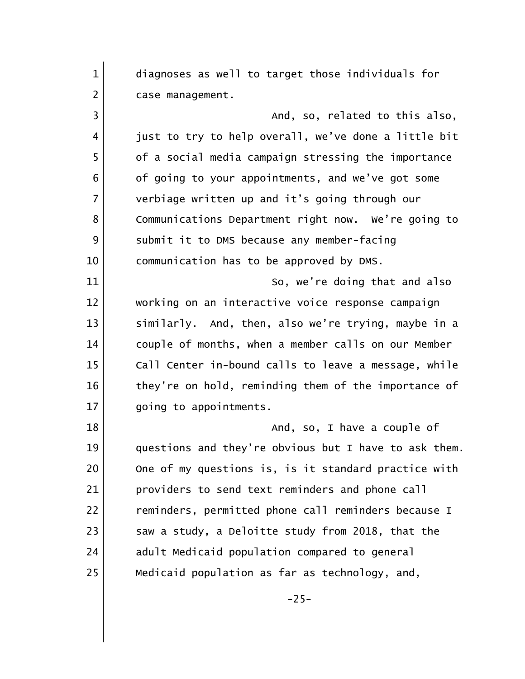1 diagnoses as well to target those individuals for 2 | case management. 3 | Constant of the south of the same stated to this also, 4 just to try to help overall, we've done a little bit 5 of a social media campaign stressing the importance 6 of going to your appointments, and we've got some 7 verbiage written up and it's going through our 8 Communications Department right now. We're going to 9 Submit it to DMS because any member-facing 10 communication has to be approved by DMS. 11 So, we're doing that and also 12 working on an interactive voice response campaign 13 similarly. And, then, also we're trying, maybe in a 14 couple of months, when a member calls on our Member 15 Call Center in-bound calls to leave a message, while 16 they're on hold, reminding them of the importance of 17 going to appointments. 18 and, so, I have a couple of 19 questions and they're obvious but I have to ask them. 20 One of my questions is, is it standard practice with 21 providers to send text reminders and phone call 22 reminders, permitted phone call reminders because I 23 Saw a study, a Deloitte study from 2018, that the 24 adult Medicaid population compared to general 25 Medicaid population as far as technology, and,  $-25-$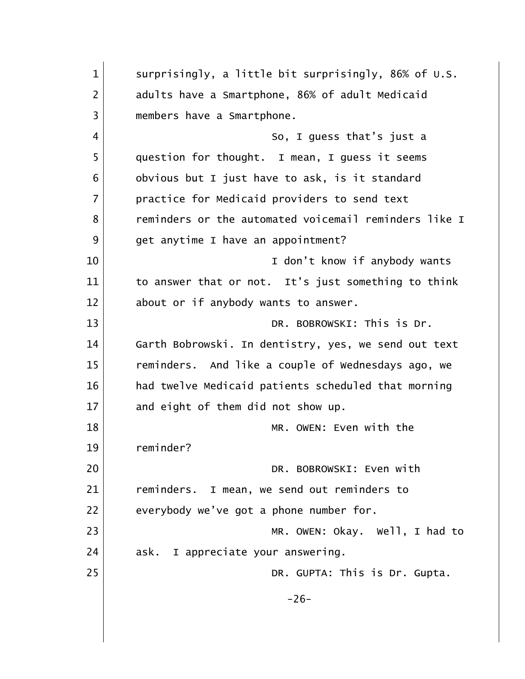| $\mathbf{1}$   | surprisingly, a little bit surprisingly, 86% of U.S.  |
|----------------|-------------------------------------------------------|
| $\overline{2}$ | adults have a Smartphone, 86% of adult Medicaid       |
| 3              | members have a Smartphone.                            |
| 4              | So, I guess that's just a                             |
| 5              | question for thought. I mean, I guess it seems        |
| 6              | obvious but I just have to ask, is it standard        |
| $\overline{7}$ | practice for Medicaid providers to send text          |
| 8              | reminders or the automated voicemail reminders like I |
| 9              | get anytime I have an appointment?                    |
| 10             | I don't know if anybody wants                         |
| 11             | to answer that or not. It's just something to think   |
| 12             | about or if anybody wants to answer.                  |
| 13             | DR. BOBROWSKI: This is Dr.                            |
| 14             | Garth Bobrowski. In dentistry, yes, we send out text  |
| 15             | reminders. And like a couple of Wednesdays ago, we    |
| 16             | had twelve Medicaid patients scheduled that morning   |
| 17             | and eight of them did not show up.                    |
| 18             | MR. OWEN: Even with the                               |
| 19             | reminder?                                             |
| 20             | DR. BOBROWSKI: Even with                              |
| 21             | reminders. I mean, we send out reminders to           |
| 22             | everybody we've got a phone number for.               |
| 23             | MR. OWEN: Okay. Well, I had to                        |
| 24             | ask. I appreciate your answering.                     |
| 25             | DR. GUPTA: This is Dr. Gupta.                         |
|                | $-26-$                                                |
|                |                                                       |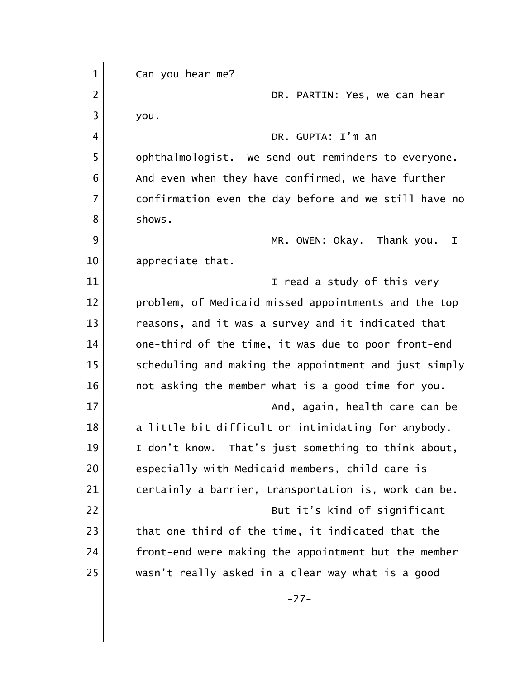| $\mathbf 1$    | Can you hear me?                                      |
|----------------|-------------------------------------------------------|
| $\overline{2}$ | DR. PARTIN: Yes, we can hear                          |
| 3              | you.                                                  |
| 4              | DR. GUPTA: I'm an                                     |
| 5              | ophthalmologist. We send out reminders to everyone.   |
| 6              | And even when they have confirmed, we have further    |
| $\overline{7}$ | confirmation even the day before and we still have no |
| 8              | shows.                                                |
| 9              | MR. OWEN: Okay. Thank you.<br>Ι.                      |
| 10             | appreciate that.                                      |
| 11             | I read a study of this very                           |
| 12             | problem, of Medicaid missed appointments and the top  |
| 13             | reasons, and it was a survey and it indicated that    |
| 14             | one-third of the time, it was due to poor front-end   |
| 15             | scheduling and making the appointment and just simply |
| 16             | not asking the member what is a good time for you.    |
| 17             | And, again, health care can be                        |
| 18             | a little bit difficult or intimidating for anybody.   |
| 19             | I don't know. That's just something to think about,   |
| 20             | especially with Medicaid members, child care is       |
| 21             | certainly a barrier, transportation is, work can be.  |
| 22             | But it's kind of significant                          |
| 23             | that one third of the time, it indicated that the     |
| 24             | front-end were making the appointment but the member  |
| 25             | wasn't really asked in a clear way what is a good     |
|                | $-27-$                                                |
|                |                                                       |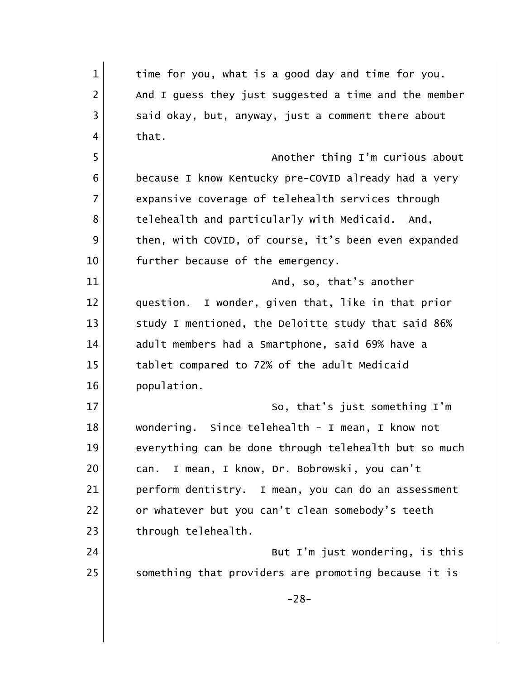| $\mathbf 1$    | time for you, what is a good day and time for you.    |
|----------------|-------------------------------------------------------|
| 2              | And I guess they just suggested a time and the member |
| 3              | said okay, but, anyway, just a comment there about    |
| 4              | that.                                                 |
| 5              | Another thing I'm curious about                       |
| 6              | because I know Kentucky pre-COVID already had a very  |
| $\overline{7}$ | expansive coverage of telehealth services through     |
| 8              | telehealth and particularly with Medicaid. And,       |
| 9              | then, with COVID, of course, it's been even expanded  |
| 10             | further because of the emergency.                     |
| 11             | And, so, that's another                               |
| 12             | question. I wonder, given that, like in that prior    |
| 13             | study I mentioned, the Deloitte study that said 86%   |
| 14             | adult members had a Smartphone, said 69% have a       |
| 15             | tablet compared to 72% of the adult Medicaid          |
| 16             | population.                                           |
| 17             | So, that's just something I'm                         |
| 18             | wondering. Since telehealth - I mean, I know not      |
| 19             | everything can be done through telehealth but so much |
| 20             | I mean, I know, Dr. Bobrowski, you can't<br>can.      |
| 21             | perform dentistry. I mean, you can do an assessment   |
| 22             | or whatever but you can't clean somebody's teeth      |
| 23             | through telehealth.                                   |
| 24             | But I'm just wondering, is this                       |
| 25             | something that providers are promoting because it is  |
|                | $-28-$                                                |
|                |                                                       |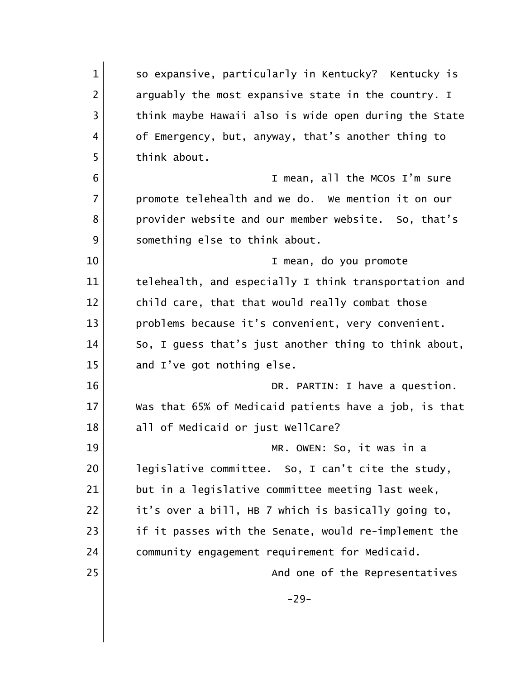| $\mathbf{1}$   | so expansive, particularly in Kentucky? Kentucky is   |
|----------------|-------------------------------------------------------|
| $\overline{2}$ | arguably the most expansive state in the country. I   |
| 3              | think maybe Hawaii also is wide open during the State |
| 4              | of Emergency, but, anyway, that's another thing to    |
| 5              | think about.                                          |
| 6              | I mean, all the MCOs I'm sure                         |
| $\overline{7}$ | promote telehealth and we do. We mention it on our    |
| 8              | provider website and our member website. So, that's   |
| 9              | something else to think about.                        |
| 10             | I mean, do you promote                                |
| 11             | telehealth, and especially I think transportation and |
| 12             | child care, that that would really combat those       |
| 13             | problems because it's convenient, very convenient.    |
| 14             | So, I guess that's just another thing to think about, |
| 15             | and I've got nothing else.                            |
| 16             | DR. PARTIN: I have a question.                        |
| 17             | Was that 65% of Medicaid patients have a job, is that |
| 18             | all of Medicaid or just WellCare?                     |
| 19             | MR. OWEN: So, it was in a                             |
| 20             | legislative committee. So, I can't cite the study,    |
| 21             | but in a legislative committee meeting last week,     |
| 22             | it's over a bill, HB 7 which is basically going to,   |
| 23             | if it passes with the Senate, would re-implement the  |
| 24             | community engagement requirement for Medicaid.        |
| 25             | And one of the Representatives                        |
|                | $-29-$                                                |
|                |                                                       |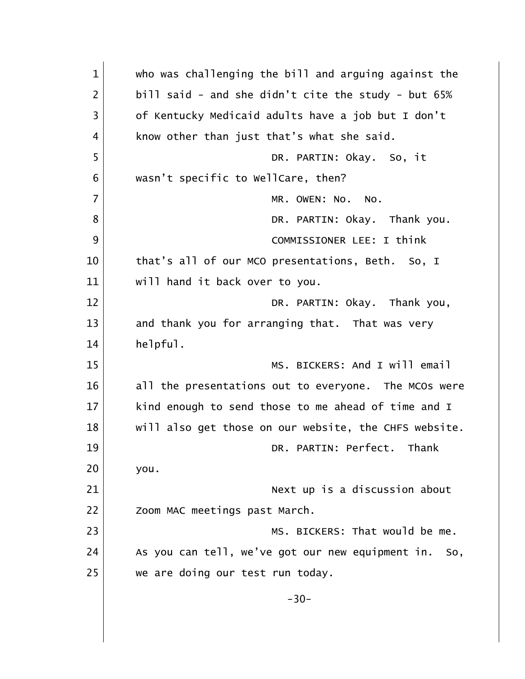1 who was challenging the bill and arguing against the  $2$  bill said - and she didn't cite the study - but 65% 3 of Kentucky Medicaid adults have a job but I don't 4 know other than just that's what she said. 5 DR. PARTIN: Okay. So, it 6 wasn't specific to WellCare, then? 7 MR. OWEN: NO. NO. 8 DR. PARTIN: Okay. Thank you. 9 COMMISSIONER LEE: I think 10 that's all of our MCO presentations, Beth. So, I 11 | will hand it back over to you. 12 DR. PARTIN: Okay. Thank you, 13 and thank you for arranging that. That was very 14 helpful. 15 MS. BICKERS: And I will email 16 all the presentations out to everyone. The MCOs were 17 kind enough to send those to me ahead of time and I 18 | will also get those on our website, the CHFS website. 19 DR. PARTIN: Perfect. Thank 20 you. 21 | Next up is a discussion about 22 | Zoom MAC meetings past March. 23 MS. BICKERS: That would be me. 24 As you can tell, we've got our new equipment in. So, 25 we are doing our test run today.  $-30-$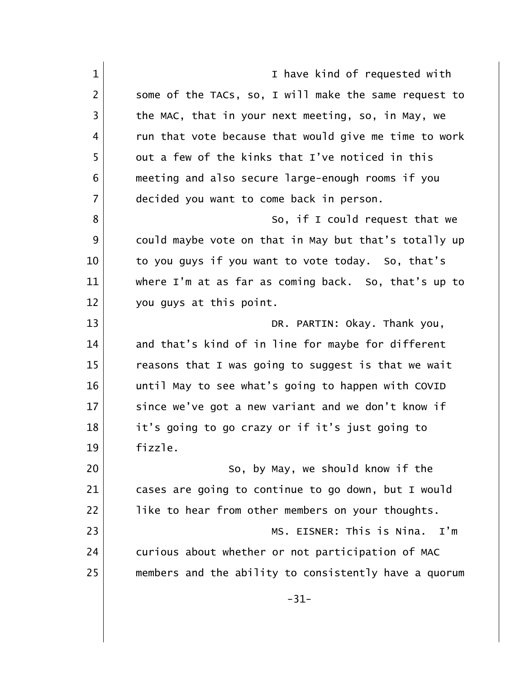1 and 1 I have kind of requested with 2 Some of the TACs, so, I will make the same request to  $3$  the MAC, that in your next meeting, so, in May, we 4 a run that vote because that would give me time to work 5 out a few of the kinks that I've noticed in this 6 meeting and also secure large-enough rooms if you 7 decided you want to come back in person. 8 So, if I could request that we 9 could maybe vote on that in May but that's totally up 10 to you guys if you want to vote today. So, that's 11 where I'm at as far as coming back. So, that's up to 12 you guys at this point. 13 DR. PARTIN: Okay. Thank you, 14 and that's kind of in line for maybe for different 15 reasons that I was going to suggest is that we wait 16 until May to see what's going to happen with COVID 17 Since we've got a new variant and we don't know if 18 it's going to go crazy or if it's just going to 19 fizzle. 20 So, by May, we should know if the 21 cases are going to continue to go down, but I would 22 like to hear from other members on your thoughts. 23 MS. EISNER: This is Nina. I'm 24 curious about whether or not participation of MAC 25 members and the ability to consistently have a quorum -31-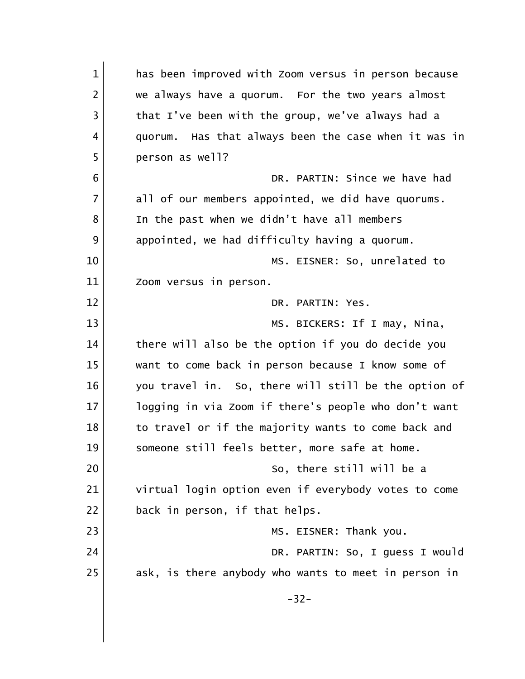| $\mathbf{1}$   | has been improved with Zoom versus in person because |
|----------------|------------------------------------------------------|
| $\overline{2}$ | we always have a quorum. For the two years almost    |
| 3              | that I've been with the group, we've always had a    |
| 4              | quorum. Has that always been the case when it was in |
| 5              | person as well?                                      |
| 6              | DR. PARTIN: Since we have had                        |
| $\overline{7}$ | all of our members appointed, we did have quorums.   |
| 8              | In the past when we didn't have all members          |
| 9              | appointed, we had difficulty having a quorum.        |
| 10             | MS. EISNER: So, unrelated to                         |
| 11             | Zoom versus in person.                               |
| 12             | DR. PARTIN: Yes.                                     |
| 13             | MS. BICKERS: If I may, Nina,                         |
| 14             | there will also be the option if you do decide you   |
| 15             | want to come back in person because I know some of   |
| 16             | you travel in. So, there will still be the option of |
| 17             | logging in via Zoom if there's people who don't want |
| 18             | to travel or if the majority wants to come back and  |
| 19             | someone still feels better, more safe at home.       |
| 20             | So, there still will be a                            |
| 21             | virtual login option even if everybody votes to come |
| 22             | back in person, if that helps.                       |
| 23             | MS. EISNER: Thank you.                               |
| 24             | DR. PARTIN: So, I guess I would                      |
| 25             | ask, is there anybody who wants to meet in person in |
|                | $-32-$                                               |
|                |                                                      |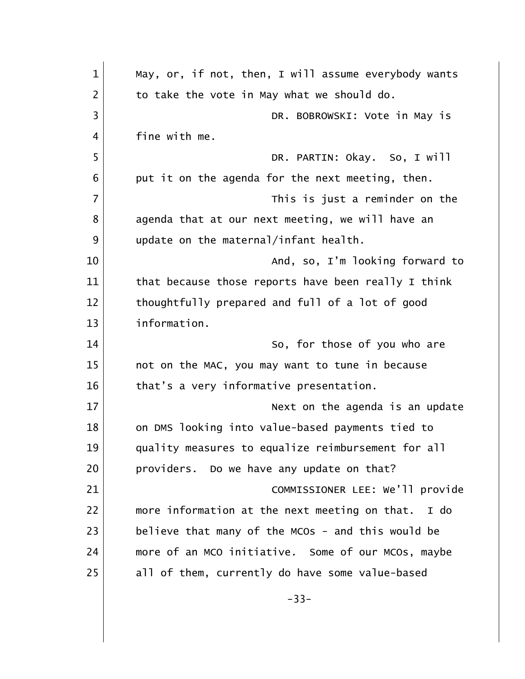| $\mathbf 1$    | May, or, if not, then, I will assume everybody wants |
|----------------|------------------------------------------------------|
| $\overline{2}$ | to take the vote in May what we should do.           |
| 3              | DR. BOBROWSKI: Vote in May is                        |
| 4              | fine with me.                                        |
| 5              | DR. PARTIN: Okay. So, I will                         |
| 6              | put it on the agenda for the next meeting, then.     |
| $\overline{7}$ | This is just a reminder on the                       |
| 8              | agenda that at our next meeting, we will have an     |
| 9              | update on the maternal/infant health.                |
| 10             | And, so, I'm looking forward to                      |
| 11             | that because those reports have been really I think  |
| 12             | thoughtfully prepared and full of a lot of good      |
| 13             | information.                                         |
| 14             | So, for those of you who are                         |
| 15             | not on the MAC, you may want to tune in because      |
| 16             | that's a very informative presentation.              |
| 17             | Next on the agenda is an update                      |
| 18             | on DMS looking into value-based payments tied to     |
| 19             | quality measures to equalize reimbursement for all   |
| 20             | providers. Do we have any update on that?            |
| 21             | COMMISSIONER LEE: We'll provide                      |
| 22             | more information at the next meeting on that. I do   |
| 23             | believe that many of the MCOs - and this would be    |
| 24             | more of an MCO initiative. Some of our MCOs, maybe   |
| 25             | all of them, currently do have some value-based      |
|                | $-33-$                                               |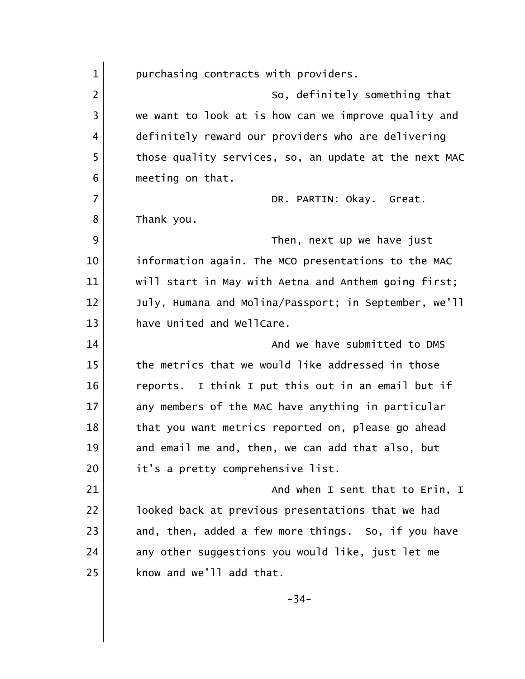1 purchasing contracts with providers. 2 So, definitely something that 3 we want to look at is how can we improve quality and 4 definitely reward our providers who are delivering 5 those quality services, so, an update at the next MAC 6 meeting on that. 7 DR. PARTIN: Okay. Great. 8 Thank you. 9 and  $\frac{9}{100}$  Then, next up we have just 10 information again. The MCO presentations to the MAC 11 | will start in May with Aetna and Anthem going first; 12 July, Humana and Molina/Passport; in September, we'll 13 have United and WellCare. 14 and we have submitted to DMS 15 the metrics that we would like addressed in those 16 reports. I think I put this out in an email but if 17 any members of the MAC have anything in particular 18 that you want metrics reported on, please go ahead 19 and email me and, then, we can add that also, but 20 it's a pretty comprehensive list. 21 and when I sent that to Erin, I 22 **luboat 1** looked back at previous presentations that we had 23 and, then, added a few more things. So, if you have 24 any other suggestions you would like, just let me  $25$  know and we'll add that. -34-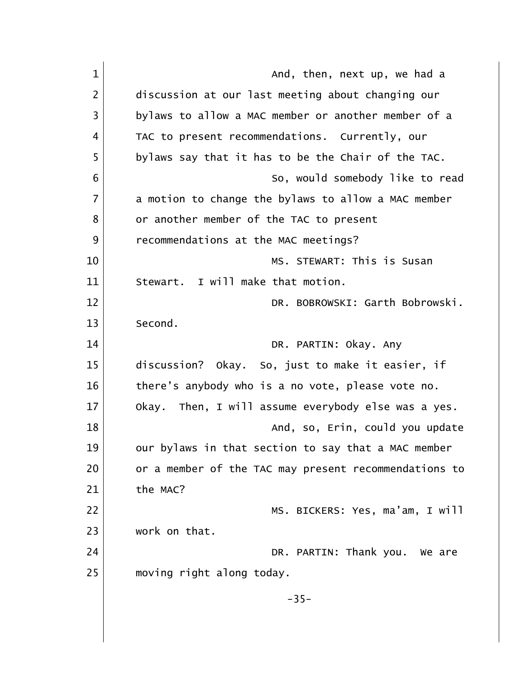| $\mathbf{1}$   | And, then, next up, we had a                          |
|----------------|-------------------------------------------------------|
| $\overline{2}$ | discussion at our last meeting about changing our     |
| 3              | bylaws to allow a MAC member or another member of a   |
| 4              | TAC to present recommendations. Currently, our        |
| 5              | bylaws say that it has to be the Chair of the TAC.    |
| 6              | So, would somebody like to read                       |
| 7              | a motion to change the bylaws to allow a MAC member   |
| 8              | or another member of the TAC to present               |
| 9              | recommendations at the MAC meetings?                  |
| 10             | MS. STEWART: This is Susan                            |
| 11             | Stewart. I will make that motion.                     |
| 12             | DR. BOBROWSKI: Garth Bobrowski.                       |
| 13             | Second.                                               |
| 14             | DR. PARTIN: Okay. Any                                 |
| 15             | discussion? Okay. So, just to make it easier, if      |
| 16             | there's anybody who is a no vote, please vote no.     |
| 17             | Okay. Then, I will assume everybody else was a yes.   |
| 18             | And, so, Erin, could you update                       |
| 19             | our bylaws in that section to say that a MAC member   |
| 20             | or a member of the TAC may present recommendations to |
| 21             | the MAC?                                              |
| 22             | MS. BICKERS: Yes, ma'am, I will                       |
| 23             | work on that.                                         |
| 24             | DR. PARTIN: Thank you. We are                         |
| 25             | moving right along today.                             |
|                | $-35-$                                                |
|                |                                                       |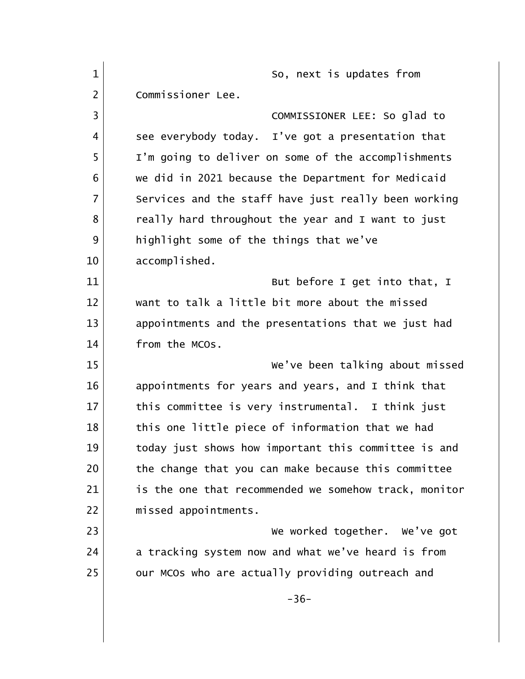| $\mathbf{1}$   | So, next is updates from                              |
|----------------|-------------------------------------------------------|
| $\overline{2}$ | Commissioner Lee.                                     |
| 3              | COMMISSIONER LEE: So glad to                          |
| 4              | see everybody today. I've got a presentation that     |
| 5              | I'm going to deliver on some of the accomplishments   |
| 6              | we did in 2021 because the Department for Medicaid    |
| $\overline{7}$ | Services and the staff have just really been working  |
| 8              | really hard throughout the year and I want to just    |
| 9              | highlight some of the things that we've               |
| 10             | accomplished.                                         |
| 11             | But before I get into that, I                         |
| 12             | want to talk a little bit more about the missed       |
| 13             | appointments and the presentations that we just had   |
| 14             | from the MCOs.                                        |
| 15             | We've been talking about missed                       |
| 16             | appointments for years and years, and I think that    |
| 17             | this committee is very instrumental. I think just     |
| 18             | this one little piece of information that we had      |
| 19             | today just shows how important this committee is and  |
| 20             | the change that you can make because this committee   |
| 21             | is the one that recommended we somehow track, monitor |
| 22             | missed appointments.                                  |
| 23             | We worked together. We've got                         |
| 24             | a tracking system now and what we've heard is from    |
| 25             | our MCOs who are actually providing outreach and      |
|                | $-36-$                                                |
|                |                                                       |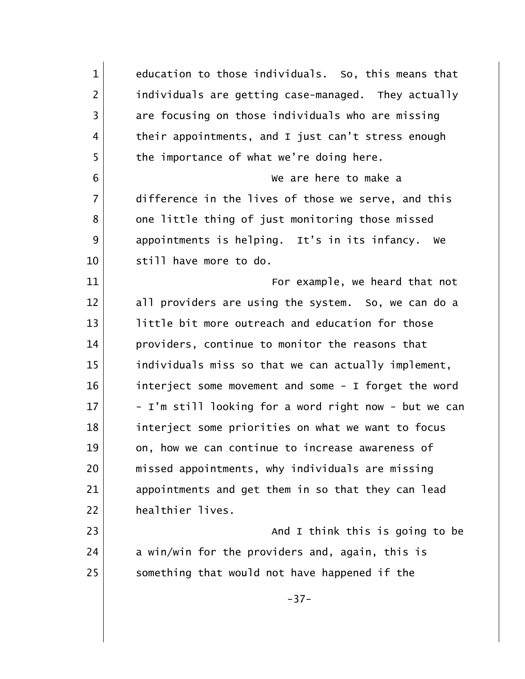1 education to those individuals. So, this means that 2 **individuals are getting case-managed.** They actually 3 are focusing on those individuals who are missing 4 their appointments, and I just can't stress enough 5 the importance of what we're doing here. 6 We are here to make a 7 difference in the lives of those we serve, and this 8 one little thing of just monitoring those missed 9 appointments is helping. It's in its infancy. We 10 Still have more to do. 11 For example, we heard that not 12 all providers are using the system. So, we can do a 13 little bit more outreach and education for those 14 providers, continue to monitor the reasons that 15 individuals miss so that we can actually implement, 16 interject some movement and some - I forget the word  $17$  - I'm still looking for a word right now - but we can 18 interject some priorities on what we want to focus 19 on, how we can continue to increase awareness of 20 missed appointments, why individuals are missing 21 appointments and get them in so that they can lead 22 healthier lives. 23 and I think this is going to be  $\overline{a}$  $24$  a win/win for the providers and, again, this is 25 Something that would not have happened if the -37-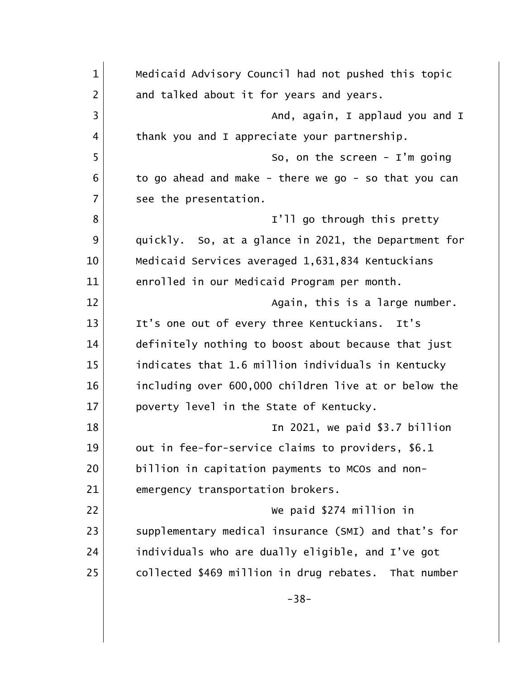1 Medicaid Advisory Council had not pushed this topic 2 and talked about it for years and years. 3 |  $\blacksquare$  And, again, I applaud you and I 4 | thank you and I appreciate your partnership. 5 So, on the screen - I'm going  $6$  to go ahead and make - there we go - so that you can 7 See the presentation. 8 | Solution 1'll go through this pretty 9 quickly. So, at a glance in 2021, the Department for 10 Medicaid Services averaged 1,631,834 Kentuckians 11 enrolled in our Medicaid Program per month. 12 again, this is a large number. 13 It's one out of every three Kentuckians. It's 14 definitely nothing to boost about because that just 15 indicates that 1.6 million individuals in Kentucky 16 including over 600,000 children live at or below the 17 poverty level in the State of Kentucky. 18 In 2021, we paid \$3.7 billion 19 out in fee-for-service claims to providers, \$6.1 20 billion in capitation payments to MCOs and non-21 emergency transportation brokers. 22 We paid \$274 million in 23 Supplementary medical insurance (SMI) and that's for 24 individuals who are dually eligible, and I've got 25 collected \$469 million in drug rebates. That number -38-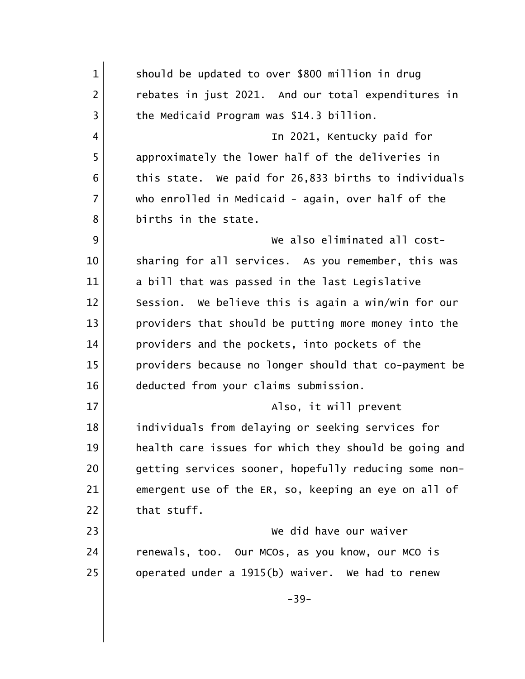1 Should be updated to over \$800 million in drug 2 rebates in just 2021. And our total expenditures in 3 the Medicaid Program was \$14.3 billion. 4 In 2021, Kentucky paid for 5 approximately the lower half of the deliveries in  $6$  this state. We paid for 26,833 births to individuals 7 who enrolled in Medicaid - again, over half of the 8 births in the state. 9 We also eliminated all cost-10 Sharing for all services. As you remember, this was 11 a bill that was passed in the last Legislative 12 Session. We believe this is again a win/win for our 13 providers that should be putting more money into the 14 providers and the pockets, into pockets of the 15 providers because no longer should that co-payment be 16 deducted from your claims submission. 17 also, it will prevent 18 individuals from delaying or seeking services for 19 | health care issues for which they should be going and 20 getting services sooner, hopefully reducing some non-21 emergent use of the ER, so, keeping an eye on all of  $22$  that stuff. 23 We did have our waiver 24 renewals, too. Our MCOs, as you know, our MCO is 25 operated under a 1915(b) waiver. We had to renew -39-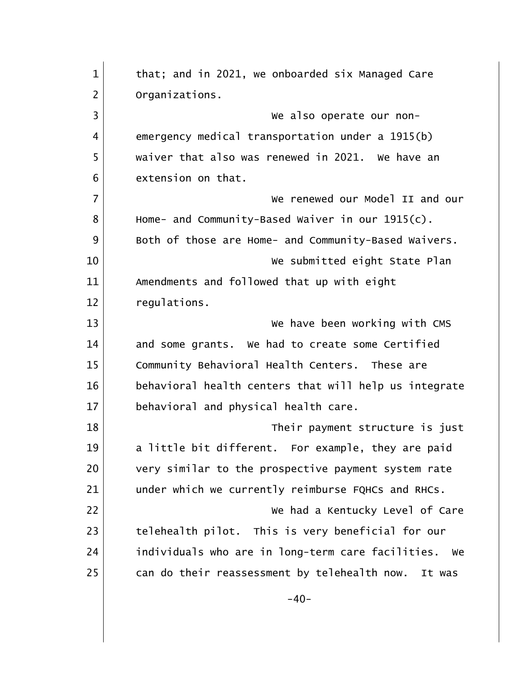| $\mathbf{1}$   | that; and in 2021, we onboarded six Managed Care        |
|----------------|---------------------------------------------------------|
| $\overline{2}$ | Organizations.                                          |
| 3              | We also operate our non-                                |
| 4              | emergency medical transportation under a 1915(b)        |
| 5              | waiver that also was renewed in 2021. We have an        |
| 6              | extension on that.                                      |
| $\overline{7}$ | We renewed our Model II and our                         |
| 8              | Home- and Community-Based Waiver in our 1915(c).        |
| 9              | Both of those are Home- and Community-Based Waivers.    |
| 10             | We submitted eight State Plan                           |
| 11             | Amendments and followed that up with eight              |
| 12             | regulations.                                            |
| 13             | We have been working with CMS                           |
| 14             | and some grants. We had to create some Certified        |
| 15             | Community Behavioral Health Centers. These are          |
| 16             | behavioral health centers that will help us integrate   |
| 17             | behavioral and physical health care.                    |
| 18             | Their payment structure is just                         |
| 19             | a little bit different. For example, they are paid      |
| 20             | very similar to the prospective payment system rate     |
| 21             | under which we currently reimburse FQHCs and RHCs.      |
| 22             | We had a Kentucky Level of Care                         |
| 23             | telehealth pilot. This is very beneficial for our       |
| 24             | individuals who are in long-term care facilities.<br>we |
| 25             | can do their reassessment by telehealth now.<br>It was  |
|                | $-40-$                                                  |
|                |                                                         |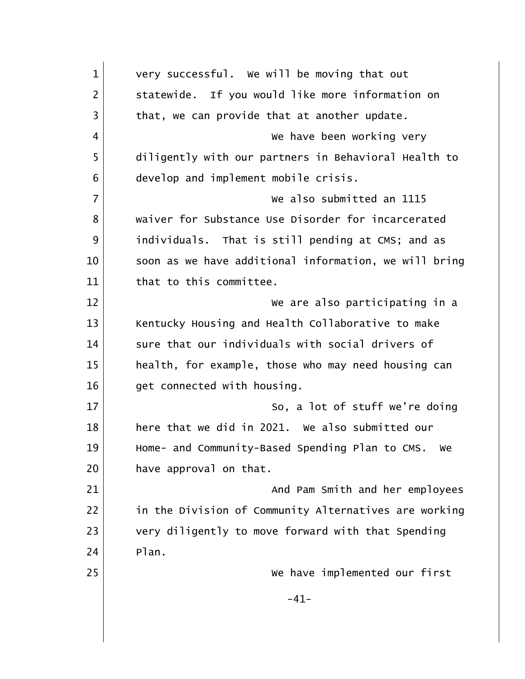| $\mathbf{1}$   | very successful. We will be moving that out           |
|----------------|-------------------------------------------------------|
| $\overline{2}$ | statewide. If you would like more information on      |
| 3              | that, we can provide that at another update.          |
| 4              | We have been working very                             |
| 5              | diligently with our partners in Behavioral Health to  |
| 6              | develop and implement mobile crisis.                  |
| $\overline{7}$ | We also submitted an 1115                             |
| 8              | waiver for Substance Use Disorder for incarcerated    |
| 9              | individuals. That is still pending at CMS; and as     |
| 10             | soon as we have additional information, we will bring |
| 11             | that to this committee.                               |
| 12             | We are also participating in a                        |
| 13             | Kentucky Housing and Health Collaborative to make     |
| 14             | sure that our individuals with social drivers of      |
| 15             | health, for example, those who may need housing can   |
| 16             | get connected with housing.                           |
| 17             | So, a lot of stuff we're doing                        |
| 18             | here that we did in 2021. We also submitted our       |
| 19             | Home- and Community-Based Spending Plan to CMS. We    |
| 20             | have approval on that.                                |
| 21             | And Pam Smith and her employees                       |
| 22             | in the Division of Community Alternatives are working |
| 23             | very diligently to move forward with that Spending    |
| 24             | Plan.                                                 |
| 25             | We have implemented our first                         |
|                | $-41-$                                                |
|                |                                                       |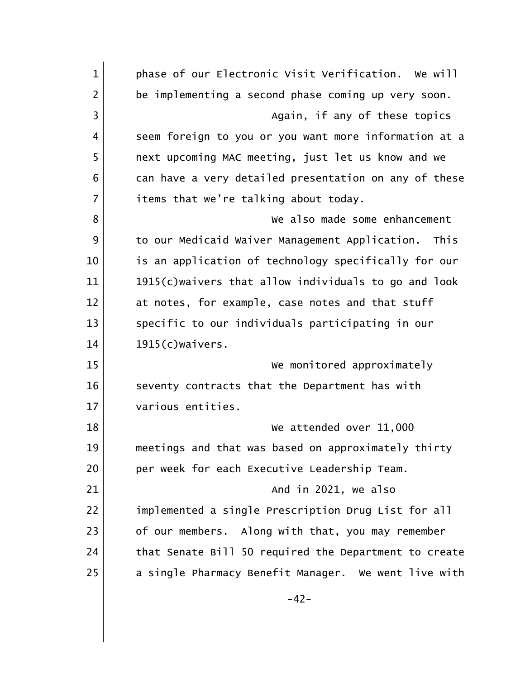| $\mathbf{1}$   | phase of our Electronic Visit Verification. We will    |
|----------------|--------------------------------------------------------|
| $\overline{2}$ | be implementing a second phase coming up very soon.    |
| 3              | Again, if any of these topics                          |
| 4              | seem foreign to you or you want more information at a  |
| 5              | next upcoming MAC meeting, just let us know and we     |
| 6              | can have a very detailed presentation on any of these  |
| $\overline{7}$ | items that we're talking about today.                  |
| 8              | We also made some enhancement                          |
| 9              | to our Medicaid Waiver Management Application.<br>This |
| 10             | is an application of technology specifically for our   |
| 11             | 1915(c) waivers that allow individuals to go and look  |
| 12             | at notes, for example, case notes and that stuff       |
| 13             | specific to our individuals participating in our       |
| 14             | 1915(c)waivers.                                        |
| 15             | We monitored approximately                             |
| 16             | seventy contracts that the Department has with         |
| 17             | various entities.                                      |
| 18             | We attended over 11,000                                |
| 19             | meetings and that was based on approximately thirty    |
| 20             | per week for each Executive Leadership Team.           |
| 21             | And in 2021, we also                                   |
| 22             | implemented a single Prescription Drug List for all    |
| 23             | of our members. Along with that, you may remember      |
| 24             | that Senate Bill 50 required the Department to create  |
| 25             | a single Pharmacy Benefit Manager. We went live with   |
|                | $-42-$                                                 |
|                |                                                        |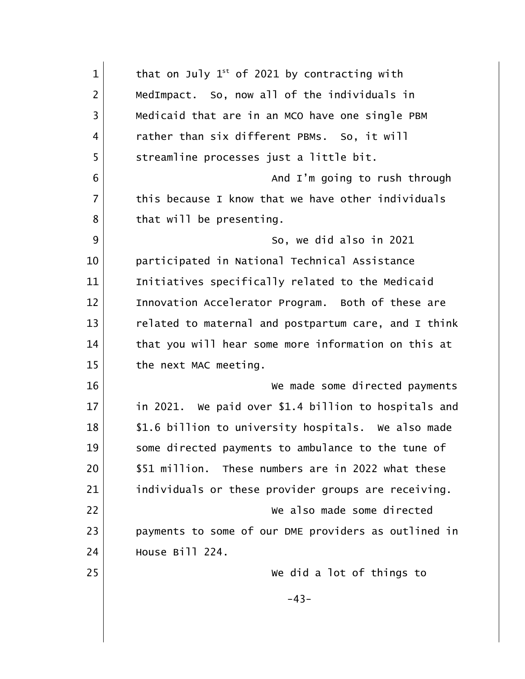| $\mathbf{1}$   | that on July $1^{st}$ of 2021 by contracting with    |
|----------------|------------------------------------------------------|
| $\overline{2}$ | MedImpact. So, now all of the individuals in         |
| $\overline{3}$ | Medicaid that are in an MCO have one single PBM      |
| 4              | rather than six different PBMs. So, it will          |
| 5              | streamline processes just a little bit.              |
| 6              | And I'm going to rush through                        |
| $\overline{7}$ | this because I know that we have other individuals   |
| 8              | that will be presenting.                             |
| 9              | So, we did also in 2021                              |
| 10             | participated in National Technical Assistance        |
| 11             | Initiatives specifically related to the Medicaid     |
| 12             | Innovation Accelerator Program. Both of these are    |
| 13             | related to maternal and postpartum care, and I think |
| 14             | that you will hear some more information on this at  |
| 15             | the next MAC meeting.                                |
| 16             | We made some directed payments                       |
| 17             | in 2021. We paid over \$1.4 billion to hospitals and |
| 18             | \$1.6 billion to university hospitals. We also made  |
| 19             | some directed payments to ambulance to the tune of   |
| 20             | \$51 million. These numbers are in 2022 what these   |
| 21             | individuals or these provider groups are receiving.  |
| 22             | We also made some directed                           |
| 23             | payments to some of our DME providers as outlined in |
| 24             | House Bill 224.                                      |
| 25             | We did a lot of things to                            |
|                | $-43-$                                               |
|                |                                                      |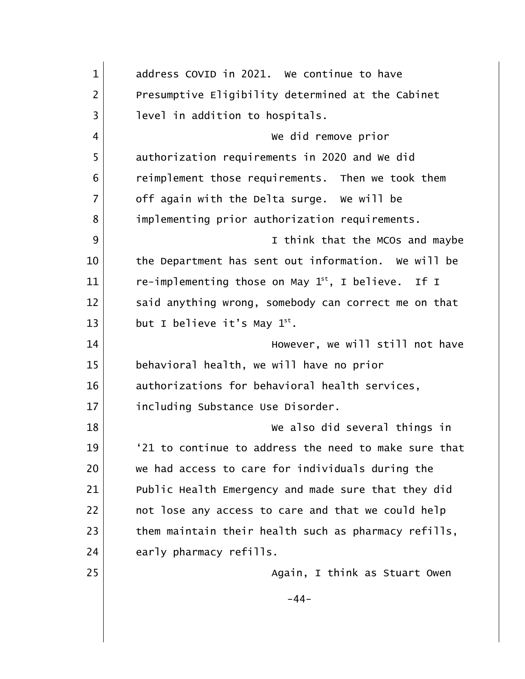| $\mathbf{1}$   | address COVID in 2021. We continue to have              |
|----------------|---------------------------------------------------------|
| $\overline{2}$ | Presumptive Eligibility determined at the Cabinet       |
| 3              | level in addition to hospitals.                         |
| 4              | We did remove prior                                     |
| 5              | authorization requirements in 2020 and We did           |
| 6              | reimplement those requirements. Then we took them       |
| $\overline{7}$ | off again with the Delta surge. We will be              |
| 8              | implementing prior authorization requirements.          |
| 9              | I think that the MCOs and maybe                         |
| 10             | the Department has sent out information. We will be     |
| 11             | re-implementing those on May $1^{st}$ , I believe. If I |
| 12             | said anything wrong, somebody can correct me on that    |
| 13             | but I believe it's May $1^{st}$ .                       |
| 14             | However, we will still not have                         |
| 15             | behavioral health, we will have no prior                |
| 16             | authorizations for behavioral health services,          |
| 17             | including Substance Use Disorder.                       |
| 18             | We also did several things in                           |
| 19             | '21 to continue to address the need to make sure that   |
| 20             | we had access to care for individuals during the        |
| 21             | Public Health Emergency and made sure that they did     |
| 22             | not lose any access to care and that we could help      |
| 23             | them maintain their health such as pharmacy refills,    |
| 24             | early pharmacy refills.                                 |
| 25             | Again, I think as Stuart Owen                           |
|                | $-44-$                                                  |
|                |                                                         |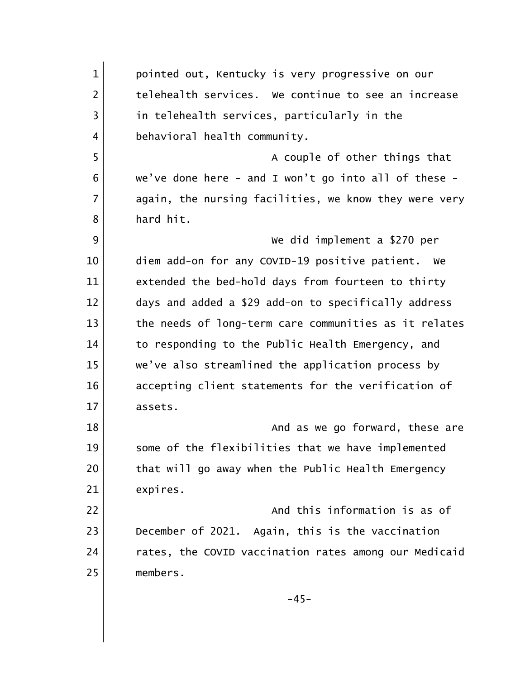1 pointed out, Kentucky is very progressive on our 2 1 telehealth services. We continue to see an increase 3 in telehealth services, particularly in the 4 behavioral health community. 5 A couple of other things that  $6$  we've done here - and I won't go into all of these -7 again, the nursing facilities, we know they were very 8 hard hit. 9 We did implement a \$270 per 10 diem add-on for any COVID-19 positive patient. We 11 extended the bed-hold days from fourteen to thirty 12 days and added a \$29 add-on to specifically address 13 the needs of long-term care communities as it relates 14 to responding to the Public Health Emergency, and 15 we've also streamlined the application process by 16 accepting client statements for the verification of 17 assets. 18 and as we go forward, these are the same state of  $\sim$  And as we go forward, these are 19 some of the flexibilities that we have implemented 20 that will go away when the Public Health Emergency 21 expires. 22 and this information is as of 23 December of 2021. Again, this is the vaccination 24 rates, the COVID vaccination rates among our Medicaid 25 members.  $-45-$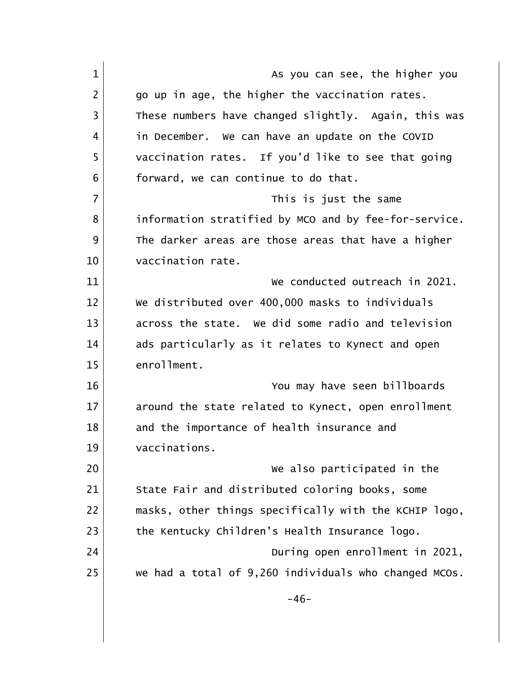| $\mathbf{1}$   | As you can see, the higher you                        |
|----------------|-------------------------------------------------------|
| $\overline{2}$ | go up in age, the higher the vaccination rates.       |
| 3              | These numbers have changed slightly. Again, this was  |
| 4              | in December. We can have an update on the COVID       |
| 5              | vaccination rates. If you'd like to see that going    |
| 6              | forward, we can continue to do that.                  |
| $\overline{7}$ | This is just the same                                 |
| 8              | information stratified by MCO and by fee-for-service. |
| 9              | The darker areas are those areas that have a higher   |
| 10             | vaccination rate.                                     |
| 11             | We conducted outreach in 2021.                        |
| 12             | We distributed over 400,000 masks to individuals      |
| 13             | across the state. We did some radio and television    |
| 14             | ads particularly as it relates to Kynect and open     |
| 15             | enrollment.                                           |
| 16             | You may have seen billboards                          |
| 17             | around the state related to Kynect, open enrollment   |
| 18             | and the importance of health insurance and            |
| 19             | vaccinations.                                         |
| 20             | We also participated in the                           |
| 21             | State Fair and distributed coloring books, some       |
| 22             | masks, other things specifically with the KCHIP logo, |
| 23             | the Kentucky Children's Health Insurance logo.        |
| 24             | During open enrollment in 2021,                       |
| 25             | we had a total of 9,260 individuals who changed MCOs. |
|                | $-46-$                                                |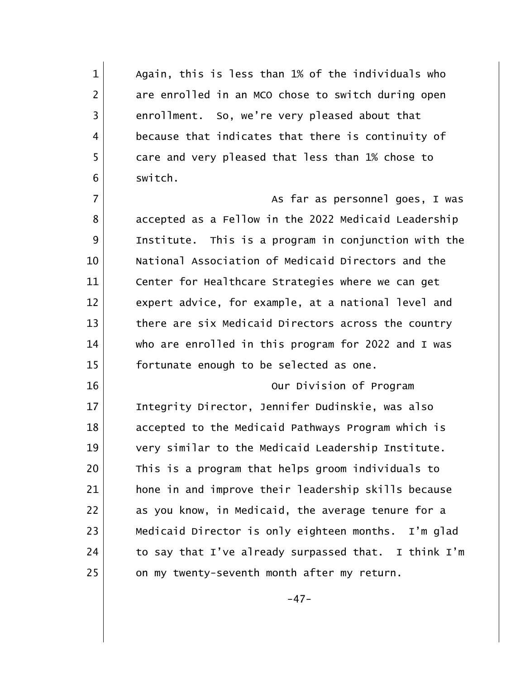1 Again, this is less than 1% of the individuals who 2 are enrolled in an MCO chose to switch during open 3 enrollment. So, we're very pleased about that 4 because that indicates that there is continuity of 5 care and very pleased that less than 1% chose to 6 switch.

7 | The contract of the state of the state of the state of the state of the state of the state of the state of the state of the state of the state of the state of the state of the state of the state of the state of the sta 8 accepted as a Fellow in the 2022 Medicaid Leadership 9 Institute. This is a program in conjunction with the 10 National Association of Medicaid Directors and the 11 Center for Healthcare Strategies where we can get 12 expert advice, for example, at a national level and 13 there are six Medicaid Directors across the country 14 who are enrolled in this program for 2022 and I was 15 fortunate enough to be selected as one.

16 Our Division of Program 17 Integrity Director, Jennifer Dudinskie, was also 18 accepted to the Medicaid Pathways Program which is 19 very similar to the Medicaid Leadership Institute. 20 This is a program that helps groom individuals to 21 **hone in and improve their leadership skills because** 22 as you know, in Medicaid, the average tenure for a 23 Medicaid Director is only eighteen months. I'm glad 24 to say that I've already surpassed that. I think I'm 25 on my twenty-seventh month after my return.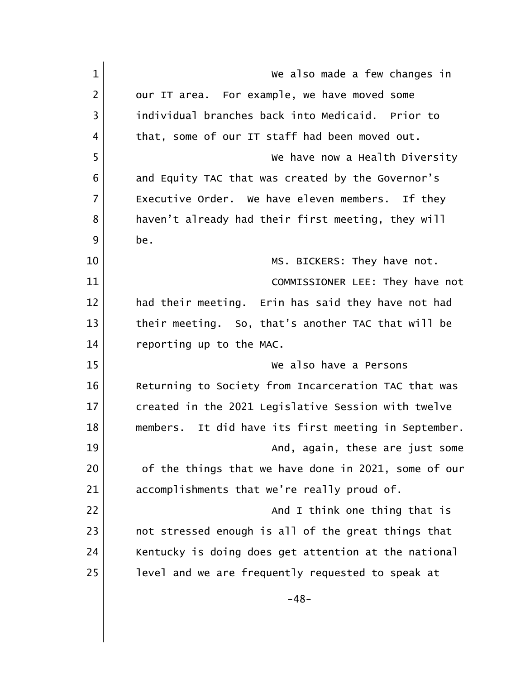| $\mathbf{1}$   | We also made a few changes in                           |
|----------------|---------------------------------------------------------|
| $\overline{2}$ | our IT area. For example, we have moved some            |
| $\overline{3}$ | individual branches back into Medicaid. Prior to        |
| 4              | that, some of our IT staff had been moved out.          |
| 5              | We have now a Health Diversity                          |
| 6              | and Equity TAC that was created by the Governor's       |
| $\overline{7}$ | Executive Order. We have eleven members. If they        |
| 8              | haven't already had their first meeting, they will      |
| 9              | be.                                                     |
| 10             | MS. BICKERS: They have not.                             |
| 11             | COMMISSIONER LEE: They have not                         |
| 12             | had their meeting. Erin has said they have not had      |
| 13             | their meeting. So, that's another TAC that will be      |
| 14             | reporting up to the MAC.                                |
| 15             | We also have a Persons                                  |
| 16             | Returning to Society from Incarceration TAC that was    |
| 17             | created in the 2021 Legislative Session with twelve     |
| 18             | It did have its first meeting in September.<br>members. |
| 19             | And, again, these are just some                         |
| 20             | of the things that we have done in 2021, some of our    |
| 21             | accomplishments that we're really proud of.             |
| 22             | And I think one thing that is                           |
| 23             | not stressed enough is all of the great things that     |
| 24             | Kentucky is doing does get attention at the national    |
| 25             | level and we are frequently requested to speak at       |
|                | $-48-$                                                  |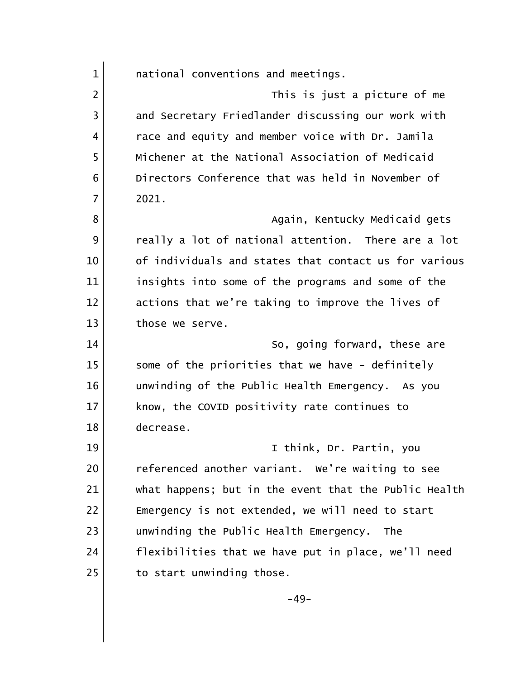1 and inconventions and meetings. 2 and 2 This is just a picture of me 3 and Secretary Friedlander discussing our work with 4 race and equity and member voice with Dr. Jamila 5 Michener at the National Association of Medicaid 6 Directors Conference that was held in November of 7 2021. 8 | Casamana Again, Kentucky Medicaid gets 9 | eally a lot of national attention. There are a lot 10 of individuals and states that contact us for various 11 insights into some of the programs and some of the 12 actions that we're taking to improve the lives of 13 those we serve. 14 So, going forward, these are 15 Some of the priorities that we have - definitely 16 16 unwinding of the Public Health Emergency. As you 17 | know, the COVID positivity rate continues to 18 decrease. 19 I think, Dr. Partin, you 20 referenced another variant. We're waiting to see 21 what happens; but in the event that the Public Health 22 Emergency is not extended, we will need to start 23 unwinding the Public Health Emergency. The 24 flexibilities that we have put in place, we'll need  $25$  to start unwinding those. -49-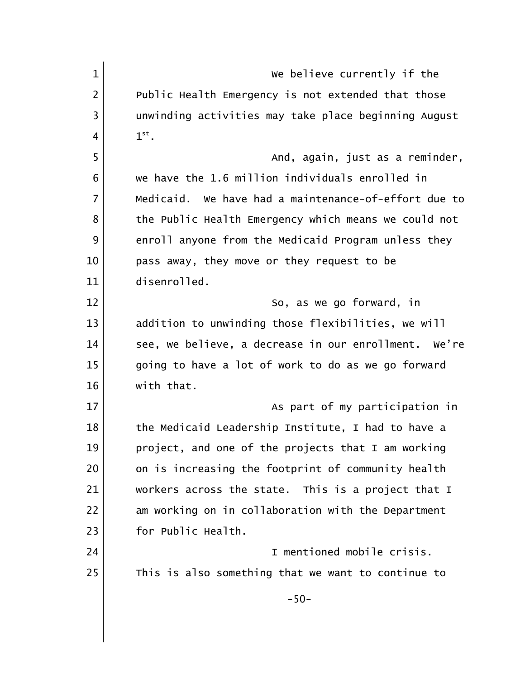| $\mathbf{1}$   | We believe currently if the                          |
|----------------|------------------------------------------------------|
| $\overline{2}$ | Public Health Emergency is not extended that those   |
| 3              | unwinding activities may take place beginning August |
| 4              | $1^\text{st}$ .                                      |
| 5              | And, again, just as a reminder,                      |
| 6              | we have the 1.6 million individuals enrolled in      |
| $\overline{7}$ | Medicaid. We have had a maintenance-of-effort due to |
| 8              | the Public Health Emergency which means we could not |
| 9              | enroll anyone from the Medicaid Program unless they  |
| 10             | pass away, they move or they request to be           |
| 11             | disenrolled.                                         |
| 12             | So, as we go forward, in                             |
| 13             | addition to unwinding those flexibilities, we will   |
| 14             | see, we believe, a decrease in our enrollment. We're |
| 15             | going to have a lot of work to do as we go forward   |
| 16             | with that.                                           |
| 17             | As part of my participation in                       |
| 18             | the Medicaid Leadership Institute, I had to have a   |
| 19             | project, and one of the projects that I am working   |
| 20             | on is increasing the footprint of community health   |
| 21             | workers across the state. This is a project that I   |
| 22             | am working on in collaboration with the Department   |
| 23             | for Public Health.                                   |
| 24             | I mentioned mobile crisis.                           |
| 25             | This is also something that we want to continue to   |
|                | $-50-$                                               |
|                |                                                      |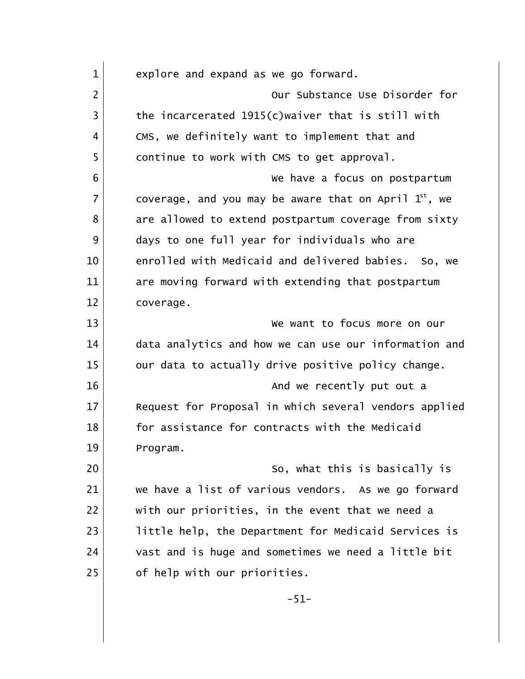| $\mathbf{1}$   | explore and expand as we go forward.                       |
|----------------|------------------------------------------------------------|
| $\overline{2}$ | Our Substance Use Disorder for                             |
| $\overline{3}$ | the incarcerated 1915(c) waiver that is still with         |
| 4              | CMS, we definitely want to implement that and              |
| 5              | continue to work with CMS to get approval.                 |
| 6              | We have a focus on postpartum                              |
| $\overline{7}$ | coverage, and you may be aware that on April $1^{st}$ , we |
| 8              | are allowed to extend postpartum coverage from sixty       |
| 9              | days to one full year for individuals who are              |
| 10             | enrolled with Medicaid and delivered babies. So, we        |
| 11             | are moving forward with extending that postpartum          |
| 12             | coverage.                                                  |
| 13             | We want to focus more on our                               |
| 14             | data analytics and how we can use our information and      |
| 15             | our data to actually drive positive policy change.         |
| 16             | And we recently put out a                                  |
| 17             | Request for Proposal in which several vendors applied      |
| 18             | for assistance for contracts with the Medicaid             |
| 19             | Program.                                                   |
| 20             | So, what this is basically is                              |
| 21             | we have a list of various vendors. As we go forward        |
| 22             | with our priorities, in the event that we need a           |
| 23             | little help, the Department for Medicaid Services is       |
| 24             | vast and is huge and sometimes we need a little bit        |
| 25             | of help with our priorities.                               |
|                | $-51-$                                                     |
|                |                                                            |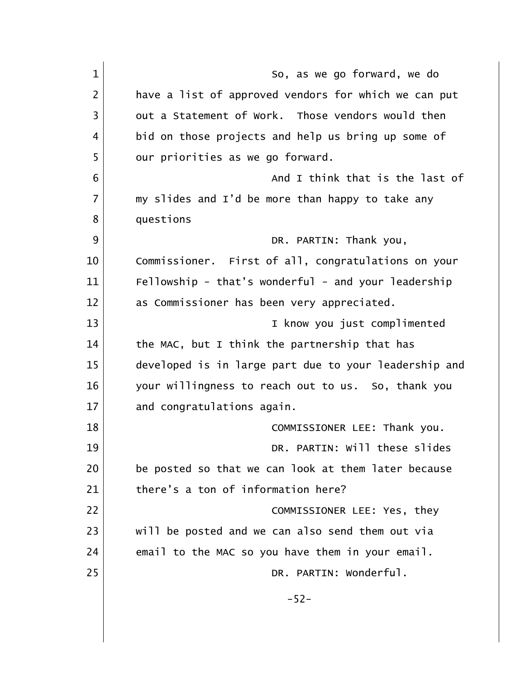| $\mathbf{1}$   | So, as we go forward, we do                           |
|----------------|-------------------------------------------------------|
| $\overline{2}$ | have a list of approved vendors for which we can put  |
| 3              | out a Statement of Work. Those vendors would then     |
| 4              | bid on those projects and help us bring up some of    |
| 5              | our priorities as we go forward.                      |
| 6              | And I think that is the last of                       |
| $\overline{7}$ | my slides and I'd be more than happy to take any      |
| 8              | questions                                             |
| 9              | DR. PARTIN: Thank you,                                |
| 10             | Commissioner. First of all, congratulations on your   |
| 11             | Fellowship - that's wonderful - and your leadership   |
| 12             | as Commissioner has been very appreciated.            |
| 13             | I know you just complimented                          |
| 14             | the MAC, but I think the partnership that has         |
| 15             | developed is in large part due to your leadership and |
| 16             | your willingness to reach out to us. So, thank you    |
| 17             | and congratulations again.                            |
| 18             | COMMISSIONER LEE: Thank you.                          |
| 19             | DR. PARTIN: Will these slides                         |
| 20             | be posted so that we can look at them later because   |
| 21             | there's a ton of information here?                    |
| 22             | COMMISSIONER LEE: Yes, they                           |
| 23             | will be posted and we can also send them out via      |
| 24             | email to the MAC so you have them in your email.      |
| 25             | DR. PARTIN: Wonderful.                                |
|                | $-52-$                                                |
|                |                                                       |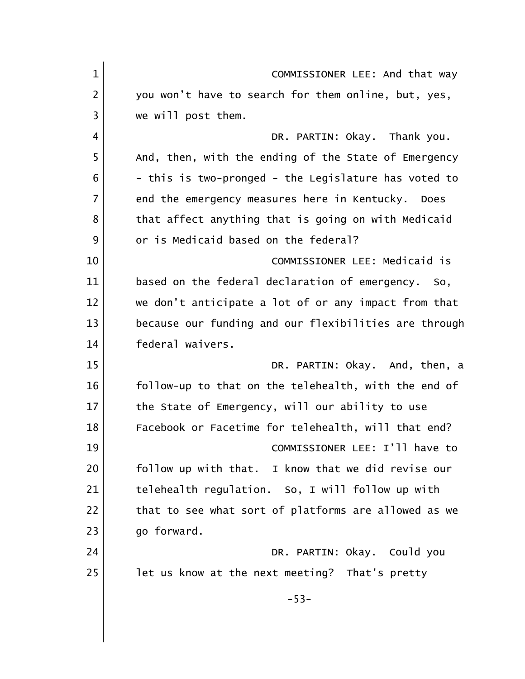| $\mathbf{1}$   | COMMISSIONER LEE: And that way                        |
|----------------|-------------------------------------------------------|
| $\overline{2}$ | you won't have to search for them online, but, yes,   |
| 3              | we will post them.                                    |
| 4              | DR. PARTIN: Okay. Thank you.                          |
| 5              | And, then, with the ending of the State of Emergency  |
| 6              | - this is two-pronged - the Legislature has voted to  |
| $\overline{7}$ | end the emergency measures here in Kentucky.<br>Does  |
| 8              | that affect anything that is going on with Medicaid   |
| 9              | or is Medicaid based on the federal?                  |
| 10             | COMMISSIONER LEE: Medicaid is                         |
| 11             | based on the federal declaration of emergency. So,    |
| 12             | we don't anticipate a lot of or any impact from that  |
| 13             | because our funding and our flexibilities are through |
| 14             | federal waivers.                                      |
| 15             | DR. PARTIN: Okay. And, then, a                        |
| 16             | follow-up to that on the telehealth, with the end of  |
| 17             | the State of Emergency, will our ability to use       |
| 18             | Facebook or Facetime for telehealth, will that end?   |
| 19             | COMMISSIONER LEE: I'll have to                        |
| 20             | follow up with that. I know that we did revise our    |
| 21             | telehealth regulation. So, I will follow up with      |
| 22             | that to see what sort of platforms are allowed as we  |
| 23             | go forward.                                           |
| 24             | DR. PARTIN: Okay. Could you                           |
| 25             | let us know at the next meeting? That's pretty        |
|                | $-53-$                                                |
|                |                                                       |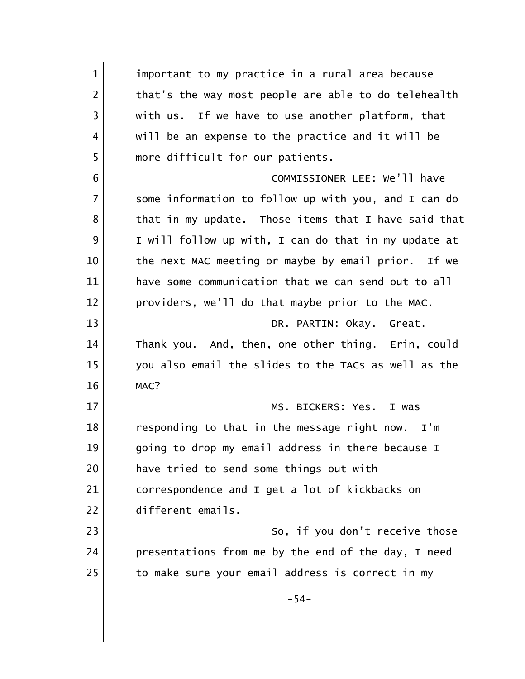1 important to my practice in a rural area because 2 that's the way most people are able to do telehealth 3 with us. If we have to use another platform, that 4 will be an expense to the practice and it will be 5 more difficult for our patients. 6 COMMISSIONER LEE: We'll have 7 some information to follow up with you, and I can do  $8$  that in my update. Those items that I have said that 9 I will follow up with, I can do that in my update at 10 the next MAC meeting or maybe by email prior. If we 11 have some communication that we can send out to all 12 providers, we'll do that maybe prior to the MAC. 13 DR. PARTIN: Okay. Great. 14 Thank you. And, then, one other thing. Erin, could 15 you also email the slides to the TACs as well as the 16 MAC? 17 | MS. BICKERS: Yes. I was 18 responding to that in the message right now. I'm 19 qoing to drop my email address in there because I 20 have tried to send some things out with 21 correspondence and I get a lot of kickbacks on 22 different emails. 23 So, if you don't receive those 24 presentations from me by the end of the day, I need 25 to make sure your email address is correct in my -54-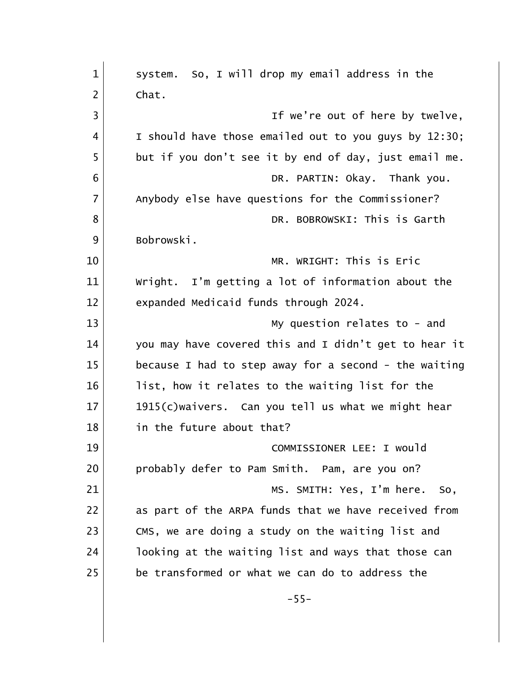| $\mathbf{1}$   | system. So, I will drop my email address in the       |
|----------------|-------------------------------------------------------|
| 2              | Chat.                                                 |
| 3              | If we're out of here by twelve,                       |
| 4              | I should have those emailed out to you guys by 12:30; |
| 5              | but if you don't see it by end of day, just email me. |
| 6              | DR. PARTIN: Okay. Thank you.                          |
| $\overline{7}$ | Anybody else have questions for the Commissioner?     |
| 8              | DR. BOBROWSKI: This is Garth                          |
| 9              | Bobrowski.                                            |
| 10             | MR. WRIGHT: This is Eric                              |
| 11             | Wright. I'm getting a lot of information about the    |
| 12             | expanded Medicaid funds through 2024.                 |
| 13             | My question relates to - and                          |
| 14             | you may have covered this and I didn't get to hear it |
| 15             | because I had to step away for a second - the waiting |
| 16             | list, how it relates to the waiting list for the      |
| 17             | 1915(c)waivers. Can you tell us what we might hear    |
| 18             | in the future about that?                             |
| 19             | COMMISSIONER LEE: I would                             |
| 20             | probably defer to Pam Smith. Pam, are you on?         |
| 21             | MS. SMITH: Yes, I'm here.<br>So,                      |
| 22             | as part of the ARPA funds that we have received from  |
| 23             | CMS, we are doing a study on the waiting list and     |
| 24             | looking at the waiting list and ways that those can   |
| 25             | be transformed or what we can do to address the       |
|                | $-55-$                                                |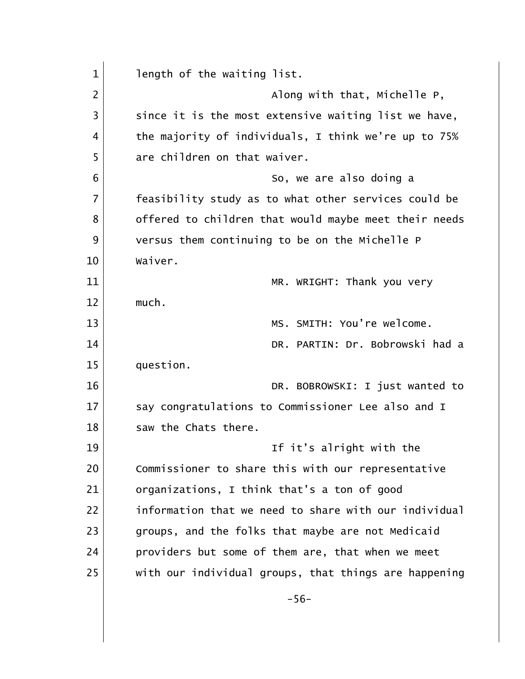1 length of the waiting list. 2 |  $\blacksquare$  Along with that, Michelle P,  $3$  since it is the most extensive waiting list we have, 4 the majority of individuals, I think we're up to 75% 5 are children on that waiver. 6 So, we are also doing a 7 | feasibility study as to what other services could be 8 offered to children that would maybe meet their needs 9 versus them continuing to be on the Michelle P 10 Waiver. 11 MR. WRIGHT: Thank you very 12 much. 13 MS. SMITH: You're welcome. 14 DR. PARTIN: Dr. Bobrowski had a 15 question. 16 | No. 2008, DR. BOBROWSKI: I just wanted to 17 Say congratulations to Commissioner Lee also and I 18 Saw the Chats there. 19 and 19 If it's alright with the 20 Commissioner to share this with our representative 21 organizations, I think that's a ton of good 22 **information that we need to share with our individual** 23 groups, and the folks that maybe are not Medicaid 24 providers but some of them are, that when we meet 25 | with our individual groups, that things are happening -56-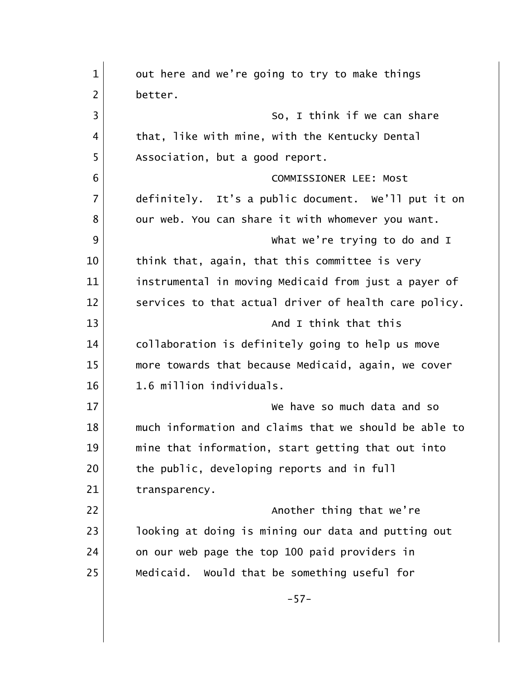| out here and we're going to try to make things        |
|-------------------------------------------------------|
| better.                                               |
| So, I think if we can share                           |
| that, like with mine, with the Kentucky Dental        |
| Association, but a good report.                       |
| COMMISSIONER LEE: Most                                |
| definitely. It's a public document. We'll put it on   |
| our web. You can share it with whomever you want.     |
| What we're trying to do and I                         |
| think that, again, that this committee is very        |
| instrumental in moving Medicaid from just a payer of  |
| services to that actual driver of health care policy. |
| And I think that this                                 |
| collaboration is definitely going to help us move     |
| more towards that because Medicaid, again, we cover   |
| 1.6 million individuals.                              |
| We have so much data and so                           |
| much information and claims that we should be able to |
| mine that information, start getting that out into    |
| the public, developing reports and in full            |
| transparency.                                         |
| Another thing that we're                              |
| looking at doing is mining our data and putting out   |
| on our web page the top 100 paid providers in         |
| Medicaid. Would that be something useful for          |
| $-57-$                                                |
|                                                       |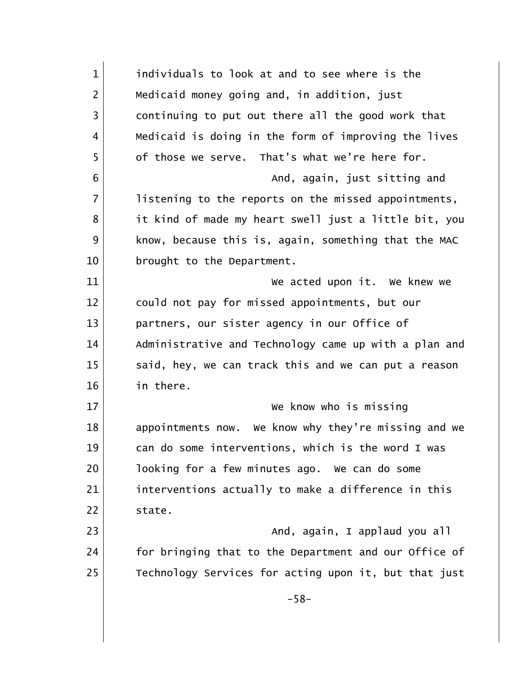| $\mathbf{1}$   | individuals to look at and to see where is the          |
|----------------|---------------------------------------------------------|
| $\overline{2}$ | Medicaid money going and, in addition, just             |
| 3              | continuing to put out there all the good work that      |
| 4              | Medicaid is doing in the form of improving the lives    |
| 5              | of those we serve. That's what we're here for.          |
| 6              | And, again, just sitting and                            |
| $\overline{7}$ | listening to the reports on the missed appointments,    |
| 8              | it kind of made my heart swell just a little bit, you   |
| 9              | know, because this is, again, something that the MAC    |
| 10             | brought to the Department.                              |
| 11             | We acted upon it. We knew we                            |
| 12             | could not pay for missed appointments, but our          |
| 13             | partners, our sister agency in our Office of            |
| 14             | Administrative and Technology came up with a plan and   |
| 15             | said, hey, we can track this and we can put a reason    |
| 16             | in there.                                               |
| 17             | We know who is missing                                  |
| 18             | We know why they're missing and we<br>appointments now. |
| 19             | can do some interventions, which is the word I was      |
| 20             | looking for a few minutes ago. We can do some           |
| 21             | interventions actually to make a difference in this     |
| 22             | state.                                                  |
| 23             | And, again, I applaud you all                           |
| 24             | for bringing that to the Department and our Office of   |
| 25             | Technology Services for acting upon it, but that just   |
|                | $-58-$                                                  |
|                |                                                         |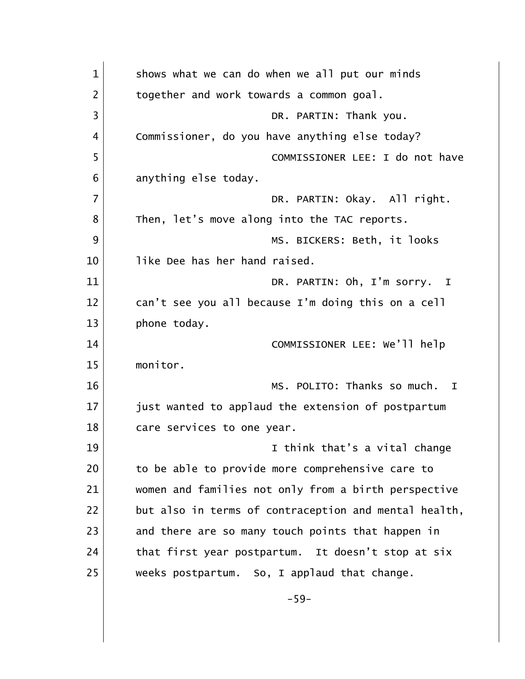| $\mathbf{1}$   | shows what we can do when we all put our minds        |
|----------------|-------------------------------------------------------|
| 2              | together and work towards a common goal.              |
| $\overline{3}$ | DR. PARTIN: Thank you.                                |
| 4              | Commissioner, do you have anything else today?        |
| 5              | COMMISSIONER LEE: I do not have                       |
| 6              | anything else today.                                  |
| $\overline{7}$ | DR. PARTIN: Okay. All right.                          |
| 8              | Then, let's move along into the TAC reports.          |
| 9              | MS. BICKERS: Beth, it looks                           |
| 10             | like Dee has her hand raised.                         |
| 11             | DR. PARTIN: Oh, I'm sorry. I                          |
| 12             | can't see you all because I'm doing this on a cell    |
| 13             | phone today.                                          |
| 14             | COMMISSIONER LEE: We'll help                          |
| 15             | monitor.                                              |
| 16             | MS. POLITO: Thanks so much.<br>$\mathbf{I}$           |
| 17             | just wanted to applaud the extension of postpartum    |
| 18             | care services to one year.                            |
| 19             | I think that's a vital change                         |
| 20             | to be able to provide more comprehensive care to      |
| 21             | women and families not only from a birth perspective  |
| 22             | but also in terms of contraception and mental health, |
| 23             | and there are so many touch points that happen in     |
| 24             | that first year postpartum. It doesn't stop at six    |
| 25             | weeks postpartum. So, I applaud that change.          |
|                | $-59-$                                                |
|                |                                                       |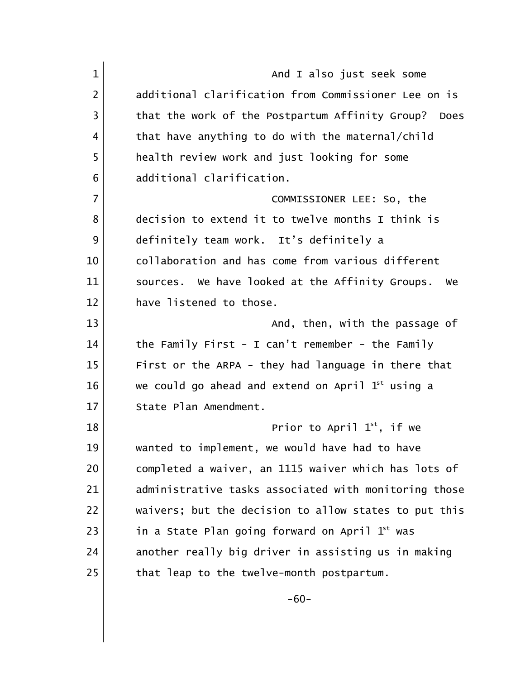| $\mathbf{1}$   | And I also just seek some                              |
|----------------|--------------------------------------------------------|
| $\overline{2}$ | additional clarification from Commissioner Lee on is   |
| 3              | that the work of the Postpartum Affinity Group? Does   |
| 4              | that have anything to do with the maternal/child       |
| 5              | health review work and just looking for some           |
| 6              | additional clarification.                              |
| $\overline{7}$ | COMMISSIONER LEE: So, the                              |
| 8              | decision to extend it to twelve months I think is      |
| 9              | definitely team work. It's definitely a                |
| 10             | collaboration and has come from various different      |
| 11             | sources. We have looked at the Affinity Groups.<br>we  |
| 12             | have listened to those.                                |
| 13             | And, then, with the passage of                         |
| 14             | the Family First - I can't remember - the Family       |
| 15             | First or the ARPA - they had language in there that    |
| 16             | we could go ahead and extend on April $1^{st}$ using a |
| 17             | State Plan Amendment.                                  |
| 18             | Prior to April $1^{st}$ , if we                        |
| 19             | wanted to implement, we would have had to have         |
| 20             | completed a waiver, an 1115 waiver which has lots of   |
| 21             | administrative tasks associated with monitoring those  |
| 22             | waivers; but the decision to allow states to put this  |
| 23             | in a State Plan going forward on April $1st$ was       |
| 24             | another really big driver in assisting us in making    |
| 25             | that leap to the twelve-month postpartum.              |
|                |                                                        |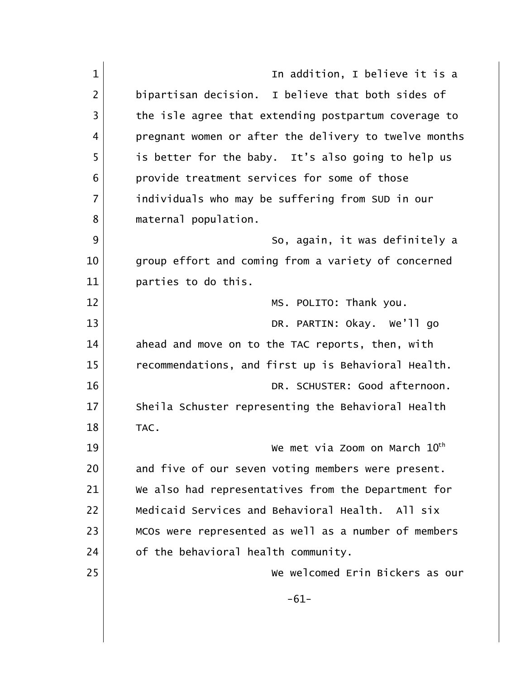| $\mathbf{1}$   | In addition, I believe it is a                        |
|----------------|-------------------------------------------------------|
| $\overline{2}$ | bipartisan decision. I believe that both sides of     |
| $\overline{3}$ | the isle agree that extending postpartum coverage to  |
| 4              | pregnant women or after the delivery to twelve months |
| 5              | is better for the baby. It's also going to help us    |
| 6              | provide treatment services for some of those          |
| $\overline{7}$ | individuals who may be suffering from SUD in our      |
| 8              | maternal population.                                  |
| 9              | So, again, it was definitely a                        |
| 10             | group effort and coming from a variety of concerned   |
| 11             | parties to do this.                                   |
| 12             | MS. POLITO: Thank you.                                |
| 13             | DR. PARTIN: Okay. We'll go                            |
| 14             | ahead and move on to the TAC reports, then, with      |
| 15             | recommendations, and first up is Behavioral Health.   |
| 16             | DR. SCHUSTER: Good afternoon.                         |
| 17             | Sheila Schuster representing the Behavioral Health    |
| 18             | TAC.                                                  |
| 19             | We met via Zoom on March 10th                         |
| 20             | and five of our seven voting members were present.    |
| 21             | We also had representatives from the Department for   |
| 22             | Medicaid Services and Behavioral Health. All six      |
| 23             | MCOs were represented as well as a number of members  |
| 24             | of the behavioral health community.                   |
| 25             | We welcomed Erin Bickers as our                       |
|                | $-61-$                                                |
|                |                                                       |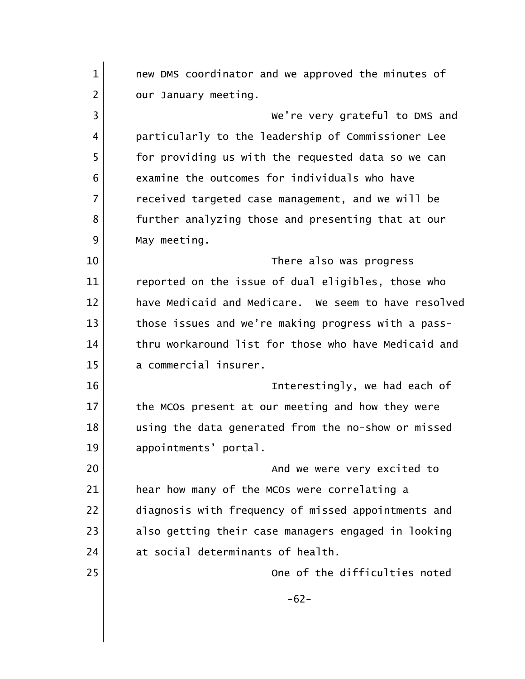| $\mathbf{1}$   | new DMS coordinator and we approved the minutes of   |
|----------------|------------------------------------------------------|
| 2              | our January meeting.                                 |
| 3              | We're very grateful to DMS and                       |
| 4              | particularly to the leadership of Commissioner Lee   |
| 5              | for providing us with the requested data so we can   |
| 6              | examine the outcomes for individuals who have        |
| $\overline{7}$ | received targeted case management, and we will be    |
| 8              | further analyzing those and presenting that at our   |
| 9              | May meeting.                                         |
| 10             | There also was progress                              |
| 11             | reported on the issue of dual eligibles, those who   |
| 12             | have Medicaid and Medicare. We seem to have resolved |
| 13             | those issues and we're making progress with a pass-  |
| 14             | thru workaround list for those who have Medicaid and |
| 15             | a commercial insurer.                                |
| 16             | Interestingly, we had each of                        |
| 17             | the MCOs present at our meeting and how they were    |
| 18             | using the data generated from the no-show or missed  |
| 19             | appointments' portal.                                |
| 20             | And we were very excited to                          |
| 21             | hear how many of the MCOs were correlating a         |
| 22             | diagnosis with frequency of missed appointments and  |
| 23             | also getting their case managers engaged in looking  |
| 24             | at social determinants of health.                    |
| 25             | One of the difficulties noted                        |
|                | $-62-$                                               |
|                |                                                      |
|                |                                                      |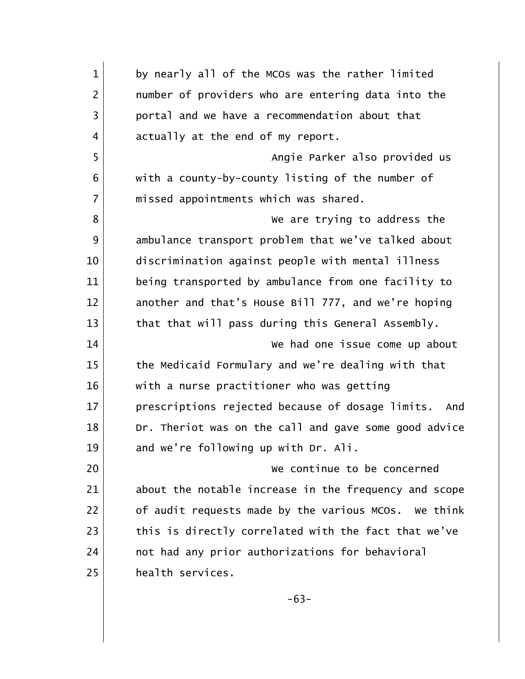| $\mathbf{1}$   | by nearly all of the MCOs was the rather limited        |
|----------------|---------------------------------------------------------|
| $\overline{2}$ | number of providers who are entering data into the      |
| 3              | portal and we have a recommendation about that          |
| 4              | actually at the end of my report.                       |
| 5              | Angie Parker also provided us                           |
| 6              | with a county-by-county listing of the number of        |
| $\overline{7}$ | missed appointments which was shared.                   |
| 8              | We are trying to address the                            |
| 9              | ambulance transport problem that we've talked about     |
| 10             | discrimination against people with mental illness       |
| 11             | being transported by ambulance from one facility to     |
| 12             | another and that's House Bill 777, and we're hoping     |
| 13             | that that will pass during this General Assembly.       |
| 14             | We had one issue come up about                          |
| 15             | the Medicaid Formulary and we're dealing with that      |
| 16             | with a nurse practitioner who was getting               |
| 17             | prescriptions rejected because of dosage limits.<br>And |
| 18             | Dr. Theriot was on the call and gave some good advice   |
| 19             | and we're following up with Dr. Ali.                    |
| 20             | We continue to be concerned                             |
| 21             | about the notable increase in the frequency and scope   |
| 22             | of audit requests made by the various MCOs. We think    |
| 23             | this is directly correlated with the fact that we've    |
| 24             | not had any prior authorizations for behavioral         |
| 25             | health services.                                        |
|                | $-63-$                                                  |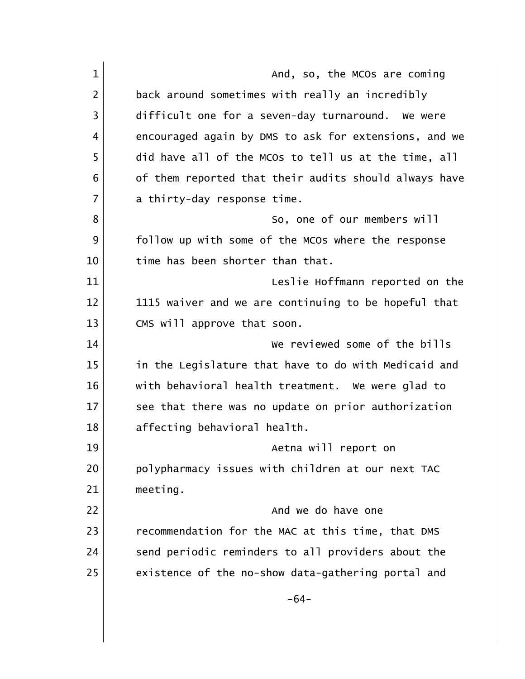| $\mathbf{1}$   | And, so, the MCOs are coming                          |
|----------------|-------------------------------------------------------|
| $\overline{2}$ | back around sometimes with really an incredibly       |
| 3              | difficult one for a seven-day turnaround. We were     |
| 4              | encouraged again by DMS to ask for extensions, and we |
| 5              | did have all of the MCOs to tell us at the time, all  |
| 6              | of them reported that their audits should always have |
| 7              | a thirty-day response time.                           |
| 8              | So, one of our members will                           |
| 9              | follow up with some of the MCOs where the response    |
| 10             | time has been shorter than that.                      |
| 11             | Leslie Hoffmann reported on the                       |
| 12             | 1115 waiver and we are continuing to be hopeful that  |
| 13             | CMS will approve that soon.                           |
| 14             | We reviewed some of the bills                         |
| 15             | in the Legislature that have to do with Medicaid and  |
| 16             | with behavioral health treatment. We were glad to     |
| 17             | see that there was no update on prior authorization   |
| 18             | affecting behavioral health.                          |
| 19             | Aetna will report on                                  |
| 20             | polypharmacy issues with children at our next TAC     |
| 21             | meeting.                                              |
| 22             | And we do have one                                    |
| 23             | recommendation for the MAC at this time, that DMS     |
| 24             | send periodic reminders to all providers about the    |
| 25             | existence of the no-show data-gathering portal and    |
|                | $-64-$                                                |
|                |                                                       |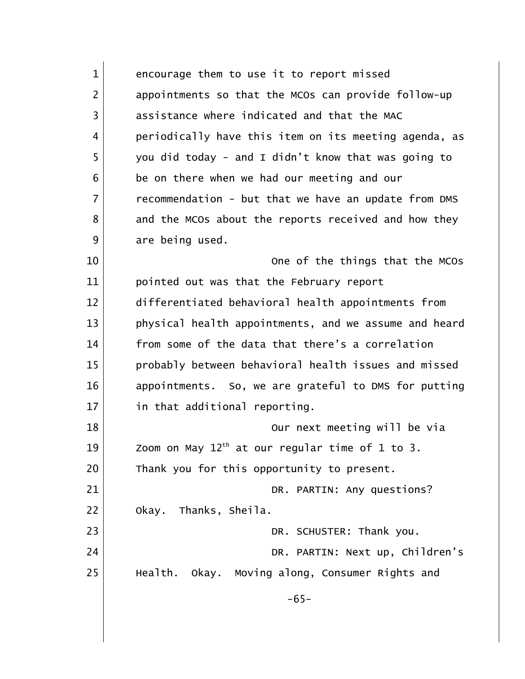| $\mathbf{1}$   | encourage them to use it to report missed             |
|----------------|-------------------------------------------------------|
| $\overline{2}$ | appointments so that the MCOs can provide follow-up   |
| 3              | assistance where indicated and that the MAC           |
| 4              | periodically have this item on its meeting agenda, as |
| 5              | you did today - and I didn't know that was going to   |
| 6              | be on there when we had our meeting and our           |
| $\overline{7}$ | recommendation - but that we have an update from DMS  |
| 8              | and the MCOs about the reports received and how they  |
| 9              | are being used.                                       |
| 10             | One of the things that the MCOs                       |
| 11             | pointed out was that the February report              |
| 12             | differentiated behavioral health appointments from    |
| 13             | physical health appointments, and we assume and heard |
| 14             | from some of the data that there's a correlation      |
| 15             | probably between behavioral health issues and missed  |
| 16             | appointments. So, we are grateful to DMS for putting  |
| 17             | in that additional reporting.                         |
| 18             | Our next meeting will be via                          |
| 19             | Zoom on May $12th$ at our regular time of 1 to 3.     |
| 20             | Thank you for this opportunity to present.            |
| 21             | DR. PARTIN: Any questions?                            |
| 22             | Okay. Thanks, Sheila.                                 |
| 23             | DR. SCHUSTER: Thank you.                              |
| 24             | DR. PARTIN: Next up, Children's                       |
| 25             | Health. Okay. Moving along, Consumer Rights and       |
|                | $-65-$                                                |
|                |                                                       |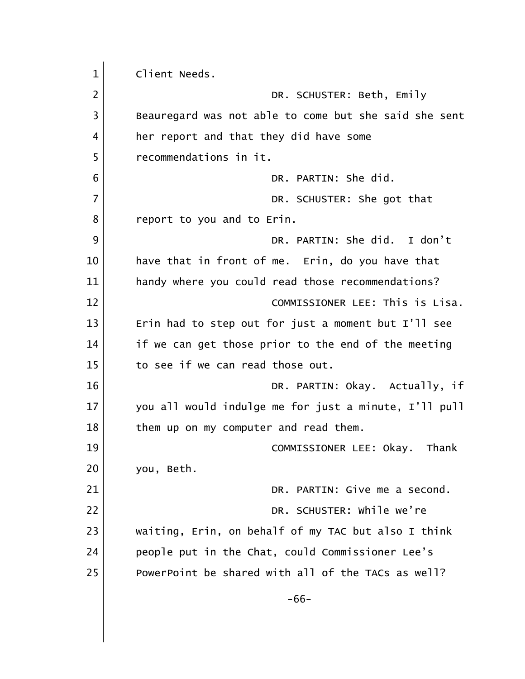| $\mathbf 1$    | Client Needs.                                         |
|----------------|-------------------------------------------------------|
| $\overline{2}$ | DR. SCHUSTER: Beth, Emily                             |
| 3              | Beauregard was not able to come but she said she sent |
| 4              | her report and that they did have some                |
| 5              | recommendations in it.                                |
| 6              | DR. PARTIN: She did.                                  |
| 7              | DR. SCHUSTER: She got that                            |
| 8              | report to you and to Erin.                            |
| 9              | DR. PARTIN: She did. I don't                          |
| 10             | have that in front of me. Erin, do you have that      |
| 11             | handy where you could read those recommendations?     |
| 12             | COMMISSIONER LEE: This is Lisa.                       |
| 13             | Erin had to step out for just a moment but I'll see   |
| 14             | if we can get those prior to the end of the meeting   |
| 15             | to see if we can read those out.                      |
| 16             | DR. PARTIN: Okay. Actually, if                        |
| 17             | you all would indulge me for just a minute, I'll pull |
| 18             | them up on my computer and read them.                 |
| 19             | COMMISSIONER LEE: Okay. Thank                         |
| 20             | you, Beth.                                            |
| 21             | DR. PARTIN: Give me a second.                         |
| 22             | DR. SCHUSTER: While we're                             |
| 23             | waiting, Erin, on behalf of my TAC but also I think   |
| 24             | people put in the Chat, could Commissioner Lee's      |
| 25             | PowerPoint be shared with all of the TACs as well?    |
|                | $-66-$                                                |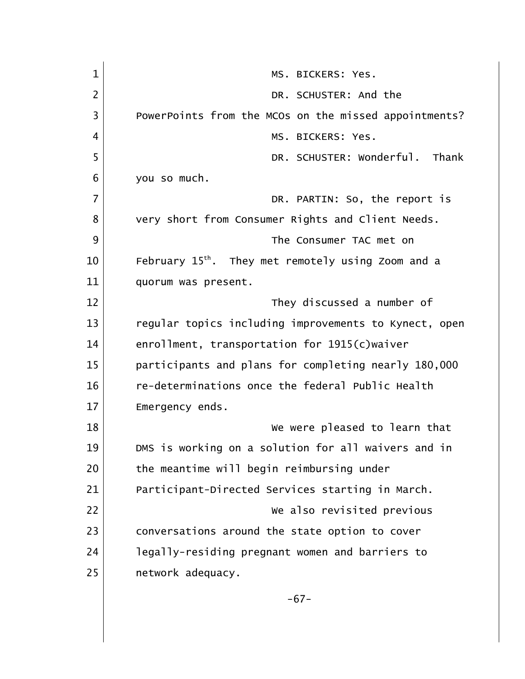| $\mathbf{1}$   | MS. BICKERS: Yes.                                              |
|----------------|----------------------------------------------------------------|
| $\overline{2}$ | DR. SCHUSTER: And the                                          |
| 3              | PowerPoints from the MCOs on the missed appointments?          |
| 4              | MS. BICKERS: Yes.                                              |
| 5              | DR. SCHUSTER: Wonderful. Thank                                 |
| 6              | you so much.                                                   |
| $\overline{7}$ | DR. PARTIN: So, the report is                                  |
| 8              | very short from Consumer Rights and Client Needs.              |
| 9              | The Consumer TAC met on                                        |
| 10             | February 15 <sup>th</sup> . They met remotely using Zoom and a |
| 11             | quorum was present.                                            |
| 12             | They discussed a number of                                     |
| 13             | regular topics including improvements to Kynect, open          |
| 14             | enrollment, transportation for 1915(c)waiver                   |
| 15             | participants and plans for completing nearly 180,000           |
| 16             | re-determinations once the federal Public Health               |
| 17             | Emergency ends.                                                |
| 18             | We were pleased to learn that                                  |
| 19             | DMS is working on a solution for all waivers and in            |
| 20             | the meantime will begin reimbursing under                      |
| 21             | Participant-Directed Services starting in March.               |
| 22             | We also revisited previous                                     |
| 23             | conversations around the state option to cover                 |
| 24             | legally-residing pregnant women and barriers to                |
| 25             | network adequacy.                                              |
|                | $-67-$                                                         |
|                |                                                                |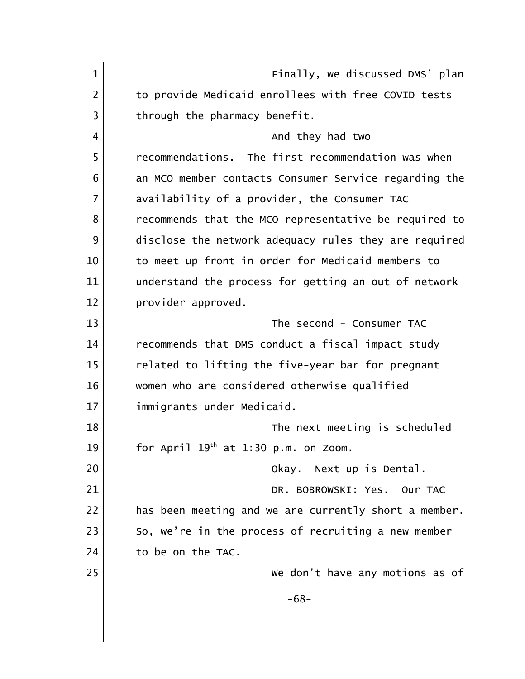1 Finally, we discussed DMS' plan 2 to provide Medicaid enrollees with free COVID tests 3 through the pharmacy benefit. 4 And they had two 5 recommendations. The first recommendation was when 6 6 6 6 an MCO member contacts Consumer Service regarding the 7 availability of a provider, the Consumer TAC 8 | crecommends that the MCO representative be required to 9 disclose the network adequacy rules they are required 10 10 to meet up front in order for Medicaid members to 11 understand the process for getting an out-of-network 12 **provider** approved. 13 The second - Consumer TAC 14 recommends that DMS conduct a fiscal impact study 15 related to lifting the five-year bar for pregnant 16 women who are considered otherwise qualified 17 immigrants under Medicaid. 18 and 18 The next meeting is scheduled 19 for April  $19<sup>th</sup>$  at 1:30 p.m. on Zoom. 20 **Okay.** Next up is Dental. 21 DR. BOBROWSKI: Yes. Our TAC 22 has been meeting and we are currently short a member.  $23$  So, we're in the process of recruiting a new member 24 to be on the TAC. 25 We don't have any motions as of -68-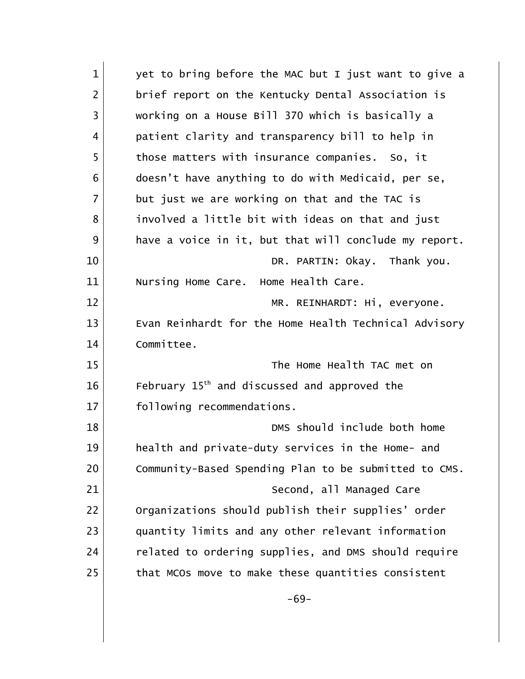| $\mathbf{1}$   | yet to bring before the MAC but I just want to give a    |
|----------------|----------------------------------------------------------|
| $\overline{2}$ | brief report on the Kentucky Dental Association is       |
| 3              | working on a House Bill 370 which is basically a         |
| 4              | patient clarity and transparency bill to help in         |
| 5              | those matters with insurance companies. So, it           |
| 6              | doesn't have anything to do with Medicaid, per se,       |
| $\overline{7}$ | but just we are working on that and the TAC is           |
| 8              | involved a little bit with ideas on that and just        |
| 9              | have a voice in it, but that will conclude my report.    |
| 10             | DR. PARTIN: Okay. Thank you.                             |
| 11             | Nursing Home Care. Home Health Care.                     |
| 12             | MR. REINHARDT: Hi, everyone.                             |
| 13             | Evan Reinhardt for the Home Health Technical Advisory    |
| 14             | Committee.                                               |
| 15             | The Home Health TAC met on                               |
| 16             | February 15 <sup>th</sup> and discussed and approved the |
| 17             | following recommendations.                               |
| 18             | DMS should include both home                             |
| 19             | health and private-duty services in the Home- and        |
| 20             | Community-Based Spending Plan to be submitted to CMS.    |
| 21             | Second, all Managed Care                                 |
| 22             | Organizations should publish their supplies' order       |
| 23             | quantity limits and any other relevant information       |
| 24             | related to ordering supplies, and DMS should require     |
| 25             | that MCOs move to make these quantities consistent       |
|                | $-69-$                                                   |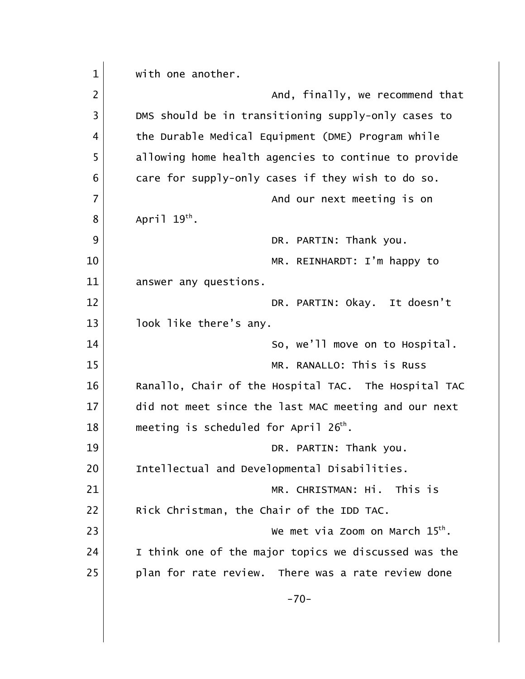| $\mathbf{1}$   | with one another.                                    |
|----------------|------------------------------------------------------|
| $\overline{2}$ | And, finally, we recommend that                      |
| 3              | DMS should be in transitioning supply-only cases to  |
| 4              | the Durable Medical Equipment (DME) Program while    |
| 5              | allowing home health agencies to continue to provide |
| 6              | care for supply-only cases if they wish to do so.    |
| $\overline{7}$ | And our next meeting is on                           |
| 8              | April $19^{th}$ .                                    |
| 9              | DR. PARTIN: Thank you.                               |
| 10             | MR. REINHARDT: I'm happy to                          |
| 11             | answer any questions.                                |
| 12             | DR. PARTIN: Okay. It doesn't                         |
| 13             | look like there's any.                               |
| 14             | So, we'll move on to Hospital.                       |
| 15             | MR. RANALLO: This is Russ                            |
| 16             | Ranallo, Chair of the Hospital TAC. The Hospital TAC |
| 17             | did not meet since the last MAC meeting and our next |
| 18             | meeting is scheduled for April $26th$ .              |
| 19             | DR. PARTIN: Thank you.                               |
| 20             | Intellectual and Developmental Disabilities.         |
| 21             | MR. CHRISTMAN: Hi. This is                           |
| 22             | Rick Christman, the Chair of the IDD TAC.            |
| 23             | We met via Zoom on March $15th$ .                    |
| 24             | I think one of the major topics we discussed was the |
| 25             | plan for rate review. There was a rate review done   |
|                | $-70-$                                               |
|                |                                                      |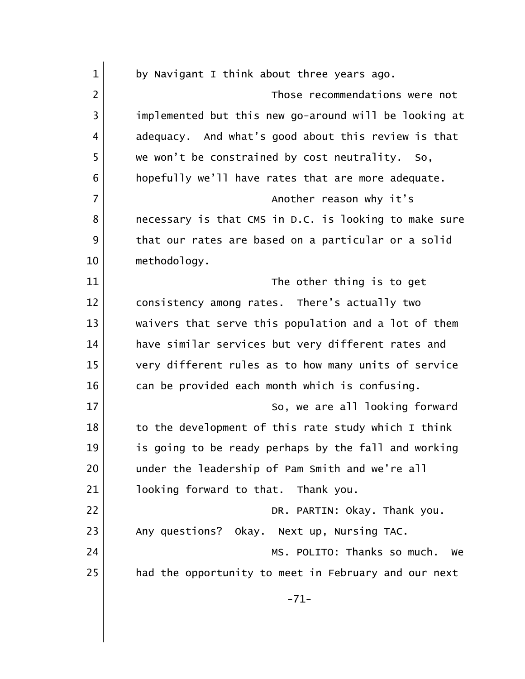| $\mathbf{1}$   | by Navigant I think about three years ago.            |
|----------------|-------------------------------------------------------|
| $\overline{2}$ | Those recommendations were not                        |
| 3              | implemented but this new go-around will be looking at |
| 4              | adequacy. And what's good about this review is that   |
| 5              | we won't be constrained by cost neutrality. So,       |
| 6              | hopefully we'll have rates that are more adequate.    |
| $\overline{7}$ | Another reason why it's                               |
| 8              | necessary is that CMS in D.C. is looking to make sure |
| 9              | that our rates are based on a particular or a solid   |
| 10             | methodology.                                          |
| 11             | The other thing is to get                             |
| 12             | consistency among rates. There's actually two         |
| 13             | waivers that serve this population and a lot of them  |
| 14             | have similar services but very different rates and    |
| 15             | very different rules as to how many units of service  |
| 16             | can be provided each month which is confusing.        |
| 17             | So, we are all looking forward                        |
| 18             | to the development of this rate study which I think   |
| 19             | is going to be ready perhaps by the fall and working  |
| 20             | under the leadership of Pam Smith and we're all       |
| 21             | looking forward to that. Thank you.                   |
| 22             | DR. PARTIN: Okay. Thank you.                          |
| 23             | Any questions? Okay. Next up, Nursing TAC.            |
| 24             | MS. POLITO: Thanks so much.<br>We                     |
| 25             | had the opportunity to meet in February and our next  |
|                | $-71-$                                                |
|                |                                                       |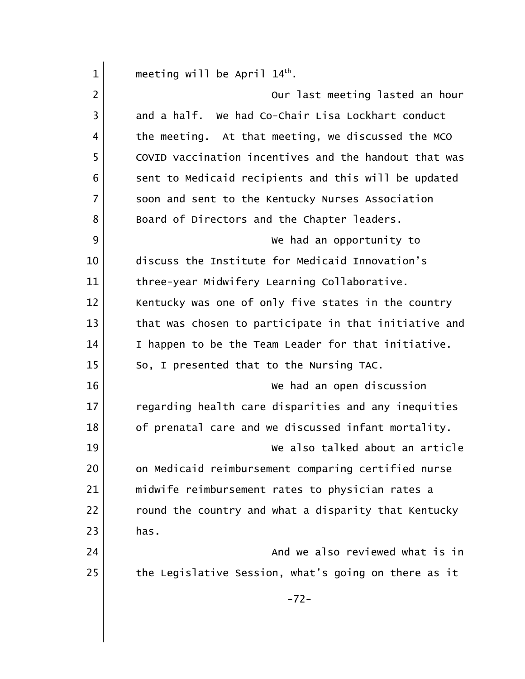| $\mathbf{1}$   | meeting will be April $14th$ .                        |
|----------------|-------------------------------------------------------|
| $\overline{2}$ | Our last meeting lasted an hour                       |
| 3              | and a half. We had Co-Chair Lisa Lockhart conduct     |
| 4              | the meeting. At that meeting, we discussed the MCO    |
| 5              | COVID vaccination incentives and the handout that was |
| 6              | sent to Medicaid recipients and this will be updated  |
| 7              | soon and sent to the Kentucky Nurses Association      |
| 8              | Board of Directors and the Chapter leaders.           |
| 9              | We had an opportunity to                              |
| 10             | discuss the Institute for Medicaid Innovation's       |
| 11             | three-year Midwifery Learning Collaborative.          |
| 12             | Kentucky was one of only five states in the country   |
| 13             | that was chosen to participate in that initiative and |
| 14             | I happen to be the Team Leader for that initiative.   |
| 15             | So, I presented that to the Nursing TAC.              |
| 16             | We had an open discussion                             |
| 17             | regarding health care disparities and any inequities  |
| 18             | of prenatal care and we discussed infant mortality.   |
| 19             | We also talked about an article                       |
| 20             | on Medicaid reimbursement comparing certified nurse   |
| 21             | midwife reimbursement rates to physician rates a      |
| 22             | round the country and what a disparity that Kentucky  |
| 23             | has.                                                  |
| 24             | And we also reviewed what is in                       |
| 25             | the Legislative Session, what's going on there as it  |
|                | $-72-$                                                |
|                |                                                       |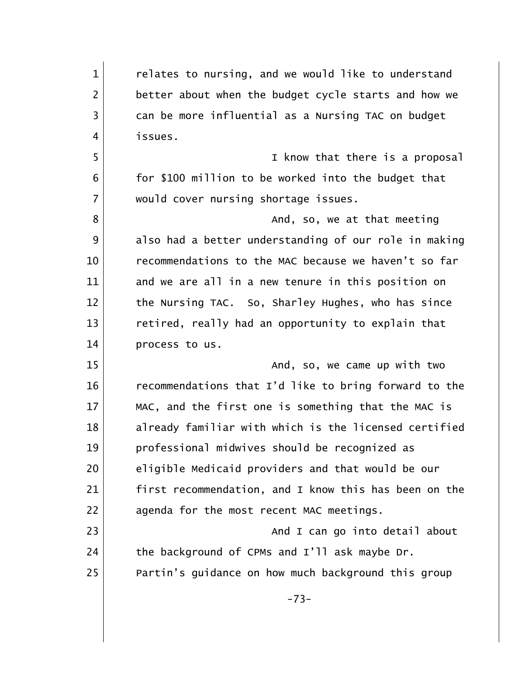1 1 relates to nursing, and we would like to understand 2 better about when the budget cycle starts and how we 3 can be more influential as a Nursing TAC on budget 4 issues. 5 I know that there is a proposal 6 for \$100 million to be worked into the budget that 7 would cover nursing shortage issues. 8 and, so, we at that meeting 9 also had a better understanding of our role in making 10 recommendations to the MAC because we haven't so far 11 and we are all in a new tenure in this position on 12 the Nursing TAC. So, Sharley Hughes, who has since 13 retired, really had an opportunity to explain that 14 **process** to us. 15 and, so, we came up with two 16 recommendations that I'd like to bring forward to the 17 MAC, and the first one is something that the MAC is 18 already familiar with which is the licensed certified 19 professional midwives should be recognized as 20 eligible Medicaid providers and that would be our 21 first recommendation, and I know this has been on the 22 agenda for the most recent MAC meetings. 23 and I can go into detail about that is not can go into detail about  $24$  the background of CPMs and I'll ask maybe Dr. 25 Partin's guidance on how much background this group -73-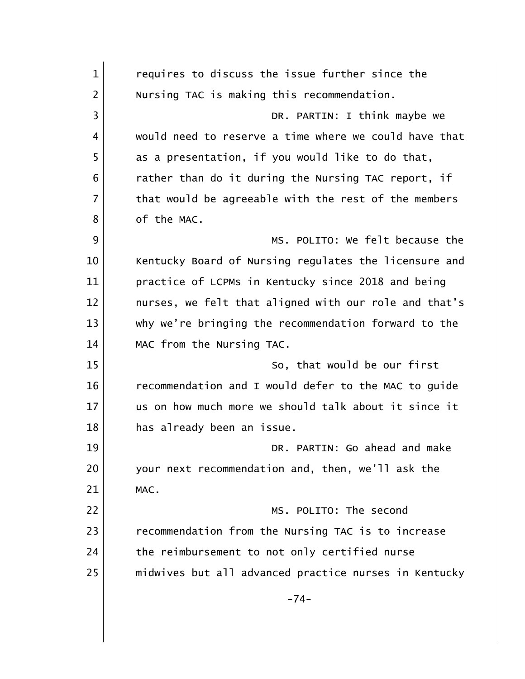| $\mathbf{1}$   | requires to discuss the issue further since the       |
|----------------|-------------------------------------------------------|
| $\overline{2}$ | Nursing TAC is making this recommendation.            |
| 3              | DR. PARTIN: I think maybe we                          |
| 4              | would need to reserve a time where we could have that |
| 5              | as a presentation, if you would like to do that,      |
| 6              | rather than do it during the Nursing TAC report, if   |
| $\overline{7}$ | that would be agreeable with the rest of the members  |
| 8              | of the MAC.                                           |
| 9              | MS. POLITO: We felt because the                       |
| 10             | Kentucky Board of Nursing regulates the licensure and |
| 11             | practice of LCPMs in Kentucky since 2018 and being    |
| 12             | nurses, we felt that aligned with our role and that's |
| 13             | why we're bringing the recommendation forward to the  |
| 14             | MAC from the Nursing TAC.                             |
| 15             | So, that would be our first                           |
| 16             | recommendation and I would defer to the MAC to guide  |
| 17             | us on how much more we should talk about it since it  |
| 18             | has already been an issue.                            |
| 19             | DR. PARTIN: Go ahead and make                         |
| 20             | your next recommendation and, then, we'll ask the     |
| 21             | MAC.                                                  |
| 22             | MS. POLITO: The second                                |
| 23             | recommendation from the Nursing TAC is to increase    |
| 24             | the reimbursement to not only certified nurse         |
| 25             | midwives but all advanced practice nurses in Kentucky |
|                | $-74-$                                                |
|                |                                                       |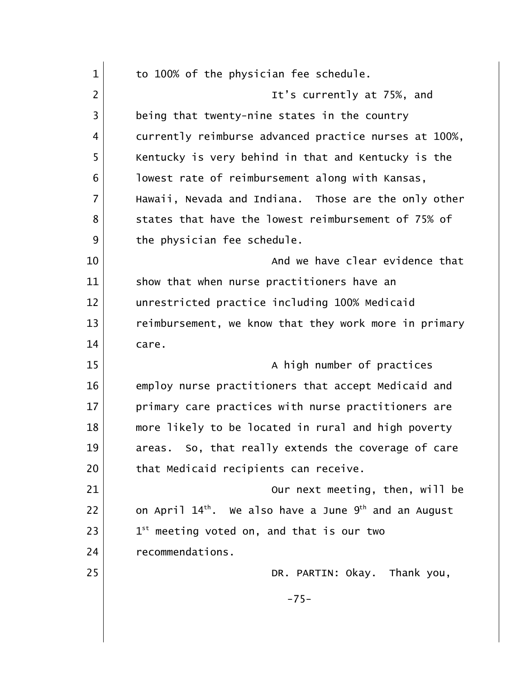| $\mathbf{1}$   | to 100% of the physician fee schedule.                                        |
|----------------|-------------------------------------------------------------------------------|
| $\overline{2}$ | It's currently at 75%, and                                                    |
| 3              | being that twenty-nine states in the country                                  |
| 4              | currently reimburse advanced practice nurses at 100%,                         |
| 5              | Kentucky is very behind in that and Kentucky is the                           |
| 6              | lowest rate of reimbursement along with Kansas,                               |
| $\overline{7}$ | Hawaii, Nevada and Indiana. Those are the only other                          |
| 8              | states that have the lowest reimbursement of 75% of                           |
| 9              | the physician fee schedule.                                                   |
| 10             | And we have clear evidence that                                               |
| 11             | show that when nurse practitioners have an                                    |
| 12             | unrestricted practice including 100% Medicaid                                 |
| 13             | reimbursement, we know that they work more in primary                         |
| 14             | care.                                                                         |
| 15             | A high number of practices                                                    |
| 16             | employ nurse practitioners that accept Medicaid and                           |
| 17             | primary care practices with nurse practitioners are                           |
| 18             | more likely to be located in rural and high poverty                           |
| 19             | areas. So, that really extends the coverage of care                           |
| 20             | that Medicaid recipients can receive.                                         |
| 21             | Our next meeting, then, will be                                               |
| 22             | on April 14 <sup>th</sup> . We also have a June 9 <sup>th</sup> and an August |
| 23             | $1^{st}$ meeting voted on, and that is our two                                |
| 24             | recommendations.                                                              |
| 25             | DR. PARTIN: Okay. Thank you,                                                  |
|                | $-75-$                                                                        |
|                |                                                                               |
|                |                                                                               |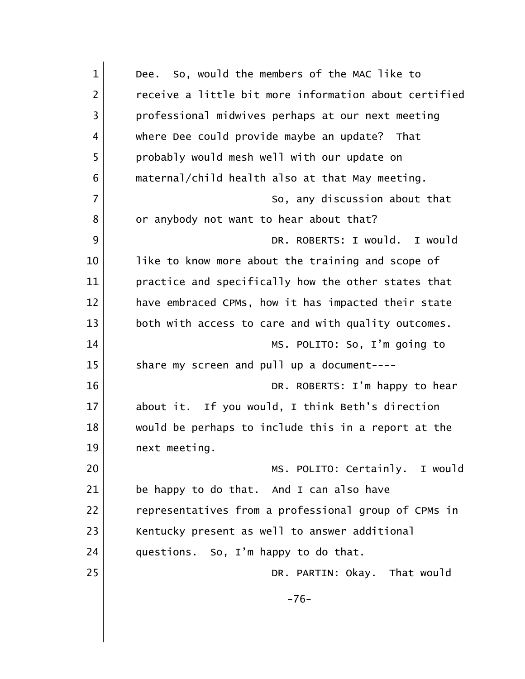| $\mathbf{1}$   | So, would the members of the MAC like to<br>Dee.      |
|----------------|-------------------------------------------------------|
| 2              | receive a little bit more information about certified |
| 3              | professional midwives perhaps at our next meeting     |
| 4              | where Dee could provide maybe an update? That         |
| 5              | probably would mesh well with our update on           |
| 6              | maternal/child health also at that May meeting.       |
| $\overline{7}$ | So, any discussion about that                         |
| 8              | or anybody not want to hear about that?               |
| 9              | DR. ROBERTS: I would. I would                         |
| 10             | like to know more about the training and scope of     |
| 11             | practice and specifically how the other states that   |
| 12             | have embraced CPMs, how it has impacted their state   |
| 13             | both with access to care and with quality outcomes.   |
| 14             | MS. POLITO: So, I'm going to                          |
| 15             | share my screen and pull up a document----            |
| 16             | DR. ROBERTS: I'm happy to hear                        |
| 17             | about it. If you would, I think Beth's direction      |
| 18             | would be perhaps to include this in a report at the   |
| 19             | next meeting.                                         |
| 20             | MS. POLITO: Certainly. I would                        |
| 21             | be happy to do that. And I can also have              |
| 22             | representatives from a professional group of CPMs in  |
| 23             | Kentucky present as well to answer additional         |
| 24             | questions. So, I'm happy to do that.                  |
| 25             | DR. PARTIN: Okay. That would                          |
|                | $-76-$                                                |
|                |                                                       |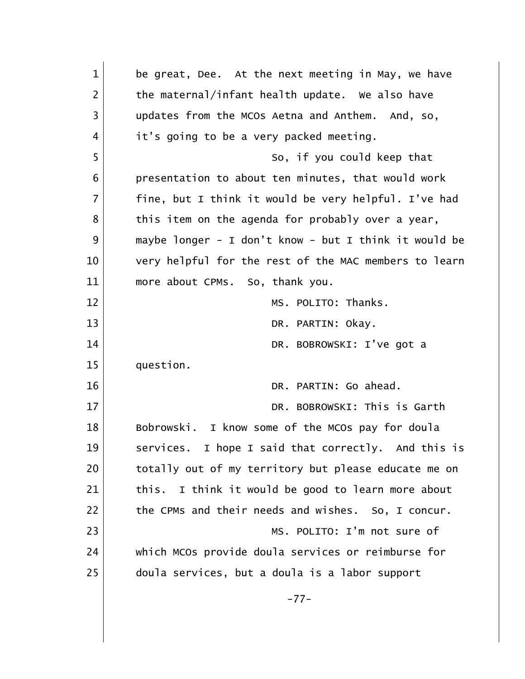| $\mathbf{1}$   | be great, Dee. At the next meeting in May, we have    |
|----------------|-------------------------------------------------------|
| $\overline{2}$ | the maternal/infant health update. We also have       |
| 3              | updates from the MCOs Aetna and Anthem. And, so,      |
| 4              | it's going to be a very packed meeting.               |
| 5              | So, if you could keep that                            |
| 6              | presentation to about ten minutes, that would work    |
| $\overline{7}$ | fine, but I think it would be very helpful. I've had  |
| 8              | this item on the agenda for probably over a year,     |
| 9              | maybe longer - I don't know - but I think it would be |
| 10             | very helpful for the rest of the MAC members to learn |
| 11             | more about CPMs. So, thank you.                       |
| 12             | MS. POLITO: Thanks.                                   |
| 13             | DR. PARTIN: Okay.                                     |
| 14             | DR. BOBROWSKI: I've got a                             |
| 15             | question.                                             |
| 16             | DR. PARTIN: Go ahead.                                 |
| 17             | DR. BOBROWSKI: This is Garth                          |
| 18             | Bobrowski. I know some of the MCOs pay for doula      |
| 19             | services. I hope I said that correctly. And this is   |
| 20             | totally out of my territory but please educate me on  |
| 21             | I think it would be good to learn more about<br>this. |
| 22             | the CPMs and their needs and wishes. So, I concur.    |
| 23             | MS. POLITO: I'm not sure of                           |
| 24             | which MCOs provide doula services or reimburse for    |
| 25             | doula services, but a doula is a labor support        |
|                | $-77-$                                                |
|                |                                                       |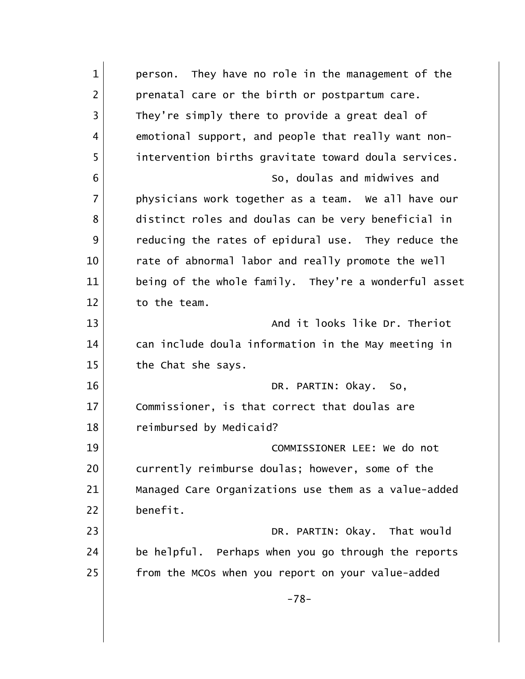| $\mathbf{1}$   | They have no role in the management of the<br>person. |
|----------------|-------------------------------------------------------|
| $\overline{2}$ | prenatal care or the birth or postpartum care.        |
| $\overline{3}$ | They're simply there to provide a great deal of       |
| 4              | emotional support, and people that really want non-   |
| 5              | intervention births gravitate toward doula services.  |
| 6              | So, doulas and midwives and                           |
| $\overline{7}$ | physicians work together as a team. We all have our   |
| 8              | distinct roles and doulas can be very beneficial in   |
| 9              | reducing the rates of epidural use. They reduce the   |
| 10             | rate of abnormal labor and really promote the well    |
| 11             | being of the whole family. They're a wonderful asset  |
| 12             | to the team.                                          |
| 13             | And it looks like Dr. Theriot                         |
| 14             | can include doula information in the May meeting in   |
| 15             | the Chat she says.                                    |
| 16             | DR. PARTIN: Okay.<br>So,                              |
| 17             | Commissioner, is that correct that doulas are         |
| 18             | reimbursed by Medicaid?                               |
| 19             | COMMISSIONER LEE: We do not                           |
| 20             | currently reimburse doulas; however, some of the      |
| 21             | Managed Care Organizations use them as a value-added  |
| 22             | benefit.                                              |
| 23             | DR. PARTIN: Okay. That would                          |
| 24             | be helpful. Perhaps when you go through the reports   |
| 25             | from the MCOs when you report on your value-added     |
|                | $-78-$                                                |
|                |                                                       |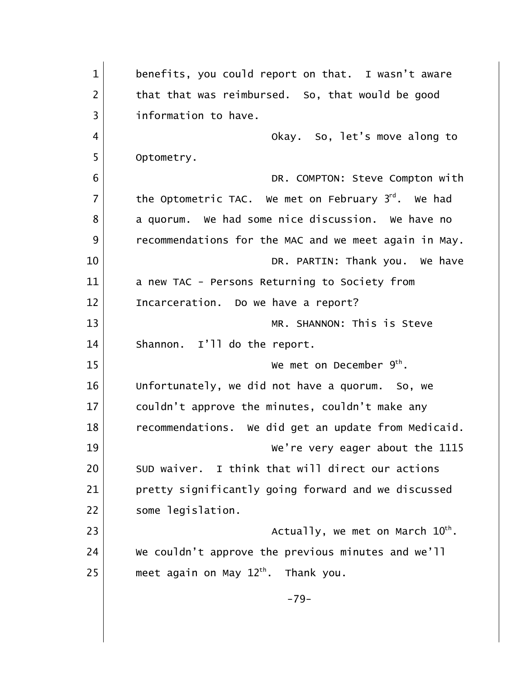| $\mathbf{1}$   | benefits, you could report on that. I wasn't aware    |
|----------------|-------------------------------------------------------|
| $\overline{2}$ | that that was reimbursed. So, that would be good      |
| 3              | information to have.                                  |
| 4              | Okay. So, let's move along to                         |
| 5              | Optometry.                                            |
| 6              | DR. COMPTON: Steve Compton with                       |
| $\overline{7}$ | the Optometric TAC. We met on February $3rd$ . We had |
| 8              | a quorum. We had some nice discussion. We have no     |
| 9              | recommendations for the MAC and we meet again in May. |
| 10             | DR. PARTIN: Thank you. We have                        |
| 11             | a new TAC - Persons Returning to Society from         |
| 12             | Incarceration. Do we have a report?                   |
| 13             | MR. SHANNON: This is Steve                            |
| 14             | Shannon. I'll do the report.                          |
| 15             | We met on December $9th$ .                            |
| 16             | Unfortunately, we did not have a quorum. So, we       |
| 17             | couldn't approve the minutes, couldn't make any       |
| 18             | recommendations. We did get an update from Medicaid.  |
| 19             | We're very eager about the 1115                       |
| 20             | SUD waiver. I think that will direct our actions      |
| 21             | pretty significantly going forward and we discussed   |
| 22             | some legislation.                                     |
| 23             | Actually, we met on March $10^{th}$ .                 |
| 24             | We couldn't approve the previous minutes and we'll    |
| 25             | meet again on May $12th$ . Thank you.                 |
|                | $-79-$                                                |
|                |                                                       |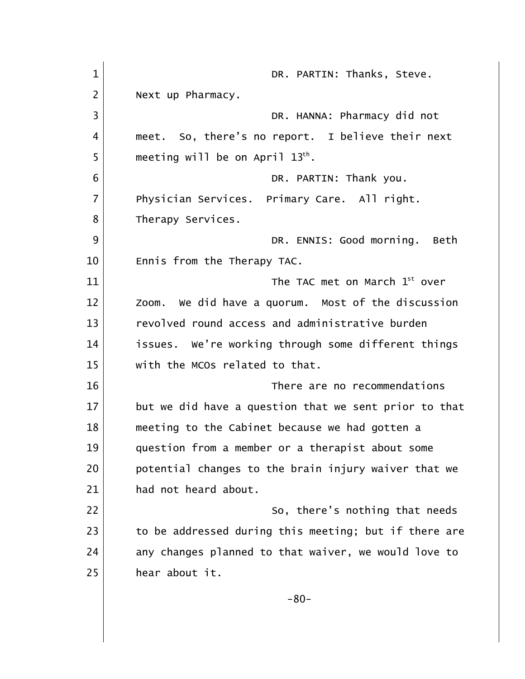| $\mathbf{1}$   | DR. PARTIN: Thanks, Steve.                            |
|----------------|-------------------------------------------------------|
| $\overline{2}$ | Next up Pharmacy.                                     |
| 3              | DR. HANNA: Pharmacy did not                           |
| 4              | meet. So, there's no report. I believe their next     |
| 5              | meeting will be on April $13th$ .                     |
| 6              | DR. PARTIN: Thank you.                                |
| $\overline{7}$ | Physician Services. Primary Care. All right.          |
| 8              | Therapy Services.                                     |
| 9              | DR. ENNIS: Good morning. Beth                         |
| 10             | Ennis from the Therapy TAC.                           |
| 11             | The TAC met on March $1st$ over                       |
| 12             | Zoom. We did have a quorum. Most of the discussion    |
| 13             | revolved round access and administrative burden       |
| 14             | issues. We're working through some different things   |
| 15             | with the MCOs related to that.                        |
| 16             | There are no recommendations                          |
| 17             | but we did have a question that we sent prior to that |
| 18             | meeting to the Cabinet because we had gotten a        |
| 19             | question from a member or a therapist about some      |
| 20             | potential changes to the brain injury waiver that we  |
| 21             | had not heard about.                                  |
| 22             | So, there's nothing that needs                        |
| 23             | to be addressed during this meeting; but if there are |
| 24             | any changes planned to that waiver, we would love to  |
| 25             | hear about it.                                        |
|                | $-80-$                                                |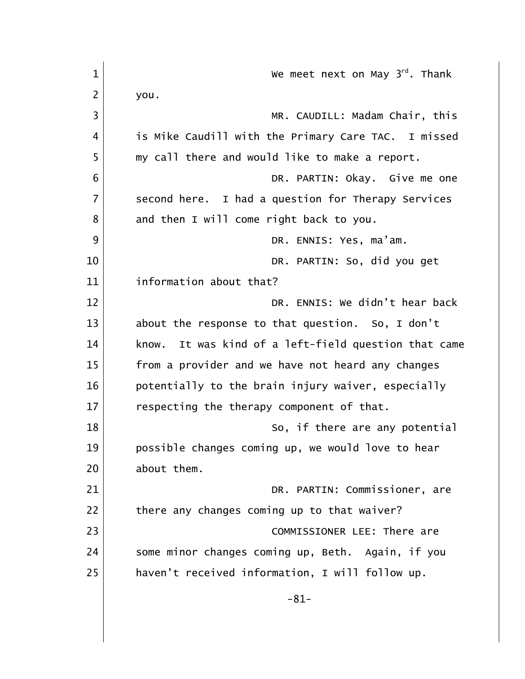| $\mathbf{1}$   | We meet next on May 3 <sup>rd</sup> . Thank             |
|----------------|---------------------------------------------------------|
| $\overline{2}$ | you.                                                    |
| $\overline{3}$ | MR. CAUDILL: Madam Chair, this                          |
| 4              | is Mike Caudill with the Primary Care TAC. I missed     |
| 5              | my call there and would like to make a report.          |
| 6              | DR. PARTIN: Okay. Give me one                           |
| $\overline{7}$ | second here. I had a question for Therapy Services      |
| 8              | and then I will come right back to you.                 |
| 9              | DR. ENNIS: Yes, ma'am.                                  |
| 10             | DR. PARTIN: So, did you get                             |
| 11             | information about that?                                 |
| 12             | DR. ENNIS: We didn't hear back                          |
| 13             | about the response to that question. So, I don't        |
| 14             | It was kind of a left-field question that came<br>know. |
| 15             | from a provider and we have not heard any changes       |
| 16             | potentially to the brain injury waiver, especially      |
| 17             | respecting the therapy component of that.               |
| 18             | So, if there are any potential                          |
| 19             | possible changes coming up, we would love to hear       |
| 20             | about them.                                             |
| 21             | DR. PARTIN: Commissioner, are                           |
| 22             | there any changes coming up to that waiver?             |
| 23             | COMMISSIONER LEE: There are                             |
| 24             | some minor changes coming up, Beth.<br>Again, if you    |
| 25             | haven't received information, I will follow up.         |
|                | $-81-$                                                  |
|                |                                                         |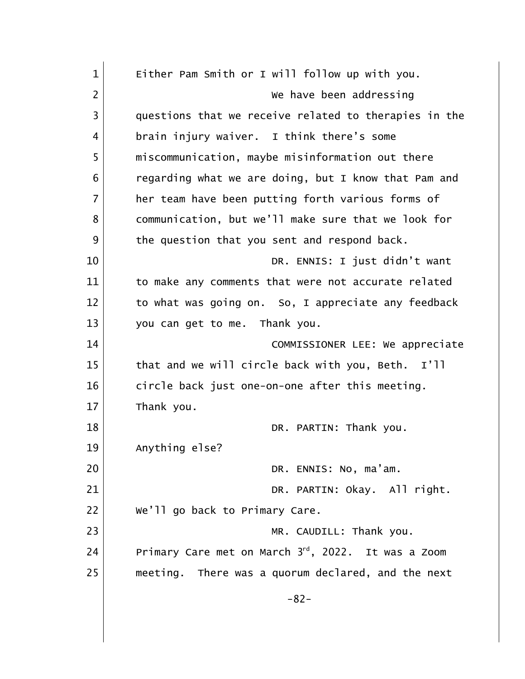| $\mathbf{1}$   | Either Pam Smith or I will follow up with you.        |
|----------------|-------------------------------------------------------|
| $\overline{2}$ | We have been addressing                               |
| 3              | questions that we receive related to therapies in the |
| 4              | brain injury waiver. I think there's some             |
| 5              | miscommunication, maybe misinformation out there      |
| 6              | regarding what we are doing, but I know that Pam and  |
| 7              | her team have been putting forth various forms of     |
| 8              | communication, but we'll make sure that we look for   |
| 9              | the question that you sent and respond back.          |
| 10             | DR. ENNIS: I just didn't want                         |
| 11             | to make any comments that were not accurate related   |
| 12             | to what was going on. So, I appreciate any feedback   |
| 13             | you can get to me. Thank you.                         |
| 14             | COMMISSIONER LEE: We appreciate                       |
| 15             | that and we will circle back with you, Beth. I'll     |
| 16             | circle back just one-on-one after this meeting.       |
| 17             | Thank you.                                            |
| 18             | DR. PARTIN: Thank you.                                |
| 19             | Anything else?                                        |
| 20             | DR. ENNIS: No, ma'am.                                 |
| 21             | DR. PARTIN: Okay. All right.                          |
| 22             | We'll go back to Primary Care.                        |
| 23             | MR. CAUDILL: Thank you.                               |
| 24             | Primary Care met on March 3rd, 2022. It was a Zoom    |
| 25             | meeting. There was a quorum declared, and the next    |
|                | $-82-$                                                |
|                |                                                       |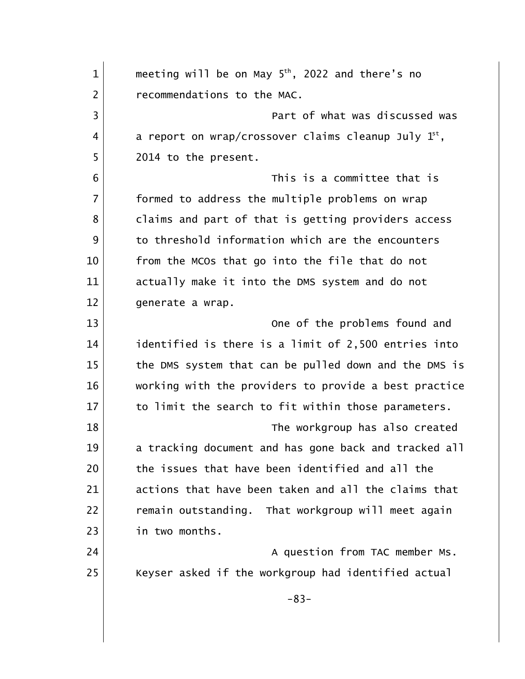| $\mathbf 1$    | meeting will be on May $5th$ , 2022 and there's no     |
|----------------|--------------------------------------------------------|
| $\overline{2}$ | recommendations to the MAC.                            |
| 3              | Part of what was discussed was                         |
| 4              | a report on wrap/crossover claims cleanup July $1st$ , |
| 5              | 2014 to the present.                                   |
| 6              | This is a committee that is                            |
| $\overline{7}$ | formed to address the multiple problems on wrap        |
| 8              | claims and part of that is getting providers access    |
| 9              | to threshold information which are the encounters      |
| 10             | from the MCOs that go into the file that do not        |
| 11             | actually make it into the DMS system and do not        |
| 12             | generate a wrap.                                       |
| 13             | One of the problems found and                          |
| 14             | identified is there is a limit of 2,500 entries into   |
| 15             | the DMS system that can be pulled down and the DMS is  |
| 16             | working with the providers to provide a best practice  |
| 17             | to limit the search to fit within those parameters.    |
| 18             | The workgroup has also created                         |
| 19             | a tracking document and has gone back and tracked all  |
| 20             | the issues that have been identified and all the       |
| 21             | actions that have been taken and all the claims that   |
| 22             | remain outstanding. That workgroup will meet again     |
| 23             | in two months.                                         |
| 24             | A question from TAC member Ms.                         |
| 25             | Keyser asked if the workgroup had identified actual    |
|                | $-83-$                                                 |
|                |                                                        |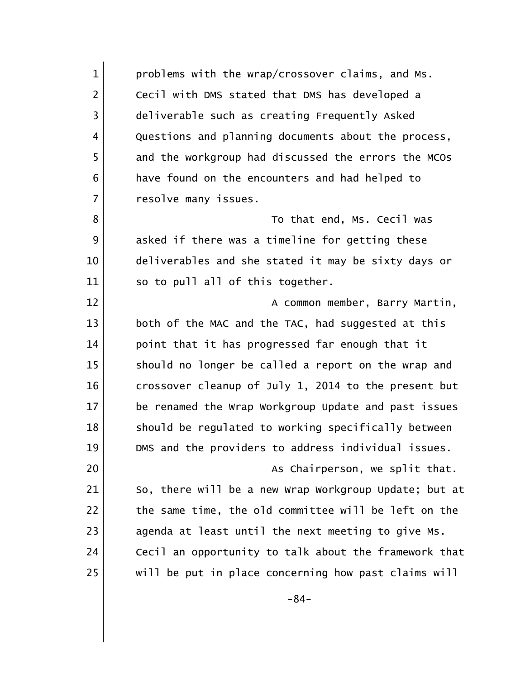1 problems with the wrap/crossover claims, and Ms. 2 Cecil with DMS stated that DMS has developed a 3 deliverable such as creating Frequently Asked 4 Questions and planning documents about the process, 5 and the workgroup had discussed the errors the MCOs 6 have found on the encounters and had helped to 7 resolve many issues. 8 a set of that end, Ms. Cecil was 9 asked if there was a timeline for getting these 10 deliverables and she stated it may be sixty days or 11 So to pull all of this together. 12 a Common member, Barry Martin, 13 both of the MAC and the TAC, had suggested at this 14 point that it has progressed far enough that it 15 Should no longer be called a report on the wrap and 16 crossover cleanup of July 1, 2014 to the present but 17 be renamed the Wrap Workgroup Update and past issues 18 Should be regulated to working specifically between 19 DMS and the providers to address individual issues. 20 as Chairperson, we split that. 21 So, there will be a new Wrap Workgroup Update; but at 22 the same time, the old committee will be left on the 23 agenda at least until the next meeting to give Ms. 24 | Cecil an opportunity to talk about the framework that 25 | will be put in place concerning how past claims will -84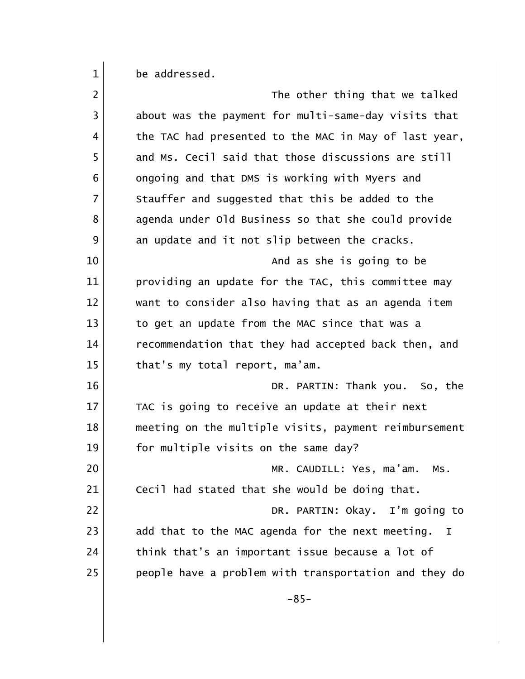be addressed.

| $\overline{2}$ | The other thing that we talked                        |
|----------------|-------------------------------------------------------|
| 3              | about was the payment for multi-same-day visits that  |
| 4              | the TAC had presented to the MAC in May of last year, |
| 5              | and Ms. Cecil said that those discussions are still   |
| 6              | ongoing and that DMS is working with Myers and        |
| $\overline{7}$ | Stauffer and suggested that this be added to the      |
| 8              | agenda under Old Business so that she could provide   |
| 9              | an update and it not slip between the cracks.         |
| 10             | And as she is going to be                             |
| 11             | providing an update for the TAC, this committee may   |
| 12             | want to consider also having that as an agenda item   |
| 13             | to get an update from the MAC since that was a        |
| 14             | recommendation that they had accepted back then, and  |
| 15             | that's my total report, ma'am.                        |
| 16             | DR. PARTIN: Thank you. So, the                        |
| 17             | TAC is going to receive an update at their next       |
| 18             | meeting on the multiple visits, payment reimbursement |
| 19             | for multiple visits on the same day?                  |
| 20             | MR. CAUDILL: Yes, ma'am. Ms.                          |
| 21             | Cecil had stated that she would be doing that.        |
| 22             | DR. PARTIN: Okay. I'm going to                        |
| 23             | add that to the MAC agenda for the next meeting.<br>I |
| 24             | think that's an important issue because a lot of      |
| 25             | people have a problem with transportation and they do |
|                | $-85-$                                                |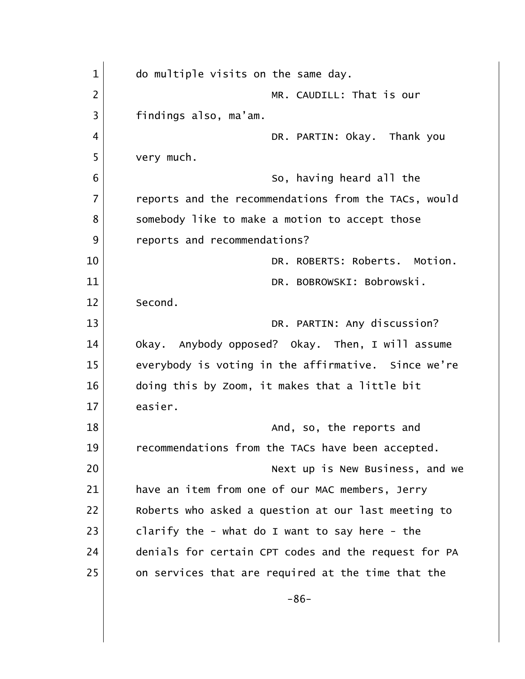| $\mathbf{1}$   | do multiple visits on the same day.                  |
|----------------|------------------------------------------------------|
| $\overline{2}$ | MR. CAUDILL: That is our                             |
| 3              | findings also, ma'am.                                |
| $\overline{4}$ | DR. PARTIN: Okay. Thank you                          |
| 5              | very much.                                           |
| 6              | So, having heard all the                             |
| $\overline{7}$ | reports and the recommendations from the TACs, would |
| 8              | somebody like to make a motion to accept those       |
| 9              | reports and recommendations?                         |
| 10             | DR. ROBERTS: Roberts. Motion.                        |
| 11             | DR. BOBROWSKI: Bobrowski.                            |
| 12             | Second.                                              |
| 13             | DR. PARTIN: Any discussion?                          |
| 14             | Okay. Anybody opposed? Okay. Then, I will assume     |
| 15             | everybody is voting in the affirmative. Since we're  |
| 16             | doing this by Zoom, it makes that a little bit       |
| 17             | easier.                                              |
| 18             | And, so, the reports and                             |
| 19             | recommendations from the TACs have been accepted.    |
| 20             | Next up is New Business, and we                      |
| 21             | have an item from one of our MAC members, Jerry      |
| 22             | Roberts who asked a question at our last meeting to  |
| 23             | clarify the - what do I want to say here - the       |
| 24             | denials for certain CPT codes and the request for PA |
| 25             | on services that are required at the time that the   |
|                | $-86-$                                               |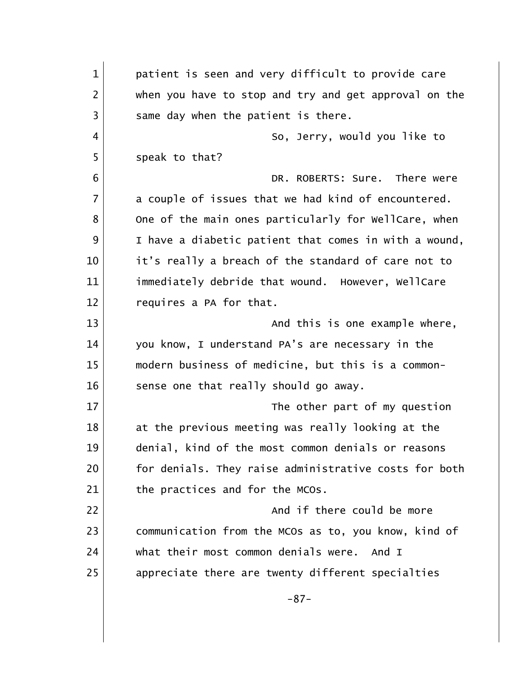1 **patient is seen and very difficult to provide care** 2 when you have to stop and try and get approval on the 3 same day when the patient is there. 4 So, Jerry, would you like to 5 Speak to that? 6 DR. ROBERTS: Sure. There were 7 a couple of issues that we had kind of encountered. 8 One of the main ones particularly for WellCare, when 9 I have a diabetic patient that comes in with a wound, 10 | it's really a breach of the standard of care not to 11 immediately debride that wound. However, WellCare 12 requires a PA for that. 13 and this is one example where, the sample where, 14 you know, I understand PA's are necessary in the 15 modern business of medicine, but this is a common- $16$  sense one that really should go away. 17 and 17 The other part of my question 18 at the previous meeting was really looking at the 19 denial, kind of the most common denials or reasons 20 for denials. They raise administrative costs for both 21 the practices and for the MCOs. 22 and if there could be more 23 communication from the MCOs as to, you know, kind of 24 what their most common denials were. And I 25 appreciate there are twenty different specialties -87-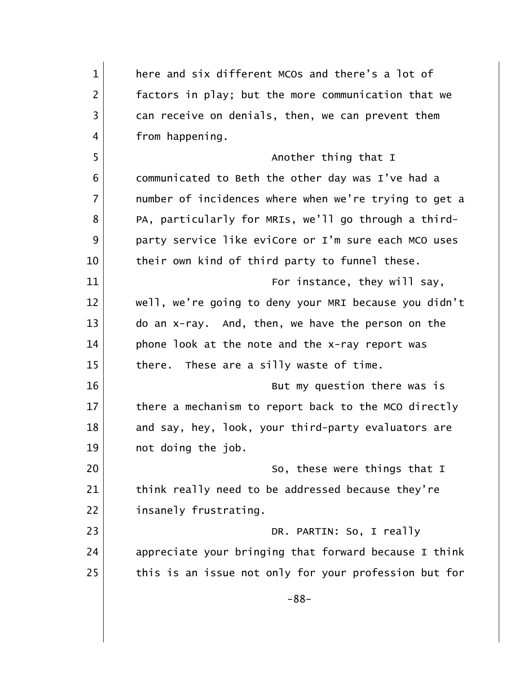| $\mathbf{1}$   | here and six different MCOs and there's a lot of      |
|----------------|-------------------------------------------------------|
| $\overline{2}$ | factors in play; but the more communication that we   |
| 3              | can receive on denials, then, we can prevent them     |
| 4              | from happening.                                       |
| 5              | Another thing that I                                  |
| 6              | communicated to Beth the other day was I've had a     |
| $\overline{7}$ | number of incidences where when we're trying to get a |
| 8              | PA, particularly for MRIs, we'll go through a third-  |
| 9              | party service like eviCore or I'm sure each MCO uses  |
| 10             | their own kind of third party to funnel these.        |
| 11             | For instance, they will say,                          |
| 12             | well, we're going to deny your MRI because you didn't |
| 13             | do an x-ray. And, then, we have the person on the     |
| 14             | phone look at the note and the x-ray report was       |
| 15             | These are a silly waste of time.<br>there.            |
| 16             | But my question there was is                          |
| 17             | there a mechanism to report back to the MCO directly  |
| 18             | and say, hey, look, your third-party evaluators are   |
| 19             | not doing the job.                                    |
| 20             | So, these were things that I                          |
| 21             | think really need to be addressed because they're     |
| 22             | insanely frustrating.                                 |
| 23             | DR. PARTIN: So, I really                              |
| 24             | appreciate your bringing that forward because I think |
| 25             | this is an issue not only for your profession but for |
|                | $-88-$                                                |
|                |                                                       |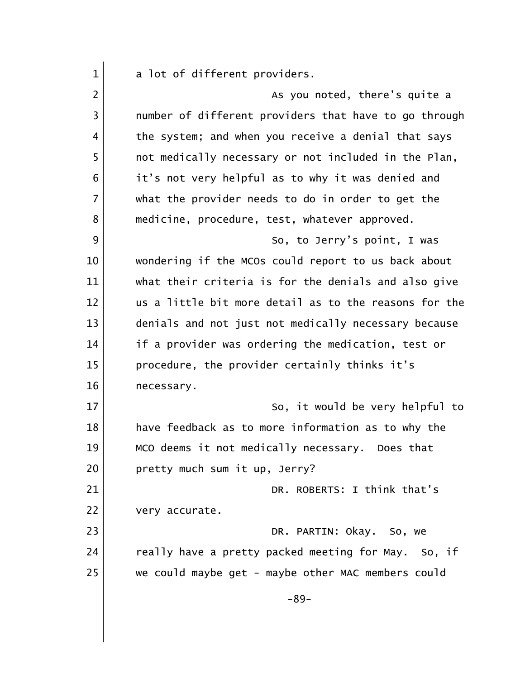| $\mathbf{1}$   | a lot of different providers.                         |
|----------------|-------------------------------------------------------|
| $\overline{2}$ | As you noted, there's quite a                         |
| 3              | number of different providers that have to go through |
| 4              | the system; and when you receive a denial that says   |
| 5              | not medically necessary or not included in the Plan,  |
| 6              | it's not very helpful as to why it was denied and     |
| 7              | what the provider needs to do in order to get the     |
| 8              | medicine, procedure, test, whatever approved.         |
| 9              | So, to Jerry's point, I was                           |
| 10             | wondering if the MCOs could report to us back about   |
| 11             | what their criteria is for the denials and also give  |
| 12             | us a little bit more detail as to the reasons for the |
| 13             | denials and not just not medically necessary because  |
| 14             | if a provider was ordering the medication, test or    |
| 15             | procedure, the provider certainly thinks it's         |
| 16             | necessary.                                            |
| 17             | So, it would be very helpful to                       |
| 18             | have feedback as to more information as to why the    |
| 19             | MCO deems it not medically necessary. Does that       |
| 20             | pretty much sum it up, Jerry?                         |
| 21             | DR. ROBERTS: I think that's                           |
| 22             | very accurate.                                        |
| 23             | DR. PARTIN: Okay. So, we                              |
| 24             | really have a pretty packed meeting for May. So, if   |
| 25             | we could maybe get - maybe other MAC members could    |
|                | $-89-$                                                |
|                |                                                       |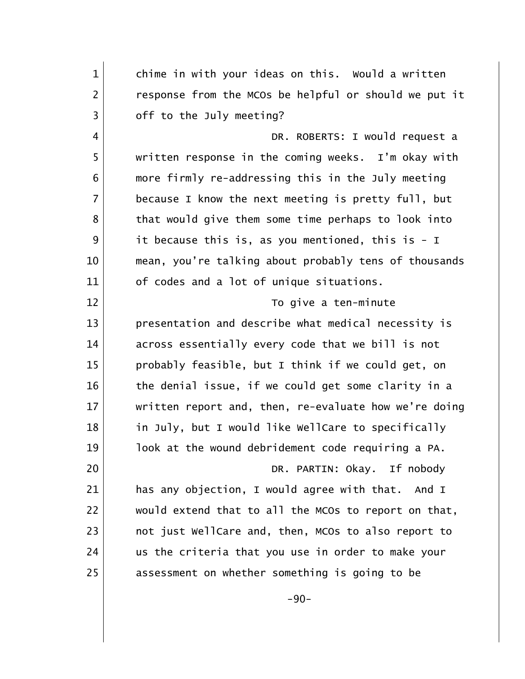1 chime in with your ideas on this. Would a written 2 response from the MCOs be helpful or should we put it 3 off to the July meeting? 4 DR. ROBERTS: I would request a 5 written response in the coming weeks. I'm okay with 6 more firmly re-addressing this in the July meeting 7 because I know the next meeting is pretty full, but 8 that would give them some time perhaps to look into 9 it because this is, as you mentioned, this is - I 10 | mean, you're talking about probably tens of thousands 11 of codes and a lot of unique situations. 12 To give a ten-minute 13 presentation and describe what medical necessity is 14 across essentially every code that we bill is not 15 probably feasible, but I think if we could get, on 16 the denial issue, if we could get some clarity in a 17 written report and, then, re-evaluate how we're doing 18 in July, but I would like WellCare to specifically 19 look at the wound debridement code requiring a PA. 20 DR. PARTIN: Okay. If nobody 21 has any objection, I would agree with that. And I 22 would extend that to all the MCOs to report on that, 23 | not just WellCare and, then, MCOs to also report to 24 us the criteria that you use in order to make your 25 | assessment on whether something is going to be -90-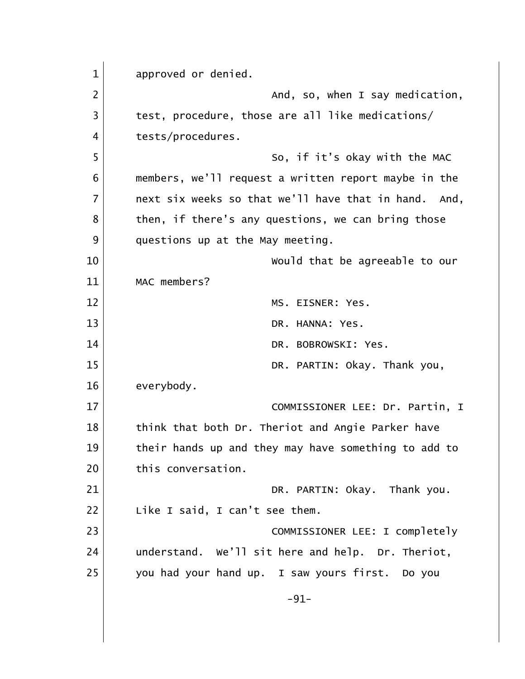1 approved or denied. 2 and, so, when I say medication, 3 test, procedure, those are all like medications/ 4 tests/procedures. 5 So, if it's okay with the MAC 6 members, we'll request a written report maybe in the 7 | next six weeks so that we'll have that in hand. And, 8 then, if there's any questions, we can bring those 9 questions up at the May meeting. 10 Would that be agreeable to our 11 MAC members? 12 MS. EISNER: Yes. 13 DR. HANNA: Yes. 14 DR. BOBROWSKI: Yes. 15 DR. PARTIN: Okay. Thank you, 16 everybody. 17 COMMISSIONER LEE: Dr. Partin, I 18 think that both Dr. Theriot and Angie Parker have 19 10 their hands up and they may have something to add to 20 this conversation. 21 DR. PARTIN: Okay. Thank you. 22 | Like I said, I can't see them. 23 | COMMISSIONER LEE: I completely 24 understand. We'll sit here and help. Dr. Theriot, 25 you had your hand up. I saw yours first. Do you -91-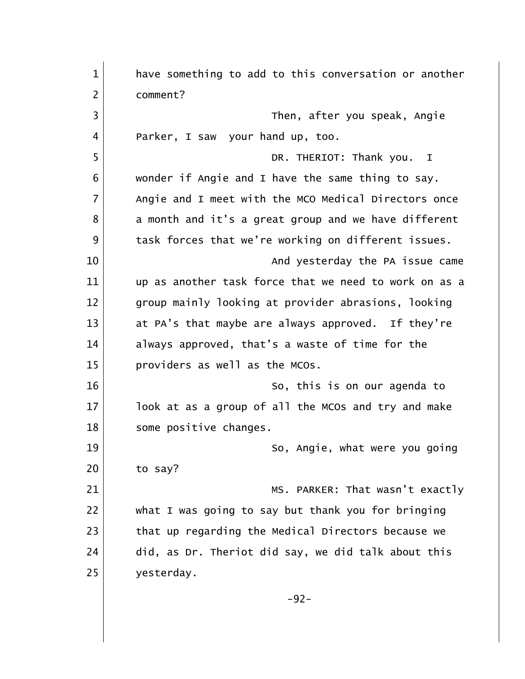| $\mathbf{1}$   | have something to add to this conversation or another |
|----------------|-------------------------------------------------------|
| $\overline{2}$ | comment?                                              |
| 3              | Then, after you speak, Angie                          |
| 4              | Parker, I saw your hand up, too.                      |
| 5              | DR. THERIOT: Thank you. I                             |
| 6              | wonder if Angie and I have the same thing to say.     |
| $\overline{7}$ | Angie and I meet with the MCO Medical Directors once  |
| 8              | a month and it's a great group and we have different  |
| 9              | task forces that we're working on different issues.   |
| 10             | And yesterday the PA issue came                       |
| 11             | up as another task force that we need to work on as a |
| 12             | group mainly looking at provider abrasions, looking   |
| 13             | at PA's that maybe are always approved. If they're    |
| 14             | always approved, that's a waste of time for the       |
| 15             | providers as well as the MCOs.                        |
| 16             | So, this is on our agenda to                          |
| 17             | look at as a group of all the MCOs and try and make   |
| 18             | some positive changes.                                |
| 19             | So, Angie, what were you going                        |
| 20             | to say?                                               |
| 21             | MS. PARKER: That wasn't exactly                       |
| 22             | what I was going to say but thank you for bringing    |
| 23             | that up regarding the Medical Directors because we    |
| 24             | did, as Dr. Theriot did say, we did talk about this   |
| 25             | yesterday.                                            |
|                | $-92-$                                                |
|                |                                                       |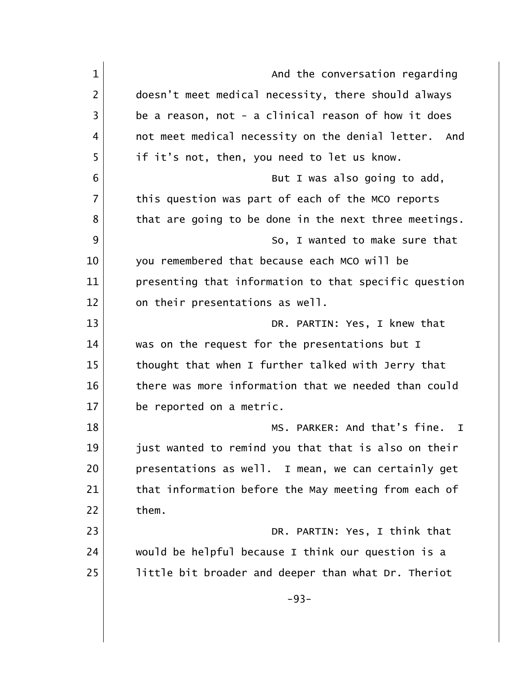| $\mathbf{1}$   | And the conversation regarding                        |
|----------------|-------------------------------------------------------|
| $\overline{2}$ | doesn't meet medical necessity, there should always   |
| 3              | be a reason, not - a clinical reason of how it does   |
| 4              | not meet medical necessity on the denial letter. And  |
| 5              | if it's not, then, you need to let us know.           |
| 6              | But I was also going to add,                          |
| 7              | this question was part of each of the MCO reports     |
| 8              | that are going to be done in the next three meetings. |
| 9              | So, I wanted to make sure that                        |
| 10             | you remembered that because each MCO will be          |
| 11             | presenting that information to that specific question |
| 12             | on their presentations as well.                       |
| 13             | DR. PARTIN: Yes, I knew that                          |
| 14             | was on the request for the presentations but I        |
| 15             | thought that when I further talked with Jerry that    |
| 16             | there was more information that we needed than could  |
| 17             | be reported on a metric.                              |
| 18             | MS. PARKER: And that's fine.<br>$\mathbf{T}$          |
| 19             | just wanted to remind you that that is also on their  |
| 20             | presentations as well. I mean, we can certainly get   |
| 21             | that information before the May meeting from each of  |
| 22             | them.                                                 |
| 23             | DR. PARTIN: Yes, I think that                         |
| 24             | would be helpful because I think our question is a    |
| 25             | little bit broader and deeper than what Dr. Theriot   |
|                | $-93-$                                                |
|                |                                                       |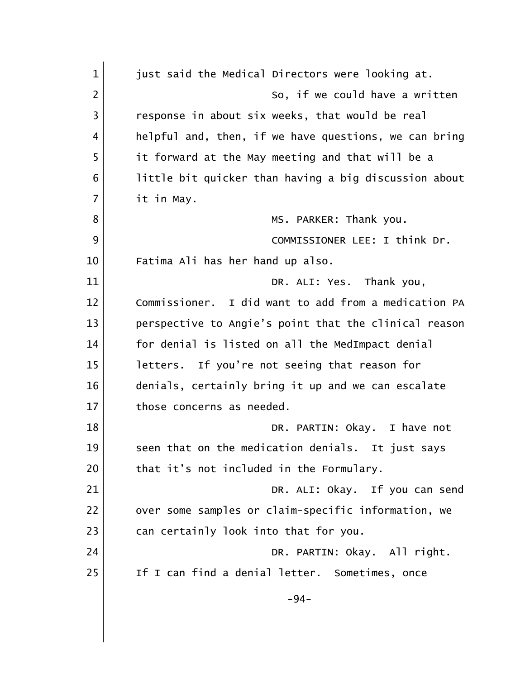| $\mathbf{1}$   | just said the Medical Directors were looking at.      |
|----------------|-------------------------------------------------------|
| $\overline{2}$ | So, if we could have a written                        |
| 3              | response in about six weeks, that would be real       |
| $\overline{4}$ | helpful and, then, if we have questions, we can bring |
| 5              | it forward at the May meeting and that will be a      |
| 6              | little bit quicker than having a big discussion about |
| $\overline{7}$ | it in May.                                            |
| 8              | MS. PARKER: Thank you.                                |
| 9              | COMMISSIONER LEE: I think Dr.                         |
| 10             | Fatima Ali has her hand up also.                      |
| 11             | DR. ALI: Yes. Thank you,                              |
| 12             | Commissioner. I did want to add from a medication PA  |
| 13             | perspective to Angie's point that the clinical reason |
| 14             | for denial is listed on all the MedImpact denial      |
| 15             | letters. If you're not seeing that reason for         |
| 16             | denials, certainly bring it up and we can escalate    |
| 17             | those concerns as needed.                             |
| 18             | DR. PARTIN: Okay. I have not                          |
| 19             | seen that on the medication denials. It just says     |
| 20             | that it's not included in the Formulary.              |
| 21             | DR. ALI: Okay. If you can send                        |
| 22             | over some samples or claim-specific information, we   |
| 23             | can certainly look into that for you.                 |
| 24             | DR. PARTIN: Okay. All right.                          |
| 25             | If I can find a denial letter. Sometimes, once        |
|                | $-94-$                                                |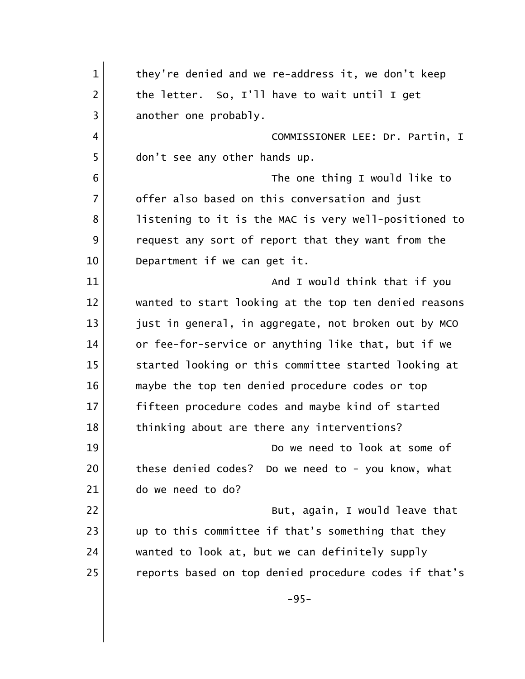| $\mathbf{1}$   | they're denied and we re-address it, we don't keep    |
|----------------|-------------------------------------------------------|
| $\overline{2}$ | the letter. So, I'll have to wait until I get         |
| 3              | another one probably.                                 |
| 4              | COMMISSIONER LEE: Dr. Partin, I                       |
| 5              | don't see any other hands up.                         |
| 6              | The one thing I would like to                         |
| $\overline{7}$ | offer also based on this conversation and just        |
| 8              | listening to it is the MAC is very well-positioned to |
| 9              | request any sort of report that they want from the    |
| 10             | Department if we can get it.                          |
| 11             | And I would think that if you                         |
| 12             | wanted to start looking at the top ten denied reasons |
| 13             | just in general, in aggregate, not broken out by MCO  |
| 14             | or fee-for-service or anything like that, but if we   |
| 15             | started looking or this committee started looking at  |
| 16             | maybe the top ten denied procedure codes or top       |
| 17             | fifteen procedure codes and maybe kind of started     |
| 18             | thinking about are there any interventions?           |
| 19             | Do we need to look at some of                         |
| 20             | these denied codes? Do we need to - you know, what    |
| 21             | do we need to do?                                     |
| 22             | But, again, I would leave that                        |
| 23             | up to this committee if that's something that they    |
| 24             | wanted to look at, but we can definitely supply       |
| 25             | reports based on top denied procedure codes if that's |
|                | $-95-$                                                |
|                |                                                       |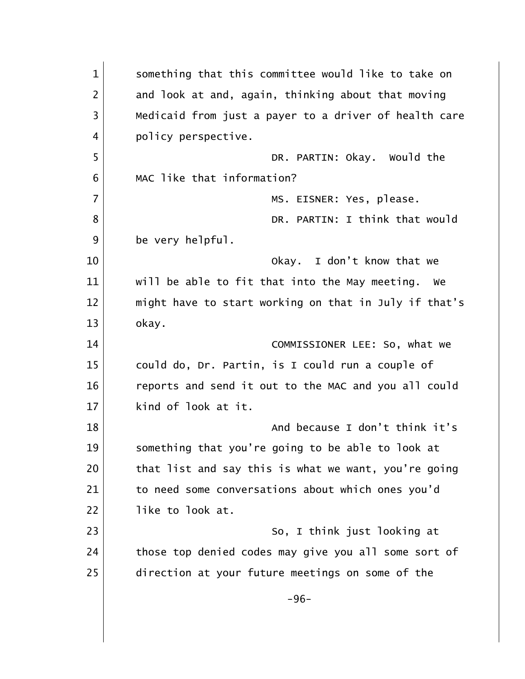| $\mathbf{1}$   | something that this committee would like to take on   |
|----------------|-------------------------------------------------------|
| $\overline{2}$ | and look at and, again, thinking about that moving    |
| 3              | Medicaid from just a payer to a driver of health care |
| 4              | policy perspective.                                   |
| 5              | DR. PARTIN: Okay. Would the                           |
| 6              | MAC like that information?                            |
| $\overline{7}$ | MS. EISNER: Yes, please.                              |
| 8              | DR. PARTIN: I think that would                        |
| 9              | be very helpful.                                      |
| 10             | Okay. I don't know that we                            |
| 11             | will be able to fit that into the May meeting.<br>we  |
| 12             | might have to start working on that in July if that's |
| 13             | okay.                                                 |
| 14             | COMMISSIONER LEE: So, what we                         |
| 15             | could do, Dr. Partin, is I could run a couple of      |
| 16             | reports and send it out to the MAC and you all could  |
| 17             | kind of look at it.                                   |
| 18             | And because I don't think it's                        |
| 19             | something that you're going to be able to look at     |
| 20             | that list and say this is what we want, you're going  |
| 21             | to need some conversations about which ones you'd     |
| 22             | like to look at.                                      |
| 23             | So, I think just looking at                           |
| 24             | those top denied codes may give you all some sort of  |
| 25             | direction at your future meetings on some of the      |
|                | $-96-$                                                |
|                |                                                       |